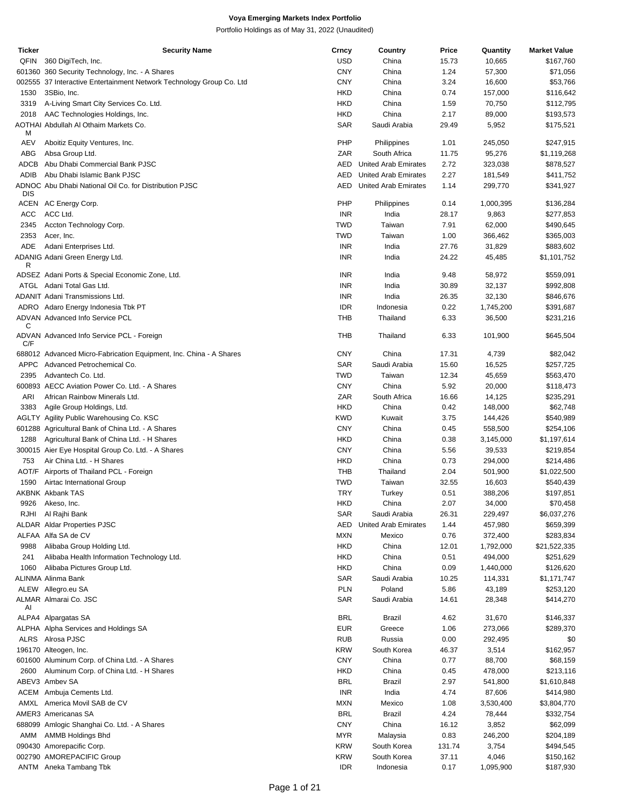| Ticker     | Security Name                                                        | Crncy      | Country                     | Price  | Quantity  | <b>Market Value</b> |
|------------|----------------------------------------------------------------------|------------|-----------------------------|--------|-----------|---------------------|
| QFIN       | 360 DigiTech, Inc.                                                   | <b>USD</b> | China                       | 15.73  | 10,665    | \$167,760           |
|            | 601360 360 Security Technology, Inc. - A Shares                      | <b>CNY</b> | China                       | 1.24   | 57,300    | \$71,056            |
|            |                                                                      |            |                             |        |           |                     |
|            | 002555 37 Interactive Entertainment Network Technology Group Co. Ltd | <b>CNY</b> | China                       | 3.24   | 16,600    | \$53,766            |
| 1530       | 3SBio, Inc.                                                          | <b>HKD</b> | China                       | 0.74   | 157,000   | \$116,642           |
| 3319       | A-Living Smart City Services Co. Ltd.                                | <b>HKD</b> | China                       | 1.59   | 70,750    | \$112,795           |
| 2018       | AAC Technologies Holdings, Inc.                                      | <b>HKD</b> | China                       | 2.17   | 89,000    | \$193,573           |
|            |                                                                      |            |                             |        |           |                     |
| M          | AOTHAI Abdullah Al Othaim Markets Co.                                | SAR        | Saudi Arabia                | 29.49  | 5,952     | \$175,521           |
| AEV        | Aboitiz Equity Ventures, Inc.                                        | PHP        | Philippines                 | 1.01   | 245,050   | \$247,915           |
| ABG        | Absa Group Ltd.                                                      | ZAR        | South Africa                | 11.75  | 95,276    | \$1,119,268         |
| ADCB       | Abu Dhabi Commercial Bank PJSC                                       | AED        | United Arab Emirates        | 2.72   | 323,038   | \$878,527           |
|            |                                                                      |            |                             |        |           |                     |
| ADIB       | Abu Dhabi Islamic Bank PJSC                                          | <b>AED</b> | <b>United Arab Emirates</b> | 2.27   | 181,549   | \$411,752           |
| <b>DIS</b> | ADNOC Abu Dhabi National Oil Co. for Distribution PJSC               | AED        | United Arab Emirates        | 1.14   | 299,770   | \$341,927           |
|            | ACEN AC Energy Corp.                                                 | PHP        | Philippines                 | 0.14   | 1,000,395 | \$136,284           |
| ACC        | ACC Ltd.                                                             | <b>INR</b> | India                       | 28.17  | 9,863     | \$277,853           |
| 2345       | Accton Technology Corp.                                              | <b>TWD</b> | Taiwan                      | 7.91   | 62,000    | \$490,645           |
|            |                                                                      |            |                             |        |           |                     |
| 2353       | Acer, Inc.                                                           | <b>TWD</b> | Taiwan                      | 1.00   | 366,462   | \$365,003           |
| ADE        | Adani Enterprises Ltd.                                               | INR        | India                       | 27.76  | 31,829    | \$883,602           |
| R          | ADANIG Adani Green Energy Ltd.                                       | <b>INR</b> | India                       | 24.22  | 45,485    | \$1,101,752         |
|            | ADSEZ Adani Ports & Special Economic Zone, Ltd.                      | <b>INR</b> | India                       | 9.48   | 58,972    | \$559,091           |
|            |                                                                      |            |                             |        |           |                     |
|            | ATGL Adani Total Gas Ltd.                                            | <b>INR</b> | India                       | 30.89  | 32,137    | \$992,808           |
|            | <b>ADANIT Adani Transmissions Ltd.</b>                               | <b>INR</b> | India                       | 26.35  | 32,130    | \$846,676           |
|            | ADRO Adaro Energy Indonesia Tbk PT                                   | <b>IDR</b> | Indonesia                   | 0.22   | 1,745,200 | \$391,687           |
|            | ADVAN Advanced Info Service PCL                                      | THB        | Thailand                    | 6.33   | 36,500    | \$231,216           |
| С          |                                                                      |            |                             |        |           |                     |
| C/F        | ADVAN Advanced Info Service PCL - Foreign                            | THB        | Thailand                    | 6.33   | 101,900   | \$645,504           |
|            | 688012 Advanced Micro-Fabrication Equipment, Inc. China - A Shares   | <b>CNY</b> | China                       | 17.31  | 4,739     | \$82,042            |
| APPC       | Advanced Petrochemical Co.                                           | SAR        | Saudi Arabia                | 15.60  | 16,525    | \$257,725           |
| 2395       | Advantech Co. Ltd.                                                   | <b>TWD</b> | Taiwan                      | 12.34  | 45,659    | \$563,470           |
|            |                                                                      |            |                             |        |           |                     |
|            | 600893 AECC Aviation Power Co. Ltd. - A Shares                       | <b>CNY</b> | China                       | 5.92   | 20,000    | \$118,473           |
| ARI        | African Rainbow Minerals Ltd.                                        | ZAR        | South Africa                | 16.66  | 14,125    | \$235,291           |
| 3383       | Agile Group Holdings, Ltd.                                           | <b>HKD</b> | China                       | 0.42   | 148,000   | \$62,748            |
|            | AGLTY Agility Public Warehousing Co. KSC                             | <b>KWD</b> | Kuwait                      | 3.75   | 144,426   | \$540,989           |
|            |                                                                      |            |                             |        |           |                     |
|            | 601288 Agricultural Bank of China Ltd. - A Shares                    | <b>CNY</b> | China                       | 0.45   | 558,500   | \$254,106           |
| 1288       | Agricultural Bank of China Ltd. - H Shares                           | <b>HKD</b> | China                       | 0.38   | 3,145,000 | \$1,197,614         |
|            | 300015 Aier Eye Hospital Group Co. Ltd. - A Shares                   | <b>CNY</b> | China                       | 5.56   | 39,533    | \$219,854           |
| 753        | Air China Ltd. - H Shares                                            | <b>HKD</b> | China                       | 0.73   | 294,000   | \$214,486           |
|            |                                                                      | <b>THB</b> | Thailand                    | 2.04   |           |                     |
|            | AOT/F Airports of Thailand PCL - Foreign                             |            |                             |        | 501,900   | \$1,022,500         |
| 1590       | Airtac International Group                                           | <b>TWD</b> | Taiwan                      | 32.55  | 16,603    | \$540,439           |
|            | AKBNK Akbank TAS                                                     | <b>TRY</b> | Turkey                      | 0.51   | 388,206   | \$197,851           |
|            | 9926 Akeso, Inc.                                                     | <b>HKD</b> | China                       | 2.07   | 34,000    | \$70,458            |
|            | RJHI Al Rajhi Bank                                                   | <b>SAR</b> | Saudi Arabia                | 26.31  | 229,497   | \$6,037,276         |
|            |                                                                      |            |                             |        |           |                     |
|            | <b>ALDAR Aldar Properties PJSC</b>                                   | AED        | United Arab Emirates        | 1.44   | 457,980   | \$659,399           |
|            | ALFAA Alfa SA de CV                                                  | <b>MXN</b> | Mexico                      | 0.76   | 372,400   | \$283,834           |
| 9988       | Alibaba Group Holding Ltd.                                           | <b>HKD</b> | China                       | 12.01  | 1,792,000 | \$21,522,335        |
| 241        | Alibaba Health Information Technology Ltd.                           | <b>HKD</b> | China                       | 0.51   | 494,000   | \$251,629           |
|            |                                                                      |            |                             |        |           |                     |
| 1060       | Alibaba Pictures Group Ltd.                                          | <b>HKD</b> | China                       | 0.09   | 1,440,000 | \$126,620           |
|            | ALINMA Alinma Bank                                                   | <b>SAR</b> | Saudi Arabia                | 10.25  | 114,331   | \$1,171,747         |
|            | ALEW Allegro.eu SA                                                   | <b>PLN</b> | Poland                      | 5.86   | 43,189    | \$253,120           |
|            | ALMAR Almarai Co. JSC                                                | <b>SAR</b> | Saudi Arabia                | 14.61  | 28,348    | \$414,270           |
| AI         |                                                                      |            |                             |        |           |                     |
|            | ALPA4 Alpargatas SA                                                  | BRL        | Brazil                      | 4.62   | 31,670    | \$146,337           |
|            | ALPHA Alpha Services and Holdings SA                                 | <b>EUR</b> | Greece                      | 1.06   | 273,066   | \$289,370           |
|            | ALRS Alrosa PJSC                                                     | <b>RUB</b> | Russia                      | 0.00   | 292,495   | \$0                 |
|            | 196170 Alteogen, Inc.                                                | KRW        | South Korea                 | 46.37  | 3,514     | \$162,957           |
|            |                                                                      |            |                             |        |           |                     |
|            | 601600 Aluminum Corp. of China Ltd. - A Shares                       | <b>CNY</b> | China                       | 0.77   | 88,700    | \$68,159            |
| 2600       | Aluminum Corp. of China Ltd. - H Shares                              | <b>HKD</b> | China                       | 0.45   | 478,000   | \$213,116           |
|            | ABEV3 Ambev SA                                                       | BRL        | Brazil                      | 2.97   | 541,800   | \$1,610,848         |
|            | ACEM Ambuja Cements Ltd.                                             | <b>INR</b> | India                       | 4.74   | 87,606    | \$414,980           |
|            |                                                                      |            |                             |        |           |                     |
|            | AMXL America Movil SAB de CV                                         | <b>MXN</b> | Mexico                      | 1.08   | 3,530,400 | \$3,804,770         |
|            | AMER3 Americanas SA                                                  | <b>BRL</b> | <b>Brazil</b>               | 4.24   | 78,444    | \$332,754           |
|            | 688099 Amlogic Shanghai Co. Ltd. - A Shares                          | <b>CNY</b> | China                       | 16.12  | 3,852     | \$62,099            |
| AMM        | <b>AMMB Holdings Bhd</b>                                             | MYR        | Malaysia                    | 0.83   | 246,200   | \$204,189           |
|            | 090430 Amorepacific Corp.                                            | <b>KRW</b> | South Korea                 | 131.74 | 3,754     | \$494,545           |
|            |                                                                      |            |                             |        |           |                     |
|            | 002790 AMOREPACIFIC Group                                            | <b>KRW</b> | South Korea                 | 37.11  | 4,046     | \$150,162           |
|            | ANTM Aneka Tambang Tbk                                               | <b>IDR</b> | Indonesia                   | 0.17   | 1,095,900 | \$187,930           |
|            |                                                                      |            |                             |        |           |                     |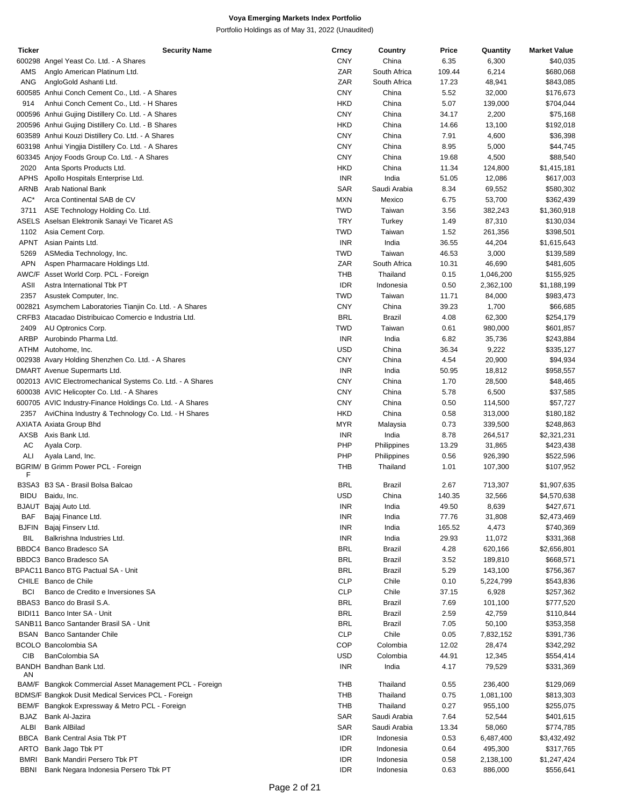| Ticker       | <b>Security Name</b>                                      | Crncy      | Country       | Price  | Quantity  | <b>Market Value</b> |
|--------------|-----------------------------------------------------------|------------|---------------|--------|-----------|---------------------|
|              | 600298 Angel Yeast Co. Ltd. - A Shares                    | <b>CNY</b> | China         | 6.35   | 6,300     | \$40,035            |
| AMS          | Anglo American Platinum Ltd.                              | ZAR        | South Africa  | 109.44 | 6,214     | \$680,068           |
| ANG          | AngloGold Ashanti Ltd.                                    | ZAR        | South Africa  | 17.23  | 48,941    | \$843,085           |
|              | 600585 Anhui Conch Cement Co., Ltd. - A Shares            | <b>CNY</b> | China         | 5.52   | 32,000    | \$176,673           |
| 914          | Anhui Conch Cement Co., Ltd. - H Shares                   | <b>HKD</b> | China         | 5.07   | 139,000   | \$704,044           |
|              | 000596 Anhui Gujing Distillery Co. Ltd. - A Shares        | <b>CNY</b> | China         | 34.17  | 2,200     | \$75,168            |
|              | 200596 Anhui Gujing Distillery Co. Ltd. - B Shares        | <b>HKD</b> | China         | 14.66  | 13,100    | \$192,018           |
|              |                                                           | <b>CNY</b> | China         | 7.91   |           | \$36,398            |
|              | 603589 Anhui Kouzi Distillery Co. Ltd. - A Shares         |            |               |        | 4,600     |                     |
|              | 603198 Anhui Yingjia Distillery Co. Ltd. - A Shares       | <b>CNY</b> | China         | 8.95   | 5,000     | \$44,745            |
|              | 603345 Anjoy Foods Group Co. Ltd. - A Shares              | <b>CNY</b> | China         | 19.68  | 4,500     | \$88,540            |
| 2020         | Anta Sports Products Ltd.                                 | <b>HKD</b> | China         | 11.34  | 124,800   | \$1,415,181         |
| APHS         | Apollo Hospitals Enterprise Ltd.                          | <b>INR</b> | India         | 51.05  | 12,086    | \$617,003           |
| ARNB         | Arab National Bank                                        | <b>SAR</b> | Saudi Arabia  | 8.34   | 69,552    | \$580,302           |
| AC*          | Arca Continental SAB de CV                                | <b>MXN</b> | Mexico        | 6.75   | 53,700    | \$362,439           |
| 3711         | ASE Technology Holding Co. Ltd.                           | <b>TWD</b> | Taiwan        | 3.56   | 382,243   | \$1,360,918         |
|              | ASELS Aselsan Elektronik Sanayi Ve Ticaret AS             | <b>TRY</b> | Turkey        | 1.49   | 87,310    | \$130,034           |
| 1102         | Asia Cement Corp.                                         | <b>TWD</b> | Taiwan        | 1.52   | 261,356   | \$398,501           |
| APNT         | Asian Paints Ltd.                                         | <b>INR</b> | India         | 36.55  | 44,204    | \$1,615,643         |
|              |                                                           |            |               |        |           |                     |
| 5269         | ASMedia Technology, Inc.                                  | <b>TWD</b> | Taiwan        | 46.53  | 3,000     | \$139,589           |
| <b>APN</b>   | Aspen Pharmacare Holdings Ltd.                            | ZAR        | South Africa  | 10.31  | 46,690    | \$481,605           |
|              | AWC/F Asset World Corp. PCL - Foreign                     | <b>THB</b> | Thailand      | 0.15   | 1,046,200 | \$155,925           |
| ASII         | Astra International Tbk PT                                | <b>IDR</b> | Indonesia     | 0.50   | 2,362,100 | \$1,188,199         |
| 2357         | Asustek Computer, Inc.                                    | <b>TWD</b> | Taiwan        | 11.71  | 84,000    | \$983,473           |
|              | 002821 Asymchem Laboratories Tianjin Co. Ltd. - A Shares  | <b>CNY</b> | China         | 39.23  | 1,700     | \$66,685            |
|              | CRFB3 Atacadao Distribuicao Comercio e Industria Ltd.     | <b>BRL</b> | Brazil        | 4.08   | 62,300    | \$254,179           |
| 2409         | AU Optronics Corp.                                        | <b>TWD</b> | Taiwan        | 0.61   | 980,000   | \$601,857           |
| <b>ARBP</b>  | Aurobindo Pharma Ltd.                                     | <b>INR</b> | India         | 6.82   | 35,736    | \$243,884           |
|              | ATHM Autohome, Inc.                                       | <b>USD</b> | China         | 36.34  | 9,222     | \$335,127           |
|              |                                                           | <b>CNY</b> | China         | 4.54   |           |                     |
|              | 002938 Avary Holding Shenzhen Co. Ltd. - A Shares         |            |               |        | 20,900    | \$94,934            |
|              | DMART Avenue Supermarts Ltd.                              | <b>INR</b> | India         | 50.95  | 18,812    | \$958,557           |
|              | 002013 AVIC Electromechanical Systems Co. Ltd. - A Shares | <b>CNY</b> | China         | 1.70   | 28,500    | \$48,465            |
|              | 600038 AVIC Helicopter Co. Ltd. - A Shares                | <b>CNY</b> | China         | 5.78   | 6,500     | \$37,585            |
|              | 600705 AVIC Industry-Finance Holdings Co. Ltd. - A Shares | <b>CNY</b> | China         | 0.50   | 114,500   | \$57,727            |
| 2357         | AviChina Industry & Technology Co. Ltd. - H Shares        | <b>HKD</b> | China         | 0.58   | 313,000   | \$180,182           |
|              | AXIATA Axiata Group Bhd                                   | <b>MYR</b> | Malaysia      | 0.73   | 339,500   | \$248,863           |
| AXSB         | Axis Bank Ltd.                                            | <b>INR</b> | India         | 8.78   | 264,517   | \$2,321,231         |
| AC           | Ayala Corp.                                               | PHP        | Philippines   | 13.29  | 31,865    | \$423,438           |
| ALI          | Ayala Land, Inc.                                          | PHP        | Philippines   | 0.56   | 926,390   | \$522,596           |
|              | BGRIM/ B Grimm Power PCL - Foreign                        | THB        | Thailand      |        |           | \$107,952           |
| F            |                                                           |            |               | 1.01   | 107,300   |                     |
|              | B3SA3 B3 SA - Brasil Bolsa Balcao                         | <b>BRL</b> | Brazil        | 2.67   | 713,307   | \$1,907,635         |
|              | BIDU Baidu, Inc.                                          | <b>USD</b> | China         | 140.35 | 32,566    | \$4,570,638         |
|              |                                                           |            |               |        |           |                     |
| <b>BJAUT</b> | Bajaj Auto Ltd.                                           | INR        | India         | 49.50  | 8,639     | \$427,671           |
| BAF          | Bajaj Finance Ltd.                                        | <b>INR</b> | India         | 77.76  | 31,808    | \$2,473,469         |
| <b>BJFIN</b> | Bajaj Finserv Ltd.                                        | <b>INR</b> | India         | 165.52 | 4,473     | \$740,369           |
| BIL          | Balkrishna Industries Ltd.                                | <b>INR</b> | India         | 29.93  | 11,072    | \$331,368           |
|              | BBDC4 Banco Bradesco SA                                   | <b>BRL</b> | Brazil        | 4.28   | 620,166   | \$2,656,801         |
|              | BBDC3 Banco Bradesco SA                                   | <b>BRL</b> | <b>Brazil</b> | 3.52   | 189,810   | \$668,571           |
|              | BPAC11 Banco BTG Pactual SA - Unit                        | <b>BRL</b> | <b>Brazil</b> | 5.29   | 143,100   | \$756,367           |
|              | CHILE Banco de Chile                                      | <b>CLP</b> | Chile         | 0.10   | 5,224,799 | \$543,836           |
| <b>BCI</b>   | Banco de Credito e Inversiones SA                         | <b>CLP</b> | Chile         | 37.15  | 6,928     | \$257,362           |
|              | BBAS3 Banco do Brasil S.A.                                | <b>BRL</b> | Brazil        | 7.69   | 101,100   | \$777,520           |
|              | BIDI11 Banco Inter SA - Unit                              | <b>BRL</b> | <b>Brazil</b> | 2.59   | 42,759    |                     |
|              |                                                           |            |               |        |           | \$110,844           |
|              | SANB11 Banco Santander Brasil SA - Unit                   | <b>BRL</b> | Brazil        | 7.05   | 50,100    | \$353,358           |
|              | <b>BSAN</b> Banco Santander Chile                         | <b>CLP</b> | Chile         | 0.05   | 7,832,152 | \$391,736           |
|              | <b>BCOLO Bancolombia SA</b>                               | COP        | Colombia      | 12.02  | 28,474    | \$342,292           |
| CIB          | BanColombia SA                                            | <b>USD</b> | Colombia      | 44.91  | 12,345    | \$554,414           |
|              | BANDH Bandhan Bank Ltd.                                   | <b>INR</b> | India         | 4.17   | 79,529    | \$331,369           |
| AN           |                                                           |            |               |        |           |                     |
|              | BAM/F Bangkok Commercial Asset Management PCL - Foreign   | THB        | Thailand      | 0.55   | 236,400   | \$129,069           |
|              | BDMS/F Bangkok Dusit Medical Services PCL - Foreign       | <b>THB</b> | Thailand      | 0.75   | 1,081,100 | \$813,303           |
|              | BEM/F Bangkok Expressway & Metro PCL - Foreign            | <b>THB</b> | Thailand      | 0.27   | 955,100   | \$255,075           |
| BJAZ         | Bank Al-Jazira                                            | <b>SAR</b> | Saudi Arabia  | 7.64   | 52,544    | \$401,615           |
| ALBI         | <b>Bank AlBilad</b>                                       | SAR        | Saudi Arabia  | 13.34  | 58,060    | \$774,785           |
| BBCA         | Bank Central Asia Tbk PT                                  | <b>IDR</b> | Indonesia     | 0.53   | 6,487,400 | \$3,432,492         |
| ARTO         | Bank Jago Tbk PT                                          | <b>IDR</b> | Indonesia     | 0.64   | 495,300   | \$317,765           |
| <b>BMRI</b>  | Bank Mandiri Persero Tbk PT                               | <b>IDR</b> | Indonesia     | 0.58   | 2,138,100 |                     |
|              |                                                           |            |               |        |           | \$1,247,424         |
| <b>BBNI</b>  | Bank Negara Indonesia Persero Tbk PT                      | <b>IDR</b> | Indonesia     | 0.63   | 886,000   | \$556,641           |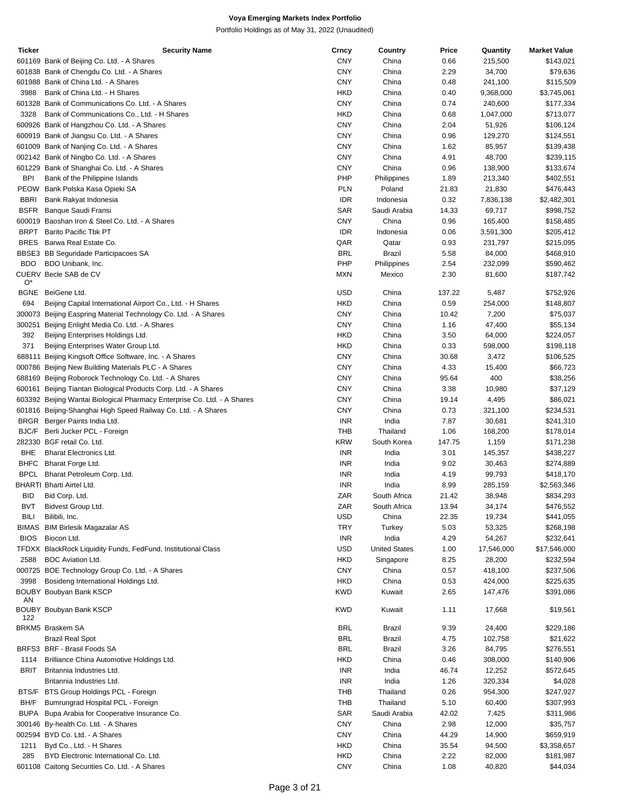| <b>Ticker</b> | <b>Security Name</b>                                                     | Crncy      | Country              | Price  | Quantity   | <b>Market Value</b> |
|---------------|--------------------------------------------------------------------------|------------|----------------------|--------|------------|---------------------|
|               | 601169 Bank of Beijing Co. Ltd. - A Shares                               | <b>CNY</b> | China                | 0.66   | 215,500    | \$143,021           |
|               | 601838 Bank of Chengdu Co. Ltd. - A Shares                               | CNY        | China                | 2.29   | 34,700     | \$79,636            |
|               | 601988 Bank of China Ltd. - A Shares                                     | <b>CNY</b> | China                | 0.48   | 241,100    | \$115,509           |
| 3988          | Bank of China Ltd. - H Shares                                            | <b>HKD</b> | China                | 0.40   | 9,368,000  | \$3,745,061         |
|               | 601328 Bank of Communications Co. Ltd. - A Shares                        | <b>CNY</b> | China                | 0.74   | 240,600    | \$177,334           |
| 3328          | Bank of Communications Co., Ltd. - H Shares                              | <b>HKD</b> | China                | 0.68   | 1,047,000  | \$713,077           |
|               | 600926 Bank of Hangzhou Co. Ltd. - A Shares                              | <b>CNY</b> | China                | 2.04   | 51,926     | \$106,124           |
|               | 600919 Bank of Jiangsu Co. Ltd. - A Shares                               | <b>CNY</b> | China                | 0.96   | 129,270    | \$124,551           |
|               | 601009 Bank of Nanjing Co. Ltd. - A Shares                               | <b>CNY</b> | China                | 1.62   | 85,957     | \$139,438           |
|               | 002142 Bank of Ningbo Co. Ltd. - A Shares                                | CNY        | China                | 4.91   | 48,700     | \$239,115           |
|               | 601229 Bank of Shanghai Co. Ltd. - A Shares                              | <b>CNY</b> | China                | 0.96   | 138,900    | \$133,674           |
| <b>BPI</b>    | Bank of the Philippine Islands                                           | PHP        | Philippines          | 1.89   | 213,340    | \$402,551           |
| PEOW          | Bank Polska Kasa Opieki SA                                               | <b>PLN</b> | Poland               | 21.83  | 21,830     | \$476,443           |
|               |                                                                          |            |                      |        |            |                     |
| <b>BBRI</b>   | Bank Rakyat Indonesia                                                    | <b>IDR</b> | Indonesia            | 0.32   | 7,836,138  | \$2,482,301         |
| <b>BSFR</b>   | Banque Saudi Fransi                                                      | SAR        | Saudi Arabia         | 14.33  | 69,717     | \$998,752           |
|               | 600019 Baoshan Iron & Steel Co. Ltd. - A Shares                          | <b>CNY</b> | China                | 0.96   | 165,400    | \$158,485           |
| <b>BRPT</b>   | <b>Barito Pacific Tbk PT</b>                                             | <b>IDR</b> | Indonesia            | 0.06   | 3,591,300  | \$205,412           |
| <b>BRES</b>   | Barwa Real Estate Co.                                                    | QAR        | Qatar                | 0.93   | 231,797    | \$215,095           |
|               | BBSE3 BB Seguridade Participacoes SA                                     | <b>BRL</b> | Brazil               | 5.58   | 84,000     | \$468,910           |
| <b>BDO</b>    | BDO Unibank, Inc.                                                        | PHP        | Philippines          | 2.54   | 232,099    | \$590,462           |
|               | CUERV Becle SAB de CV                                                    | <b>MXN</b> | Mexico               | 2.30   | 81,600     | \$187,742           |
| $O^*$         |                                                                          |            |                      |        |            |                     |
| <b>BGNE</b>   | BeiGene Ltd.                                                             | <b>USD</b> | China                | 137.22 | 5,487      | \$752,926           |
| 694           | Beijing Capital International Airport Co., Ltd. - H Shares               | <b>HKD</b> | China                | 0.59   | 254,000    | \$148,807           |
|               | 300073 Beijing Easpring Material Technology Co. Ltd. - A Shares          | <b>CNY</b> | China                | 10.42  | 7,200      | \$75,037            |
| 300251        | Beijing Enlight Media Co. Ltd. - A Shares                                | CNY        | China                | 1.16   | 47,400     | \$55,134            |
| 392           | Beijing Enterprises Holdings Ltd.                                        | <b>HKD</b> | China                | 3.50   | 64,000     | \$224,057           |
| 371           | Beijing Enterprises Water Group Ltd.                                     | <b>HKD</b> | China                | 0.33   | 598,000    | \$198,118           |
|               | 688111 Beijing Kingsoft Office Software, Inc. - A Shares                 | <b>CNY</b> | China                | 30.68  | 3,472      | \$106,525           |
|               | 000786 Beijing New Building Materials PLC - A Shares                     | <b>CNY</b> | China                | 4.33   | 15,400     | \$66,723            |
|               | 688169 Beijing Roborock Technology Co. Ltd. - A Shares                   | <b>CNY</b> | China                | 95.64  | 400        | \$38,256            |
|               | 600161 Beijing Tiantan Biological Products Corp. Ltd. - A Shares         | CNY        | China                | 3.38   | 10,980     | \$37,129            |
|               | 603392 Beijing Wantai Biological Pharmacy Enterprise Co. Ltd. - A Shares | CNY        | China                | 19.14  | 4,495      | \$86,021            |
|               | 601816 Beijing-Shanghai High Speed Railway Co. Ltd. - A Shares           | CNY        | China                | 0.73   | 321,100    | \$234,531           |
|               | BRGR Berger Paints India Ltd.                                            | <b>INR</b> | India                | 7.87   | 30,681     | \$241,310           |
| BJC/F         | Berli Jucker PCL - Foreign                                               | <b>THB</b> | Thailand             | 1.06   | 168,200    | \$178,014           |
|               | 282330 BGF retail Co. Ltd.                                               | <b>KRW</b> | South Korea          | 147.75 | 1,159      | \$171,238           |
| BHE           | <b>Bharat Electronics Ltd.</b>                                           | <b>INR</b> | India                | 3.01   | 145,357    | \$438,227           |
| <b>BHFC</b>   | Bharat Forge Ltd.                                                        | <b>INR</b> | India                | 9.02   | 30,463     | \$274,889           |
| <b>BPCL</b>   | Bharat Petroleum Corp. Ltd.                                              | <b>INR</b> | India                | 4.19   | 99,793     | \$418,170           |
|               | <b>BHARTI Bharti Airtel Ltd.</b>                                         | <b>INR</b> | India                | 8.99   | 285,159    | \$2,563,346         |
| <b>BID</b>    | Bid Corp. Ltd.                                                           | ZAR        | South Africa         | 21.42  | 38,948     | \$834,293           |
| BVT           | Bidvest Group Ltd.                                                       | ZAR        | South Africa         | 13.94  | 34,174     | \$476,552           |
| <b>BILI</b>   | Bilibili, Inc.                                                           | USD        | China                | 22.35  | 19,734     | \$441,055           |
|               | BIMAS BIM Birlesik Magazalar AS                                          | <b>TRY</b> | Turkey               | 5.03   |            |                     |
|               |                                                                          |            |                      |        | 53,325     | \$268,198           |
| <b>BIOS</b>   | Biocon Ltd.                                                              | <b>INR</b> | India                | 4.29   | 54,267     | \$232,641           |
|               | TFDXX BlackRock Liquidity Funds, FedFund, Institutional Class            | USD        | <b>United States</b> | 1.00   | 17,546,000 | \$17,546,000        |
| 2588          | <b>BOC Aviation Ltd.</b>                                                 | HKD        | Singapore            | 8.25   | 28,200     | \$232,594           |
|               | 000725 BOE Technology Group Co. Ltd. - A Shares                          | <b>CNY</b> | China                | 0.57   | 418,100    | \$237,506           |
| 3998          | Bosideng International Holdings Ltd.                                     | <b>HKD</b> | China                | 0.53   | 424,000    | \$225,635           |
| AN            | BOUBY Boubyan Bank KSCP                                                  | <b>KWD</b> | Kuwait               | 2.65   | 147,476    | \$391,086           |
|               | BOUBY Boubyan Bank KSCP                                                  | <b>KWD</b> | Kuwait               |        | 17,668     |                     |
| 122           |                                                                          |            |                      | 1.11   |            | \$19,561            |
|               | BRKM5 Braskem SA                                                         | <b>BRL</b> | Brazil               | 9.39   | 24,400     | \$229,186           |
|               | <b>Brazil Real Spot</b>                                                  | <b>BRL</b> | Brazil               | 4.75   | 102,758    | \$21,622            |
|               | BRFS3 BRF - Brasil Foods SA                                              | <b>BRL</b> | Brazil               | 3.26   | 84,795     | \$276,551           |
| 1114          | Brilliance China Automotive Holdings Ltd.                                | HKD        | China                | 0.46   | 308,000    | \$140,906           |
| <b>BRIT</b>   | Britannia Industries Ltd.                                                | <b>INR</b> | India                | 46.74  | 12,252     | \$572,645           |
|               | Britannia Industries Ltd.                                                | <b>INR</b> | India                | 1.26   |            |                     |
|               |                                                                          |            |                      |        | 320,334    | \$4,028             |
|               | BTS/F BTS Group Holdings PCL - Foreign                                   | THB        | Thailand             | 0.26   | 954,300    | \$247,927           |
| BH/F          | Bumrungrad Hospital PCL - Foreign                                        | THB        | Thailand             | 5.10   | 60,400     | \$307,993           |
|               | BUPA Bupa Arabia for Cooperative Insurance Co.                           | <b>SAR</b> | Saudi Arabia         | 42.02  | 7,425      | \$311,986           |
|               | 300146 By-health Co. Ltd. - A Shares                                     | CNY        | China                | 2.98   | 12,000     | \$35,757            |
|               | 002594 BYD Co. Ltd. - A Shares                                           | CNY        | China                | 44.29  | 14,900     | \$659,919           |
| 1211          | Byd Co., Ltd. - H Shares                                                 | HKD        | China                | 35.54  | 94,500     | \$3,358,657         |
| 285           | BYD Electronic International Co. Ltd.                                    | <b>HKD</b> | China                | 2.22   | 82,000     | \$181,987           |
|               | 601108 Caitong Securities Co. Ltd. - A Shares                            | <b>CNY</b> | China                | 1.08   | 40,820     | \$44,034            |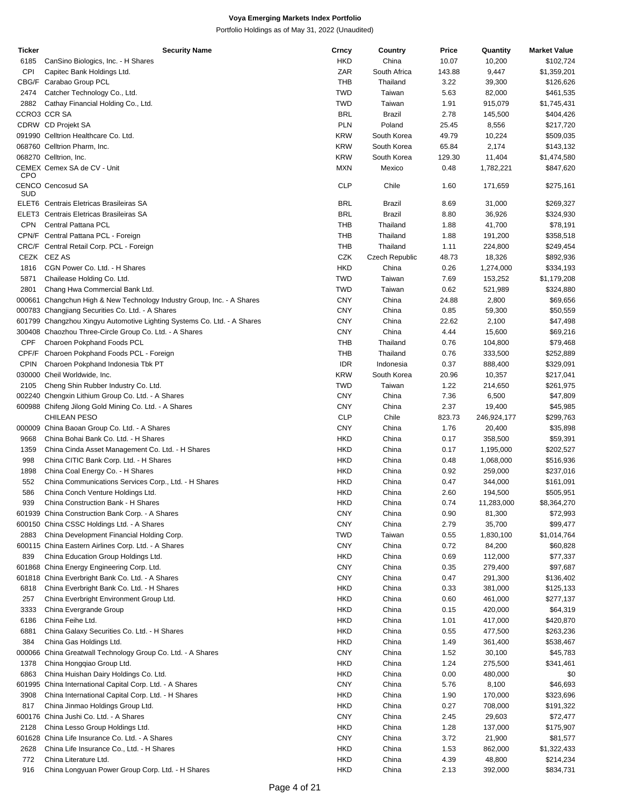| <b>Ticker</b> | <b>Security Name</b>                                                    | Crncy      | Country        | Price  | Quantity    | <b>Market Value</b> |
|---------------|-------------------------------------------------------------------------|------------|----------------|--------|-------------|---------------------|
| 6185          | CanSino Biologics, Inc. - H Shares                                      | <b>HKD</b> | China          | 10.07  | 10,200      | \$102,724           |
| <b>CPI</b>    | Capitec Bank Holdings Ltd.                                              | ZAR        | South Africa   | 143.88 | 9,447       | \$1,359,201         |
|               | CBG/F Carabao Group PCL                                                 | THB        | Thailand       | 3.22   | 39,300      | \$126,626           |
| 2474          | Catcher Technology Co., Ltd.                                            | <b>TWD</b> | Taiwan         | 5.63   | 82,000      | \$461,535           |
|               |                                                                         |            |                |        |             |                     |
| 2882          | Cathay Financial Holding Co., Ltd.                                      | <b>TWD</b> | Taiwan         | 1.91   | 915,079     | \$1,745,431         |
|               | CCRO3 CCR SA                                                            | <b>BRL</b> | <b>Brazil</b>  | 2.78   | 145,500     | \$404,426           |
|               | CDRW CD Projekt SA                                                      | <b>PLN</b> | Poland         | 25.45  | 8,556       | \$217,720           |
|               | 091990 Celltrion Healthcare Co. Ltd.                                    | <b>KRW</b> | South Korea    | 49.79  | 10,224      | \$509,035           |
|               | 068760 Celltrion Pharm, Inc.                                            | <b>KRW</b> | South Korea    | 65.84  | 2,174       | \$143,132           |
|               | 068270 Celltrion, Inc.                                                  | <b>KRW</b> | South Korea    | 129.30 | 11,404      | \$1,474,580         |
|               | CEMEX Cemex SA de CV - Unit                                             | <b>MXN</b> | Mexico         | 0.48   | 1,782,221   | \$847,620           |
| <b>CPO</b>    |                                                                         |            |                |        |             |                     |
| SUD           | <b>CENCO Cencosud SA</b>                                                | <b>CLP</b> | Chile          | 1.60   | 171,659     | \$275,161           |
|               |                                                                         |            |                |        |             |                     |
|               | ELET6 Centrais Eletricas Brasileiras SA                                 | <b>BRL</b> | <b>Brazil</b>  | 8.69   | 31,000      | \$269,327           |
|               | ELET3 Centrais Eletricas Brasileiras SA                                 | <b>BRL</b> | <b>Brazil</b>  | 8.80   | 36,926      | \$324,930           |
| <b>CPN</b>    | Central Pattana PCL                                                     | <b>THB</b> | Thailand       | 1.88   | 41,700      | \$78,191            |
|               | CPN/F Central Pattana PCL - Foreign                                     | <b>THB</b> | Thailand       | 1.88   | 191,200     | \$358,518           |
|               | CRC/F Central Retail Corp. PCL - Foreign                                | THB        | Thailand       | 1.11   | 224,800     | \$249,454           |
|               | CEZK CEZAS                                                              | CZK        | Czech Republic | 48.73  | 18,326      | \$892,936           |
| 1816          | CGN Power Co. Ltd. - H Shares                                           | <b>HKD</b> | China          |        |             |                     |
|               |                                                                         |            |                | 0.26   | 1,274,000   | \$334,193           |
| 5871          | Chailease Holding Co. Ltd.                                              | <b>TWD</b> | Taiwan         | 7.69   | 153,252     | \$1,179,208         |
| 2801          | Chang Hwa Commercial Bank Ltd.                                          | <b>TWD</b> | Taiwan         | 0.62   | 521,989     | \$324,880           |
|               | 000661 Changchun High & New Technology Industry Group, Inc. - A Shares  | <b>CNY</b> | China          | 24.88  | 2,800       | \$69,656            |
|               | 000783 Changjiang Securities Co. Ltd. - A Shares                        | <b>CNY</b> | China          | 0.85   | 59,300      | \$50,559            |
|               | 601799 Changzhou Xingyu Automotive Lighting Systems Co. Ltd. - A Shares | <b>CNY</b> | China          | 22.62  | 2,100       | \$47,498            |
|               | 300408 Chaozhou Three-Circle Group Co. Ltd. - A Shares                  | <b>CNY</b> | China          | 4.44   |             | \$69,216            |
|               |                                                                         |            |                |        | 15,600      |                     |
| <b>CPF</b>    | Charoen Pokphand Foods PCL                                              | THB        | Thailand       | 0.76   | 104,800     | \$79,468            |
| CPF/F         | Charoen Pokphand Foods PCL - Foreign                                    | THB        | Thailand       | 0.76   | 333,500     | \$252,889           |
| <b>CPIN</b>   | Charoen Pokphand Indonesia Tbk PT                                       | <b>IDR</b> | Indonesia      | 0.37   | 888,400     | \$329,091           |
|               | 030000 Cheil Worldwide, Inc.                                            | <b>KRW</b> | South Korea    | 20.96  | 10,357      | \$217,041           |
| 2105          | Cheng Shin Rubber Industry Co. Ltd.                                     | <b>TWD</b> | Taiwan         | 1.22   | 214,650     | \$261,975           |
|               | 002240 Chengxin Lithium Group Co. Ltd. - A Shares                       |            |                |        |             |                     |
|               |                                                                         | <b>CNY</b> | China          | 7.36   | 6,500       | \$47,809            |
|               | 600988 Chifeng Jilong Gold Mining Co. Ltd. - A Shares                   | <b>CNY</b> | China          | 2.37   | 19,400      | \$45,985            |
|               | <b>CHILEAN PESO</b>                                                     | <b>CLP</b> | Chile          | 823.73 | 246,924,177 | \$299,763           |
|               | 000009 China Baoan Group Co. Ltd. - A Shares                            | <b>CNY</b> | China          | 1.76   | 20,400      | \$35,898            |
| 9668          | China Bohai Bank Co. Ltd. - H Shares                                    | <b>HKD</b> | China          | 0.17   | 358,500     | \$59,391            |
| 1359          | China Cinda Asset Management Co. Ltd. - H Shares                        | <b>HKD</b> | China          | 0.17   | 1,195,000   | \$202,527           |
|               |                                                                         |            |                |        | 1,068,000   |                     |
| 998           | China CITIC Bank Corp. Ltd. - H Shares                                  | <b>HKD</b> | China          | 0.48   |             | \$516,936           |
| 1898          | China Coal Energy Co. - H Shares                                        | <b>HKD</b> | China          | 0.92   | 259,000     | \$237,016           |
| 552           | China Communications Services Corp., Ltd. - H Shares                    | <b>HKD</b> | China          | 0.47   | 344,000     | \$161,091           |
| 586           | China Conch Venture Holdings Ltd.                                       | <b>HKD</b> | China          | 2.60   | 194,500     | \$505,951           |
| 939           | China Construction Bank - H Shares                                      | <b>HKD</b> | China          | 0.74   | 11,283,000  | \$8,364,270         |
|               | 601939 China Construction Bank Corp. - A Shares                         | <b>CNY</b> | China          | 0.90   | 81,300      | \$72,993            |
|               | 600150 China CSSC Holdings Ltd. - A Shares                              | <b>CNY</b> | China          | 2.79   | 35,700      | \$99,477            |
|               |                                                                         |            |                |        |             |                     |
| 2883          | China Development Financial Holding Corp.                               | <b>TWD</b> | Taiwan         | 0.55   | 1,830,100   | \$1,014,764         |
|               | 600115 China Eastern Airlines Corp. Ltd. - A Shares                     | <b>CNY</b> | China          | 0.72   | 84,200      | \$60,828            |
| 839           | China Education Group Holdings Ltd.                                     | <b>HKD</b> | China          | 0.69   | 112,000     | \$77,337            |
|               | 601868 China Energy Engineering Corp. Ltd.                              | <b>CNY</b> | China          | 0.35   | 279,400     | \$97,687            |
|               | 601818 China Everbright Bank Co. Ltd. - A Shares                        | <b>CNY</b> | China          | 0.47   | 291,300     | \$136,402           |
|               |                                                                         | <b>HKD</b> | China          |        |             |                     |
| 6818          | China Everbright Bank Co. Ltd. - H Shares                               |            |                | 0.33   | 381,000     | \$125,133           |
| 257           | China Everbright Environment Group Ltd.                                 | <b>HKD</b> | China          | 0.60   | 461,000     | \$277,137           |
| 3333          | China Evergrande Group                                                  | <b>HKD</b> | China          | 0.15   | 420,000     | \$64,319            |
| 6186          | China Feihe Ltd.                                                        | <b>HKD</b> | China          | 1.01   | 417,000     | \$420,870           |
| 6881          | China Galaxy Securities Co. Ltd. - H Shares                             | <b>HKD</b> | China          | 0.55   | 477,500     | \$263,236           |
| 384           | China Gas Holdings Ltd.                                                 | <b>HKD</b> | China          | 1.49   | 361,400     | \$538,467           |
|               |                                                                         |            |                |        |             |                     |
| 000066        | China Greatwall Technology Group Co. Ltd. - A Shares                    | <b>CNY</b> | China          | 1.52   | 30,100      | \$45,783            |
| 1378          | China Hongqiao Group Ltd.                                               | <b>HKD</b> | China          | 1.24   | 275,500     | \$341,461           |
| 6863          | China Huishan Dairy Holdings Co. Ltd.                                   | <b>HKD</b> | China          | 0.00   | 480,000     | \$0                 |
|               | 601995 China International Capital Corp. Ltd. - A Shares                | <b>CNY</b> | China          | 5.76   | 8,100       | \$46,693            |
| 3908          | China International Capital Corp. Ltd. - H Shares                       | <b>HKD</b> | China          | 1.90   | 170,000     | \$323,696           |
|               |                                                                         |            |                |        |             |                     |
| 817           | China Jinmao Holdings Group Ltd.                                        | <b>HKD</b> | China          | 0.27   | 708,000     | \$191,322           |
|               | 600176 China Jushi Co. Ltd. - A Shares                                  | <b>CNY</b> | China          | 2.45   | 29,603      | \$72,477            |
| 2128          | China Lesso Group Holdings Ltd.                                         | <b>HKD</b> | China          | 1.28   | 137,000     | \$175,907           |
|               | 601628 China Life Insurance Co. Ltd. - A Shares                         | <b>CNY</b> | China          | 3.72   | 21,900      | \$81,577            |
| 2628          | China Life Insurance Co., Ltd. - H Shares                               | <b>HKD</b> | China          | 1.53   | 862,000     | \$1,322,433         |
| 772           | China Literature Ltd.                                                   | <b>HKD</b> | China          | 4.39   | 48,800      | \$214,234           |
|               |                                                                         |            |                |        |             |                     |
| 916           | China Longyuan Power Group Corp. Ltd. - H Shares                        | <b>HKD</b> | China          | 2.13   | 392,000     | \$834,731           |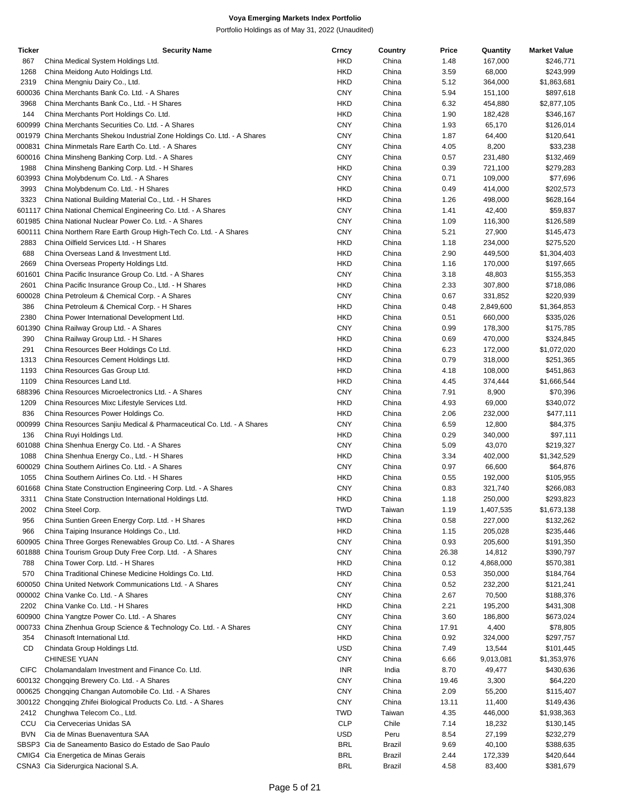| <b>Ticker</b> | <b>Security Name</b>                                                                                                         | Crncy      | Country | Price | Quantity  | <b>Market Value</b> |
|---------------|------------------------------------------------------------------------------------------------------------------------------|------------|---------|-------|-----------|---------------------|
| 867           | China Medical System Holdings Ltd.                                                                                           | <b>HKD</b> | China   | 1.48  | 167,000   | \$246,771           |
| 1268          | China Meidong Auto Holdings Ltd.                                                                                             | <b>HKD</b> | China   | 3.59  | 68,000    | \$243,999           |
| 2319          | China Mengniu Dairy Co., Ltd.                                                                                                | <b>HKD</b> | China   | 5.12  | 364,000   | \$1,863,681         |
|               | 600036 China Merchants Bank Co. Ltd. - A Shares                                                                              | <b>CNY</b> | China   | 5.94  | 151,100   | \$897,618           |
| 3968          | China Merchants Bank Co., Ltd. - H Shares                                                                                    | <b>HKD</b> | China   | 6.32  | 454,880   | \$2,877,105         |
| 144           | China Merchants Port Holdings Co. Ltd.                                                                                       | <b>HKD</b> | China   | 1.90  | 182,428   | \$346,167           |
|               | 600999 China Merchants Securities Co. Ltd. - A Shares                                                                        | <b>CNY</b> | China   | 1.93  | 65,170    | \$126,014           |
|               | 001979 China Merchants Shekou Industrial Zone Holdings Co. Ltd. - A Shares                                                   | <b>CNY</b> | China   | 1.87  | 64,400    | \$120,641           |
|               | 000831 China Minmetals Rare Earth Co. Ltd. - A Shares                                                                        | <b>CNY</b> | China   | 4.05  | 8,200     | \$33,238            |
|               | 600016 China Minsheng Banking Corp. Ltd. - A Shares                                                                          | <b>CNY</b> | China   | 0.57  | 231,480   | \$132,469           |
| 1988          | China Minsheng Banking Corp. Ltd. - H Shares                                                                                 | <b>HKD</b> | China   | 0.39  | 721,100   | \$279,283           |
|               | 603993 China Molybdenum Co. Ltd. - A Shares                                                                                  | <b>CNY</b> | China   | 0.71  | 109,000   | \$77,696            |
| 3993          | China Molybdenum Co. Ltd. - H Shares                                                                                         | <b>HKD</b> | China   | 0.49  | 414,000   | \$202,573           |
| 3323          |                                                                                                                              | <b>HKD</b> | China   | 1.26  | 498,000   | \$628,164           |
|               | China National Building Material Co., Ltd. - H Shares                                                                        | <b>CNY</b> |         |       |           |                     |
|               | 601117 China National Chemical Engineering Co. Ltd. - A Shares                                                               |            | China   | 1.41  | 42,400    | \$59,837            |
|               | 601985 China National Nuclear Power Co. Ltd. - A Shares                                                                      | <b>CNY</b> | China   | 1.09  | 116,300   | \$126,589           |
|               | 600111 China Northern Rare Earth Group High-Tech Co. Ltd. - A Shares                                                         | <b>CNY</b> | China   | 5.21  | 27,900    | \$145,473           |
| 2883          | China Oilfield Services Ltd. - H Shares                                                                                      | <b>HKD</b> | China   | 1.18  | 234,000   | \$275,520           |
| 688           | China Overseas Land & Investment Ltd.                                                                                        | <b>HKD</b> | China   | 2.90  | 449,500   | \$1,304,403         |
| 2669          | China Overseas Property Holdings Ltd.                                                                                        | <b>HKD</b> | China   | 1.16  | 170,000   | \$197,665           |
| 601601        | China Pacific Insurance Group Co. Ltd. - A Shares                                                                            | <b>CNY</b> | China   | 3.18  | 48,803    | \$155,353           |
| 2601          | China Pacific Insurance Group Co., Ltd. - H Shares                                                                           | <b>HKD</b> | China   | 2.33  | 307,800   | \$718,086           |
|               | 600028 China Petroleum & Chemical Corp. - A Shares                                                                           | <b>CNY</b> | China   | 0.67  | 331,852   | \$220,939           |
| 386           | China Petroleum & Chemical Corp. - H Shares                                                                                  | <b>HKD</b> | China   | 0.48  | 2,849,600 | \$1,364,853         |
| 2380          | China Power International Development Ltd.                                                                                   | <b>HKD</b> | China   | 0.51  | 660,000   | \$335,026           |
| 601390        | China Railway Group Ltd. - A Shares                                                                                          | <b>CNY</b> | China   | 0.99  | 178,300   | \$175,785           |
| 390           | China Railway Group Ltd. - H Shares                                                                                          | <b>HKD</b> | China   | 0.69  | 470,000   | \$324,845           |
| 291           | China Resources Beer Holdings Co Ltd.                                                                                        | <b>HKD</b> | China   | 6.23  | 172,000   | \$1,072,020         |
| 1313          | China Resources Cement Holdings Ltd.                                                                                         | <b>HKD</b> | China   | 0.79  | 318,000   | \$251,365           |
| 1193          | China Resources Gas Group Ltd.                                                                                               | <b>HKD</b> | China   | 4.18  | 108,000   | \$451,863           |
| 1109          | China Resources Land Ltd.                                                                                                    | <b>HKD</b> | China   | 4.45  | 374,444   | \$1,666,544         |
|               | 688396 China Resources Microelectronics Ltd. - A Shares                                                                      | <b>CNY</b> | China   | 7.91  | 8,900     | \$70,396            |
| 1209          | China Resources Mixc Lifestyle Services Ltd.                                                                                 | <b>HKD</b> | China   | 4.93  | 69,000    | \$340,072           |
| 836           | China Resources Power Holdings Co.                                                                                           | <b>HKD</b> | China   | 2.06  | 232,000   | \$477,111           |
| 000999        | China Resources Sanjiu Medical & Pharmaceutical Co. Ltd. - A Shares                                                          | <b>CNY</b> | China   | 6.59  | 12,800    | \$84,375            |
| 136           | China Ruyi Holdings Ltd.                                                                                                     | <b>HKD</b> | China   | 0.29  | 340,000   | \$97,111            |
|               | 601088 China Shenhua Energy Co. Ltd. - A Shares                                                                              | <b>CNY</b> | China   | 5.09  | 43,070    | \$219,327           |
| 1088          | China Shenhua Energy Co., Ltd. - H Shares                                                                                    | <b>HKD</b> | China   | 3.34  | 402,000   | \$1,342,529         |
|               | 600029 China Southern Airlines Co. Ltd. - A Shares                                                                           | <b>CNY</b> | China   | 0.97  | 66,600    | \$64,876            |
| 1055          | China Southern Airlines Co. Ltd. - H Shares                                                                                  | <b>HKD</b> | China   | 0.55  | 192,000   | \$105,955           |
|               | 601668 China State Construction Engineering Corp. Ltd. - A Shares                                                            | <b>CNY</b> | China   | 0.83  | 321,740   | \$266,083           |
| 3311          | China State Construction International Holdings Ltd.                                                                         | <b>HKD</b> | China   | 1.18  | 250,000   | \$293,823           |
| 2002          | China Steel Corp.                                                                                                            | <b>TWD</b> | Taiwan  | 1.19  | 1,407,535 | \$1,673,138         |
| 956           | China Suntien Green Energy Corp. Ltd. - H Shares                                                                             | <b>HKD</b> | China   | 0.58  | 227,000   | \$132,262           |
| 966           | China Taiping Insurance Holdings Co., Ltd.                                                                                   | <b>HKD</b> | China   |       | 205,028   | \$235,446           |
|               |                                                                                                                              | <b>CNY</b> |         | 1.15  |           |                     |
|               | 600905 China Three Gorges Renewables Group Co. Ltd. - A Shares<br>601888 China Tourism Group Duty Free Corp. Ltd. - A Shares | <b>CNY</b> | China   | 0.93  | 205,600   | \$191,350           |
|               |                                                                                                                              |            | China   | 26.38 | 14,812    | \$390,797           |
| 788           | China Tower Corp. Ltd. - H Shares                                                                                            | <b>HKD</b> | China   | 0.12  | 4,868,000 | \$570,381           |
| 570           | China Traditional Chinese Medicine Holdings Co. Ltd.                                                                         | HKD        | China   | 0.53  | 350,000   | \$184,764           |
|               | 600050 China United Network Communications Ltd. - A Shares                                                                   | <b>CNY</b> | China   | 0.52  | 232,200   | \$121,241           |
|               | 000002 China Vanke Co. Ltd. - A Shares                                                                                       | <b>CNY</b> | China   | 2.67  | 70,500    | \$188,376           |
| 2202          | China Vanke Co. Ltd. - H Shares                                                                                              | <b>HKD</b> | China   | 2.21  | 195,200   | \$431,308           |
|               | 600900 China Yangtze Power Co. Ltd. - A Shares                                                                               | <b>CNY</b> | China   | 3.60  | 186,800   | \$673,024           |
|               | 000733 China Zhenhua Group Science & Technology Co. Ltd. - A Shares                                                          | <b>CNY</b> | China   | 17.91 | 4,400     | \$78,805            |
| 354           | Chinasoft International Ltd.                                                                                                 | <b>HKD</b> | China   | 0.92  | 324,000   | \$297,757           |
| CD            | Chindata Group Holdings Ltd.                                                                                                 | <b>USD</b> | China   | 7.49  | 13,544    | \$101,445           |
|               | CHINESE YUAN                                                                                                                 | <b>CNY</b> | China   | 6.66  | 9,013,081 | \$1,353,976         |
| <b>CIFC</b>   | Cholamandalam Investment and Finance Co. Ltd.                                                                                | <b>INR</b> | India   | 8.70  | 49,477    | \$430,636           |
|               | 600132 Chongqing Brewery Co. Ltd. - A Shares                                                                                 | <b>CNY</b> | China   | 19.46 | 3,300     | \$64,220            |
|               | 000625 Chongqing Changan Automobile Co. Ltd. - A Shares                                                                      | <b>CNY</b> | China   | 2.09  | 55,200    | \$115,407           |
|               | 300122 Chongqing Zhifei Biological Products Co. Ltd. - A Shares                                                              | <b>CNY</b> | China   | 13.11 | 11,400    | \$149,436           |
| 2412          | Chunghwa Telecom Co., Ltd.                                                                                                   | <b>TWD</b> | Taiwan  | 4.35  | 446,000   | \$1,938,363         |
| CCU           | Cia Cervecerias Unidas SA                                                                                                    | <b>CLP</b> | Chile   | 7.14  | 18,232    | \$130,145           |
| <b>BVN</b>    | Cia de Minas Buenaventura SAA                                                                                                | <b>USD</b> | Peru    | 8.54  | 27,199    | \$232,279           |
|               | SBSP3 Cia de Saneamento Basico do Estado de Sao Paulo                                                                        | <b>BRL</b> | Brazil  | 9.69  | 40,100    | \$388,635           |
|               | CMIG4 Cia Energetica de Minas Gerais                                                                                         | <b>BRL</b> | Brazil  | 2.44  | 172,339   | \$420,644           |
|               | CSNA3 Cia Siderurgica Nacional S.A.                                                                                          | <b>BRL</b> | Brazil  | 4.58  | 83,400    | \$381,679           |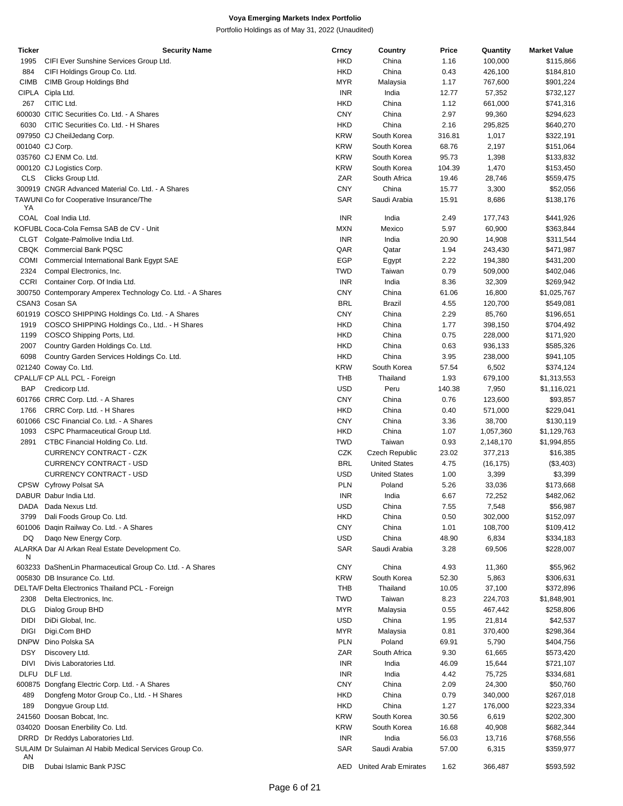| Ticker      | Security Name                                              | Crncy      | Country              | Price  | Quantity  | <b>Market Value</b> |
|-------------|------------------------------------------------------------|------------|----------------------|--------|-----------|---------------------|
| 1995        | CIFI Ever Sunshine Services Group Ltd.                     | <b>HKD</b> | China                | 1.16   | 100,000   | \$115,866           |
| 884         | CIFI Holdings Group Co. Ltd.                               | <b>HKD</b> | China                | 0.43   | 426,100   | \$184,810           |
|             |                                                            |            |                      |        |           |                     |
| <b>CIMB</b> | CIMB Group Holdings Bhd                                    | <b>MYR</b> | Malaysia             | 1.17   | 767,600   | \$901,224           |
|             | CIPLA Cipla Ltd.                                           | <b>INR</b> | India                | 12.77  | 57,352    | \$732,127           |
| 267         | CITIC Ltd.                                                 | <b>HKD</b> | China                | 1.12   | 661,000   | \$741,316           |
|             | 600030 CITIC Securities Co. Ltd. - A Shares                | <b>CNY</b> | China                | 2.97   | 99,360    | \$294,623           |
| 6030        | CITIC Securities Co. Ltd. - H Shares                       | <b>HKD</b> | China                | 2.16   | 295,825   | \$640,270           |
|             |                                                            |            |                      |        |           |                     |
|             | 097950 CJ CheilJedang Corp.                                | <b>KRW</b> | South Korea          | 316.81 | 1,017     | \$322,191           |
|             | 001040 CJ Corp.                                            | <b>KRW</b> | South Korea          | 68.76  | 2,197     | \$151,064           |
|             | 035760 CJ ENM Co. Ltd.                                     | <b>KRW</b> | South Korea          | 95.73  | 1,398     | \$133,832           |
|             |                                                            | <b>KRW</b> | South Korea          |        |           |                     |
|             | 000120 CJ Logistics Corp.                                  |            |                      | 104.39 | 1,470     | \$153,450           |
| CLS.        | Clicks Group Ltd.                                          | ZAR        | South Africa         | 19.46  | 28,746    | \$559,475           |
|             | 300919 CNGR Advanced Material Co. Ltd. - A Shares          | <b>CNY</b> | China                | 15.77  | 3,300     | \$52,056            |
|             | TAWUNI Co for Cooperative Insurance/The                    | <b>SAR</b> | Saudi Arabia         | 15.91  | 8,686     | \$138,176           |
| YA          |                                                            |            |                      |        |           |                     |
|             | COAL Coal India Ltd.                                       | <b>INR</b> | India                | 2.49   | 177,743   | \$441,926           |
|             |                                                            |            |                      |        |           |                     |
|             | KOFUBL Coca-Cola Femsa SAB de CV - Unit                    | <b>MXN</b> | Mexico               | 5.97   | 60,900    | \$363,844           |
|             | CLGT Colgate-Palmolive India Ltd.                          | <b>INR</b> | India                | 20.90  | 14,908    | \$311,544           |
|             | CBQK Commercial Bank PQSC                                  | QAR        | Qatar                | 1.94   | 243,430   | \$471,987           |
| <b>COMI</b> | Commercial International Bank Egypt SAE                    | <b>EGP</b> |                      | 2.22   | 194,380   | \$431,200           |
|             |                                                            |            | Egypt                |        |           |                     |
| 2324        | Compal Electronics, Inc.                                   | <b>TWD</b> | Taiwan               | 0.79   | 509,000   | \$402,046           |
|             | CCRI Container Corp. Of India Ltd.                         | <b>INR</b> | India                | 8.36   | 32,309    | \$269,942           |
|             | 300750 Contemporary Amperex Technology Co. Ltd. - A Shares | <b>CNY</b> | China                | 61.06  | 16,800    | \$1,025,767         |
|             | CSAN3 Cosan SA                                             | <b>BRL</b> |                      |        |           |                     |
|             |                                                            |            | Brazil               | 4.55   | 120,700   | \$549,081           |
|             | 601919 COSCO SHIPPING Holdings Co. Ltd. - A Shares         | <b>CNY</b> | China                | 2.29   | 85,760    | \$196,651           |
| 1919        | COSCO SHIPPING Holdings Co., Ltd - H Shares                | <b>HKD</b> | China                | 1.77   | 398,150   | \$704,492           |
| 1199        | COSCO Shipping Ports, Ltd.                                 | <b>HKD</b> | China                | 0.75   | 228,000   | \$171,920           |
| 2007        | Country Garden Holdings Co. Ltd.                           | <b>HKD</b> | China                |        |           |                     |
|             |                                                            |            |                      | 0.63   | 936,133   | \$585,326           |
| 6098        | Country Garden Services Holdings Co. Ltd.                  | <b>HKD</b> | China                | 3.95   | 238,000   | \$941,105           |
|             | 021240 Coway Co. Ltd.                                      | <b>KRW</b> | South Korea          | 57.54  | 6,502     | \$374,124           |
|             | CPALL/F CP ALL PCL - Foreign                               | <b>THB</b> | Thailand             | 1.93   | 679,100   | \$1,313,553         |
| <b>BAP</b>  |                                                            | <b>USD</b> | Peru                 | 140.38 | 7,950     |                     |
|             | Credicorp Ltd.                                             |            |                      |        |           | \$1,116,021         |
|             | 601766 CRRC Corp. Ltd. - A Shares                          | <b>CNY</b> | China                | 0.76   | 123,600   | \$93,857            |
| 1766        | CRRC Corp. Ltd. - H Shares                                 | <b>HKD</b> | China                | 0.40   | 571,000   | \$229,041           |
|             | 601066 CSC Financial Co. Ltd. - A Shares                   | <b>CNY</b> | China                | 3.36   | 38,700    | \$130,119           |
|             |                                                            |            |                      |        |           |                     |
| 1093        | CSPC Pharmaceutical Group Ltd.                             | <b>HKD</b> | China                | 1.07   | 1,057,360 | \$1,129,763         |
| 2891        | CTBC Financial Holding Co. Ltd.                            | <b>TWD</b> | Taiwan               | 0.93   | 2,148,170 | \$1,994,855         |
|             | CURRENCY CONTRACT - CZK                                    | CZK        | Czech Republic       | 23.02  | 377,213   | \$16,385            |
|             | <b>CURRENCY CONTRACT - USD</b>                             | <b>BRL</b> | <b>United States</b> | 4.75   | (16, 175) | (\$3,403)           |
|             |                                                            |            |                      |        |           |                     |
|             | <b>CURRENCY CONTRACT - USD</b>                             | <b>USD</b> | <b>United States</b> | 1.00   | 3,399     | \$3,399             |
|             | CPSW Cyfrowy Polsat SA                                     | <b>PLN</b> | Poland               | 5.26   | 33,036    | \$173,668           |
|             | DABUR Dabur India Ltd.                                     | <b>INR</b> | India                | 6.67   | 72,252    | \$482,062           |
| DADA        | Dada Nexus Ltd.                                            | USD        | China                | 7.55   | 7,548     | \$56,987            |
|             |                                                            |            |                      |        |           |                     |
| 3799        | Dali Foods Group Co. Ltd.                                  | <b>HKD</b> | China                | 0.50   | 302,000   | \$152,097           |
|             | 601006 Daqin Railway Co. Ltd. - A Shares                   | <b>CNY</b> | China                | 1.01   | 108,700   | \$109,412           |
| DQ          | Dago New Energy Corp.                                      | <b>USD</b> | China                | 48.90  | 6,834     | \$334,183           |
|             | ALARKA Dar Al Arkan Real Estate Development Co.            | <b>SAR</b> | Saudi Arabia         | 3.28   | 69,506    | \$228,007           |
| N           |                                                            |            |                      |        |           |                     |
|             | 603233 DaShenLin Pharmaceutical Group Co. Ltd. - A Shares  | <b>CNY</b> | China                | 4.93   | 11,360    | \$55,962            |
|             |                                                            |            |                      |        |           |                     |
|             | 005830 DB Insurance Co. Ltd.                               | <b>KRW</b> | South Korea          | 52.30  | 5,863     | \$306,631           |
|             | DELTA/F Delta Electronics Thailand PCL - Foreign           | THB        | Thailand             | 10.05  | 37,100    | \$372,896           |
| 2308        | Delta Electronics, Inc.                                    | <b>TWD</b> | Taiwan               | 8.23   | 224,703   | \$1,848,901         |
|             |                                                            |            |                      |        |           |                     |
| <b>DLG</b>  | Dialog Group BHD                                           | <b>MYR</b> | Malaysia             | 0.55   | 467,442   | \$258,806           |
| DIDI        | DiDi Global, Inc.                                          | <b>USD</b> | China                | 1.95   | 21,814    | \$42,537            |
| <b>DIGI</b> | Digi.Com BHD                                               | <b>MYR</b> | Malaysia             | 0.81   | 370,400   | \$298,364           |
|             | DNPW Dino Polska SA                                        | <b>PLN</b> | Poland               | 69.91  | 5,790     | \$404,756           |
|             |                                                            |            |                      |        |           |                     |
| <b>DSY</b>  | Discovery Ltd.                                             | ZAR        | South Africa         | 9.30   | 61,665    | \$573,420           |
| DIVI        | Divis Laboratories Ltd.                                    | <b>INR</b> | India                | 46.09  | 15,644    | \$721,107           |
|             | DLFU DLF Ltd.                                              | <b>INR</b> | India                | 4.42   | 75,725    | \$334,681           |
|             | 600875 Dongfang Electric Corp. Ltd. - A Shares             | <b>CNY</b> | China                | 2.09   | 24,300    | \$50,760            |
|             |                                                            |            |                      |        |           |                     |
| 489         | Dongfeng Motor Group Co., Ltd. - H Shares                  | <b>HKD</b> | China                | 0.79   | 340,000   | \$267,018           |
| 189         | Dongyue Group Ltd.                                         | <b>HKD</b> | China                | 1.27   | 176,000   | \$223,334           |
|             | 241560 Doosan Bobcat, Inc.                                 | <b>KRW</b> | South Korea          | 30.56  | 6,619     | \$202,300           |
|             | 034020 Doosan Enerbility Co. Ltd.                          | <b>KRW</b> | South Korea          | 16.68  | 40,908    | \$682,344           |
|             |                                                            |            |                      |        |           |                     |
|             | DRRD Dr Reddys Laboratories Ltd.                           | <b>INR</b> | India                | 56.03  | 13,716    | \$768,556           |
|             | SULAIM Dr Sulaiman Al Habib Medical Services Group Co.     | SAR        | Saudi Arabia         | 57.00  | 6,315     | \$359,977           |
| AN          |                                                            |            |                      |        |           |                     |
| DIB         | Dubai Islamic Bank PJSC                                    | AED        | United Arab Emirates | 1.62   | 366,487   | \$593,592           |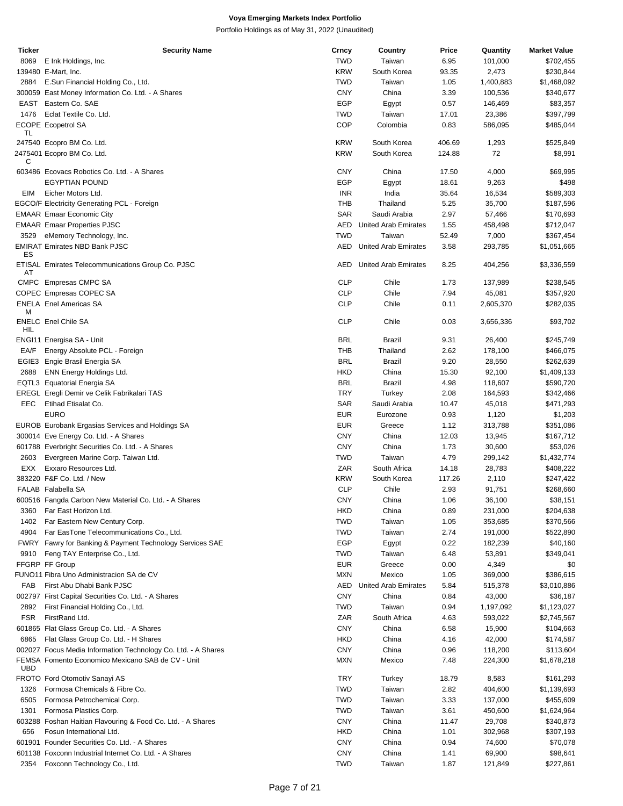| <b>Ticker</b>      | <b>Security Name</b>                                          | Crncy             | Country                | Price        | Quantity             | <b>Market Value</b>        |
|--------------------|---------------------------------------------------------------|-------------------|------------------------|--------------|----------------------|----------------------------|
| 8069               | E Ink Holdings, Inc.                                          | <b>TWD</b>        | Taiwan                 | 6.95         | 101,000              | \$702,455                  |
|                    | 139480 E-Mart, Inc.                                           | <b>KRW</b>        | South Korea            | 93.35        | 2,473                | \$230,844                  |
| 2884               | E.Sun Financial Holding Co., Ltd.                             | <b>TWD</b>        | Taiwan                 | 1.05         | 1,400,883            | \$1,468,092                |
|                    |                                                               |                   | China                  |              |                      |                            |
|                    | 300059 East Money Information Co. Ltd. - A Shares             | <b>CNY</b>        |                        | 3.39         | 100,536              | \$340,677                  |
|                    | EAST Eastern Co. SAE                                          | <b>EGP</b>        | Egypt                  | 0.57         | 146,469              | \$83,357                   |
| 1476               | Eclat Textile Co. Ltd.                                        | <b>TWD</b>        | Taiwan                 | 17.01        | 23,386               | \$397,799                  |
| TL                 | ECOPE Ecopetrol SA                                            | <b>COP</b>        | Colombia               | 0.83         | 586,095              | \$485,044                  |
|                    | 247540 Ecopro BM Co. Ltd.                                     | <b>KRW</b>        | South Korea            | 406.69       | 1,293                | \$525,849                  |
|                    | 2475401 Ecopro BM Co. Ltd.                                    | <b>KRW</b>        | South Korea            | 124.88       | 72                   | \$8,991                    |
| С                  |                                                               |                   |                        |              |                      |                            |
|                    | 603486 Ecovacs Robotics Co. Ltd. - A Shares                   | <b>CNY</b>        | China                  | 17.50        | 4,000                | \$69,995                   |
|                    | <b>EGYPTIAN POUND</b>                                         | EGP               | Egypt                  | 18.61        | 9,263                | \$498                      |
| EIM                | Eicher Motors Ltd.                                            | <b>INR</b>        | India                  | 35.64        | 16,534               | \$589,303                  |
|                    | EGCO/F Electricity Generating PCL - Foreign                   | THB               | Thailand               | 5.25         | 35,700               | \$187,596                  |
|                    | <b>EMAAR Emaar Economic City</b>                              | <b>SAR</b>        | Saudi Arabia           | 2.97         | 57,466               | \$170,693                  |
|                    | <b>EMAAR Emaar Properties PJSC</b>                            | AED               | United Arab Emirates   | 1.55         | 458,498              | \$712,047                  |
| 3529               |                                                               | <b>TWD</b>        | Taiwan                 | 52.49        | 7,000                | \$367,454                  |
|                    | eMemory Technology, Inc.                                      |                   |                        |              |                      |                            |
| ES                 | <b>EMIRAT Emirates NBD Bank PJSC</b>                          | AED               | United Arab Emirates   | 3.58         | 293,785              | \$1,051,665                |
| AT                 | ETISAL Emirates Telecommunications Group Co. PJSC             | AED               | United Arab Emirates   | 8.25         | 404,256              | \$3,336,559                |
|                    | CMPC Empresas CMPC SA                                         | <b>CLP</b>        | Chile                  | 1.73         | 137,989              | \$238,545                  |
|                    | COPEC Empresas COPEC SA                                       | <b>CLP</b>        | Chile                  | 7.94         | 45,081               | \$357,920                  |
|                    |                                                               | <b>CLP</b>        |                        |              | 2,605,370            |                            |
| M                  | <b>ENELA</b> Enel Americas SA                                 |                   | Chile                  | 0.11         |                      | \$282,035                  |
| HIL                | <b>ENELC</b> Enel Chile SA                                    | <b>CLP</b>        | Chile                  | 0.03         | 3,656,336            | \$93,702                   |
|                    | ENGI11 Energisa SA - Unit                                     | <b>BRL</b>        | Brazil                 | 9.31         | 26,400               | \$245,749                  |
| EA/F               |                                                               | THB               | Thailand               | 2.62         | 178,100              | \$466,075                  |
|                    | Energy Absolute PCL - Foreign                                 |                   |                        |              |                      |                            |
|                    | EGIE3 Engie Brasil Energia SA                                 | <b>BRL</b>        | <b>Brazil</b>          | 9.20         | 28,550               | \$262,639                  |
| 2688               | ENN Energy Holdings Ltd.                                      | <b>HKD</b>        | China                  | 15.30        | 92,100               | \$1,409,133                |
|                    | EQTL3 Equatorial Energia SA                                   | <b>BRL</b>        | Brazil                 | 4.98         | 118,607              | \$590,720                  |
|                    | EREGL Eregli Demir ve Celik Fabrikalari TAS                   | <b>TRY</b>        | Turkey                 | 2.08         | 164,593              | \$342,466                  |
| EEC                | Etihad Etisalat Co.                                           | <b>SAR</b>        | Saudi Arabia           | 10.47        | 45,018               | \$471,293                  |
|                    | <b>EURO</b>                                                   | <b>EUR</b>        | Eurozone               | 0.93         | 1,120                | \$1,203                    |
|                    | EUROB Eurobank Ergasias Services and Holdings SA              | <b>EUR</b>        | Greece                 | 1.12         | 313,788              | \$351,086                  |
|                    |                                                               |                   |                        |              |                      |                            |
|                    | 300014 Eve Energy Co. Ltd. - A Shares                         | <b>CNY</b>        | China                  | 12.03        | 13,945               | \$167,712                  |
|                    | 601788 Everbright Securities Co. Ltd. - A Shares              | <b>CNY</b>        | China                  | 1.73         | 30,600               | \$53,026                   |
| 2603               | Evergreen Marine Corp. Taiwan Ltd.                            | <b>TWD</b>        | Taiwan                 | 4.79         | 299,142              | \$1,432,774                |
| EXX                | Exxaro Resources Ltd.                                         | ZAR               | South Africa           | 14.18        | 28,783               | \$408,222                  |
|                    | 383220 F&F Co. Ltd. / New                                     | <b>KRW</b>        | South Korea            | 117.26       | 2,110                | \$247,422                  |
|                    | FALAB Falabella SA                                            | <b>CLP</b>        | Chile                  | 2.93         | 91,751               | \$268,660                  |
|                    | 600516 Fangda Carbon New Material Co. Ltd. - A Shares         | <b>CNY</b>        | China                  | 1.06         | 36,100               | \$38,151                   |
| 3360               | Far East Horizon Ltd.                                         | <b>HKD</b>        | China                  | 0.89         | 231,000              | \$204,638                  |
|                    |                                                               |                   |                        |              |                      | \$370,566                  |
| 1402               | Far Eastern New Century Corp.                                 | <b>TWD</b>        | Taiwan                 | 1.05         | 353,685              |                            |
| 4904               | Far EasTone Telecommunications Co., Ltd.                      | <b>TWD</b>        | Taiwan                 | 2.74         | 191,000              | \$522,890                  |
|                    | FWRY Fawry for Banking & Payment Technology Services SAE      | <b>EGP</b>        | Egypt                  | 0.22         | 182,239              | \$40,160                   |
| 9910               | Feng TAY Enterprise Co., Ltd.                                 | <b>TWD</b>        | Taiwan                 | 6.48         | 53,891               | \$349,041                  |
|                    | FFGRP FF Group                                                | <b>EUR</b>        | Greece                 | 0.00         | 4,349                | \$0                        |
|                    | FUNO11 Fibra Uno Administracion SA de CV                      | <b>MXN</b>        | Mexico                 | 1.05         | 369,000              | \$386,615                  |
| FAB                | First Abu Dhabi Bank PJSC                                     | AED               | United Arab Emirates   | 5.84         | 515,378              | \$3,010,886                |
|                    | 002797 First Capital Securities Co. Ltd. - A Shares           | <b>CNY</b>        | China                  | 0.84         | 43,000               | \$36,187                   |
|                    |                                                               |                   |                        |              |                      |                            |
| 2892<br><b>FSR</b> | First Financial Holding Co., Ltd.<br>FirstRand Ltd.           | <b>TWD</b><br>ZAR | Taiwan<br>South Africa | 0.94<br>4.63 | 1,197,092<br>593,022 | \$1,123,027<br>\$2,745,567 |
|                    | 601865 Flat Glass Group Co. Ltd. - A Shares                   | <b>CNY</b>        | China                  | 6.58         | 15,900               | \$104,663                  |
|                    |                                                               |                   |                        |              |                      |                            |
| 6865               | Flat Glass Group Co. Ltd. - H Shares                          | <b>HKD</b>        | China                  | 4.16         | 42,000               | \$174,587                  |
|                    | 002027 Focus Media Information Technology Co. Ltd. - A Shares | <b>CNY</b>        | China                  | 0.96         | 118,200              | \$113,604                  |
| <b>UBD</b>         | FEMSA Fomento Economico Mexicano SAB de CV - Unit             | <b>MXN</b>        | Mexico                 | 7.48         | 224,300              | \$1,678,218                |
|                    | FROTO Ford Otomotiv Sanayi AS                                 | <b>TRY</b>        | Turkey                 | 18.79        | 8,583                | \$161,293                  |
| 1326               | Formosa Chemicals & Fibre Co.                                 | <b>TWD</b>        | Taiwan                 | 2.82         | 404,600              | \$1,139,693                |
| 6505               | Formosa Petrochemical Corp.                                   | <b>TWD</b>        | Taiwan                 | 3.33         | 137,000              | \$455,609                  |
| 1301               | Formosa Plastics Corp.                                        | <b>TWD</b>        | Taiwan                 | 3.61         | 450,600              | \$1,624,964                |
|                    |                                                               |                   |                        |              |                      |                            |
|                    | 603288 Foshan Haitian Flavouring & Food Co. Ltd. - A Shares   | <b>CNY</b>        | China                  | 11.47        | 29,708               | \$340,873                  |
| 656                | Fosun International Ltd.                                      | <b>HKD</b>        | China                  | 1.01         | 302,968              | \$307,193                  |
|                    | 601901 Founder Securities Co. Ltd. - A Shares                 | <b>CNY</b>        | China                  | 0.94         | 74,600               | \$70,078                   |
|                    | 601138 Foxconn Industrial Internet Co. Ltd. - A Shares        | <b>CNY</b>        | China                  | 1.41         | 69,900               | \$98,641                   |
| 2354               | Foxconn Technology Co., Ltd.                                  | <b>TWD</b>        | Taiwan                 | 1.87         | 121,849              | \$227,861                  |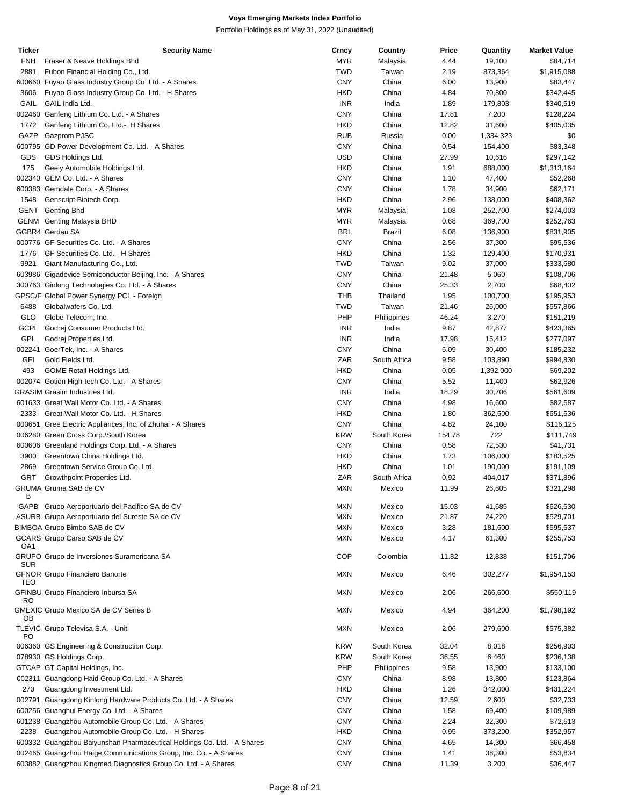| <b>Ticker</b> | <b>Security Name</b>                                                    | Crncy      | Country      | Price  | Quantity  | <b>Market Value</b> |
|---------------|-------------------------------------------------------------------------|------------|--------------|--------|-----------|---------------------|
| <b>FNH</b>    | Fraser & Neave Holdings Bhd                                             | MYR        | Malaysia     | 4.44   | 19,100    | \$84,714            |
| 2881          | Fubon Financial Holding Co., Ltd.                                       | <b>TWD</b> | Taiwan       | 2.19   | 873,364   | \$1,915,088         |
| 600660        | Fuyao Glass Industry Group Co. Ltd. - A Shares                          | <b>CNY</b> | China        | 6.00   | 13,900    | \$83,447            |
| 3606          | Fuyao Glass Industry Group Co. Ltd. - H Shares                          | <b>HKD</b> | China        | 4.84   | 70,800    | \$342,445           |
| GAIL          | GAIL India Ltd.                                                         | <b>INR</b> | India        | 1.89   | 179,803   | \$340,519           |
|               |                                                                         |            |              |        |           |                     |
|               | 002460 Ganfeng Lithium Co. Ltd. - A Shares                              | <b>CNY</b> | China        | 17.81  | 7,200     | \$128,224           |
| 1772          | Ganfeng Lithium Co. Ltd.- H Shares                                      | <b>HKD</b> | China        | 12.82  | 31,600    | \$405,035           |
| GAZP          | Gazprom PJSC                                                            | <b>RUB</b> | Russia       | 0.00   | 1,334,323 | \$0                 |
|               | 600795 GD Power Development Co. Ltd. - A Shares                         | <b>CNY</b> | China        | 0.54   | 154,400   | \$83,348            |
| GDS           | GDS Holdings Ltd.                                                       | <b>USD</b> | China        | 27.99  | 10,616    | \$297,142           |
| 175           | Geely Automobile Holdings Ltd.                                          | <b>HKD</b> | China        | 1.91   | 688,000   | \$1,313,164         |
|               | 002340 GEM Co. Ltd. - A Shares                                          | <b>CNY</b> | China        | 1.10   | 47,400    | \$52,268            |
|               | 600383 Gemdale Corp. - A Shares                                         | <b>CNY</b> | China        | 1.78   | 34,900    | \$62,171            |
| 1548          | Genscript Biotech Corp.                                                 | <b>HKD</b> | China        | 2.96   | 138,000   | \$408,362           |
|               |                                                                         |            |              |        |           |                     |
| GENT          | Genting Bhd                                                             | <b>MYR</b> | Malaysia     | 1.08   | 252,700   | \$274,003           |
|               | <b>GENM</b> Genting Malaysia BHD                                        | MYR        | Malaysia     | 0.68   | 369,700   | \$252,763           |
|               | GGBR4 Gerdau SA                                                         | <b>BRL</b> | Brazil       | 6.08   | 136,900   | \$831,905           |
|               | 000776 GF Securities Co. Ltd. - A Shares                                | <b>CNY</b> | China        | 2.56   | 37,300    | \$95,536            |
| 1776          | GF Securities Co. Ltd. - H Shares                                       | <b>HKD</b> | China        | 1.32   | 129,400   | \$170,931           |
| 9921          | Giant Manufacturing Co., Ltd.                                           | <b>TWD</b> | Taiwan       | 9.02   | 37,000    | \$333,680           |
|               | 603986 Gigadevice Semiconductor Beijing, Inc. - A Shares                | <b>CNY</b> | China        | 21.48  | 5,060     | \$108,706           |
|               | 300763 Ginlong Technologies Co. Ltd. - A Shares                         | <b>CNY</b> | China        | 25.33  | 2,700     | \$68,402            |
|               | GPSC/F Global Power Synergy PCL - Foreign                               | <b>THB</b> | Thailand     | 1.95   | 100,700   | \$195,953           |
|               |                                                                         |            |              |        |           |                     |
| 6488          | Globalwafers Co. Ltd.                                                   | TWD        | Taiwan       | 21.46  | 26,000    | \$557,866           |
| GLO           | Globe Telecom, Inc.                                                     | PHP        | Philippines  | 46.24  | 3,270     | \$151,219           |
| GCPL          | Godrej Consumer Products Ltd.                                           | <b>INR</b> | India        | 9.87   | 42,877    | \$423,365           |
| <b>GPL</b>    | Godrej Properties Ltd.                                                  | <b>INR</b> | India        | 17.98  | 15,412    | \$277,097           |
|               | 002241 GoerTek, Inc. - A Shares                                         | <b>CNY</b> | China        | 6.09   | 30,400    | \$185,232           |
| GFI           | Gold Fields Ltd.                                                        | ZAR        | South Africa | 9.58   | 103,890   | \$994,830           |
| 493           | GOME Retail Holdings Ltd.                                               | <b>HKD</b> | China        | 0.05   | 1,392,000 | \$69,202            |
|               | 002074 Gotion High-tech Co. Ltd. - A Shares                             | <b>CNY</b> | China        | 5.52   | 11,400    | \$62,926            |
|               | <b>GRASIM Grasim Industries Ltd.</b>                                    | <b>INR</b> | India        | 18.29  | 30,706    |                     |
|               |                                                                         |            |              |        |           | \$561,609           |
|               | 601633 Great Wall Motor Co. Ltd. - A Shares                             | <b>CNY</b> | China        | 4.98   | 16,600    | \$82,587            |
| 2333          | Great Wall Motor Co. Ltd. - H Shares                                    | <b>HKD</b> | China        | 1.80   | 362,500   | \$651,536           |
|               | 000651 Gree Electric Appliances, Inc. of Zhuhai - A Shares              | <b>CNY</b> | China        | 4.82   | 24,100    | \$116,125           |
|               | 006280 Green Cross Corp./South Korea                                    | <b>KRW</b> | South Korea  | 154.78 | 722       | \$111,749           |
|               | 600606 Greenland Holdings Corp. Ltd. - A Shares                         | <b>CNY</b> | China        | 0.58   | 72,530    | \$41,731            |
| 3900          | Greentown China Holdings Ltd.                                           | <b>HKD</b> | China        | 1.73   | 106,000   | \$183,525           |
| 2869          | Greentown Service Group Co. Ltd.                                        | <b>HKD</b> | China        | 1.01   | 190,000   | \$191,109           |
| GRT           | Growthpoint Properties Ltd.                                             | ZAR        | South Africa | 0.92   | 404,017   | \$371,896           |
|               | GRUMA Gruma SAB de CV                                                   | <b>MXN</b> | Mexico       | 11.99  | 26,805    | \$321,298           |
| В             |                                                                         |            |              |        |           |                     |
|               | GAPB Grupo Aeroportuario del Pacifico SA de CV                          | MXN        | Mexico       | 15.03  | 41,685    | \$626,530           |
|               | ASURB Grupo Aeroportuario del Sureste SA de CV                          | <b>MXN</b> | Mexico       | 21.87  | 24,220    | \$529,701           |
|               |                                                                         |            |              |        |           |                     |
|               | BIMBOA Grupo Bimbo SAB de CV                                            | <b>MXN</b> | Mexico       | 3.28   | 181,600   | \$595,537           |
| OA1           | GCARS Grupo Carso SAB de CV                                             | <b>MXN</b> | Mexico       | 4.17   | 61,300    | \$255,753           |
| <b>SUR</b>    | GRUPO Grupo de Inversiones Suramericana SA                              | COP        | Colombia     | 11.82  | 12,838    | \$151,706           |
| TEO           | <b>GFNOR Grupo Financiero Banorte</b>                                   | <b>MXN</b> | Mexico       | 6.46   | 302,277   | \$1,954,153         |
| RO            | GFINBU Grupo Financiero Inbursa SA                                      | <b>MXN</b> | Mexico       | 2.06   | 266,600   | \$550,119           |
| OВ            | GMEXIC Grupo Mexico SA de CV Series B                                   | <b>MXN</b> | Mexico       | 4.94   | 364,200   | \$1,798,192         |
| PO            | TLEVIC Grupo Televisa S.A. - Unit                                       | <b>MXN</b> | Mexico       | 2.06   | 279,600   | \$575,382           |
|               | 006360 GS Engineering & Construction Corp.                              | <b>KRW</b> | South Korea  | 32.04  | 8,018     | \$256,903           |
|               | 078930 GS Holdings Corp.                                                | <b>KRW</b> | South Korea  | 36.55  | 6,460     | \$236,138           |
|               | GTCAP GT Capital Holdings, Inc.                                         | PHP        | Philippines  | 9.58   | 13,900    | \$133,100           |
|               | 002311 Guangdong Haid Group Co. Ltd. - A Shares                         | <b>CNY</b> | China        | 8.98   | 13,800    | \$123,864           |
| 270           | Guangdong Investment Ltd.                                               | <b>HKD</b> | China        | 1.26   | 342,000   | \$431,224           |
|               | 002791 Guangdong Kinlong Hardware Products Co. Ltd. - A Shares          | <b>CNY</b> | China        | 12.59  | 2,600     | \$32,733            |
|               |                                                                         |            |              |        |           |                     |
|               | 600256 Guanghui Energy Co. Ltd. - A Shares                              | <b>CNY</b> | China        | 1.58   | 69,400    | \$109,989           |
|               | 601238 Guangzhou Automobile Group Co. Ltd. - A Shares                   | <b>CNY</b> | China        | 2.24   | 32,300    | \$72,513            |
| 2238          | Guangzhou Automobile Group Co. Ltd. - H Shares                          | <b>HKD</b> | China        | 0.95   | 373,200   | \$352,957           |
|               | 600332 Guangzhou Baiyunshan Pharmaceutical Holdings Co. Ltd. - A Shares | <b>CNY</b> | China        | 4.65   | 14,300    | \$66,458            |
|               | 002465 Guangzhou Haige Communications Group, Inc. Co. - A Shares        | <b>CNY</b> | China        | 1.41   | 38,300    | \$53,834            |
|               | 603882 Guangzhou Kingmed Diagnostics Group Co. Ltd. - A Shares          | <b>CNY</b> | China        | 11.39  | 3,200     | \$36,447            |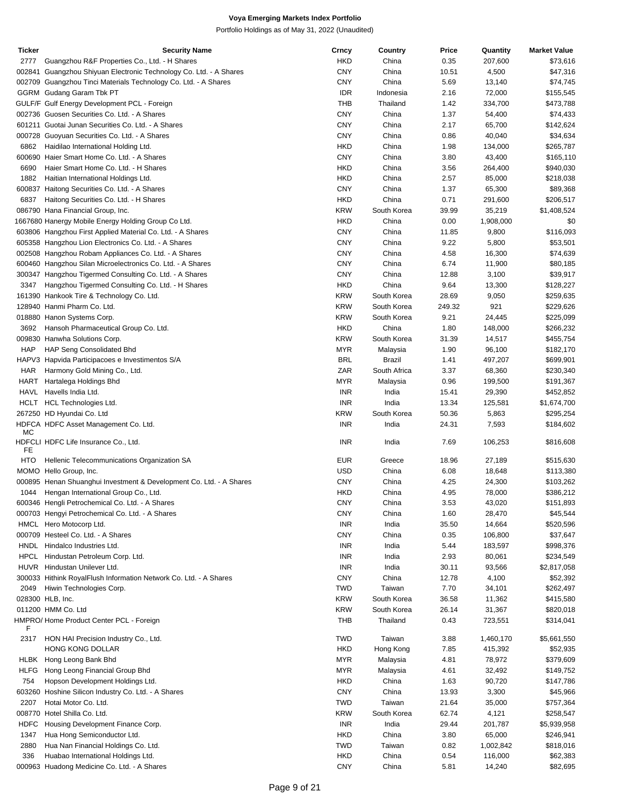| Ticker      | <b>Security Name</b>                                                | Crncy      | Country      | Price  | Quantity  | <b>Market Value</b> |
|-------------|---------------------------------------------------------------------|------------|--------------|--------|-----------|---------------------|
| 2777        | Guangzhou R&F Properties Co., Ltd. - H Shares                       | <b>HKD</b> | China        | 0.35   | 207,600   | \$73,616            |
|             | 002841 Guangzhou Shiyuan Electronic Technology Co. Ltd. - A Shares  | <b>CNY</b> | China        | 10.51  | 4,500     | \$47,316            |
|             | 002709 Guangzhou Tinci Materials Technology Co. Ltd. - A Shares     | <b>CNY</b> | China        | 5.69   | 13,140    | \$74,745            |
|             | GGRM Gudang Garam Tbk PT                                            | <b>IDR</b> | Indonesia    | 2.16   | 72,000    | \$155,545           |
|             | GULF/F Gulf Energy Development PCL - Foreign                        | THB        | Thailand     | 1.42   | 334,700   | \$473,788           |
|             |                                                                     |            |              |        |           |                     |
|             | 002736 Guosen Securities Co. Ltd. - A Shares                        | <b>CNY</b> | China        | 1.37   | 54,400    | \$74,433            |
|             | 601211 Guotai Junan Securities Co. Ltd. - A Shares                  | <b>CNY</b> | China        | 2.17   | 65,700    | \$142,624           |
|             | 000728 Guoyuan Securities Co. Ltd. - A Shares                       | <b>CNY</b> | China        | 0.86   | 40,040    | \$34,634            |
| 6862        | Haidilao International Holding Ltd.                                 | <b>HKD</b> | China        | 1.98   | 134,000   | \$265,787           |
|             | 600690 Haier Smart Home Co. Ltd. - A Shares                         | <b>CNY</b> | China        | 3.80   | 43,400    | \$165,110           |
| 6690        | Haier Smart Home Co. Ltd. - H Shares                                | <b>HKD</b> | China        | 3.56   | 264,400   | \$940,030           |
| 1882        | Haitian International Holdings Ltd.                                 | <b>HKD</b> | China        | 2.57   | 85,000    | \$218,038           |
|             | 600837 Haitong Securities Co. Ltd. - A Shares                       | <b>CNY</b> | China        | 1.37   | 65,300    | \$89,368            |
| 6837        |                                                                     | <b>HKD</b> | China        | 0.71   |           |                     |
|             | Haitong Securities Co. Ltd. - H Shares                              |            |              |        | 291,600   | \$206,517           |
|             | 086790 Hana Financial Group, Inc.                                   | <b>KRW</b> | South Korea  | 39.99  | 35,219    | \$1,408,524         |
|             | 1667680 Hanergy Mobile Energy Holding Group Co Ltd.                 | <b>HKD</b> | China        | 0.00   | 1,908,000 | \$0                 |
|             | 603806 Hangzhou First Applied Material Co. Ltd. - A Shares          | <b>CNY</b> | China        | 11.85  | 9,800     | \$116,093           |
|             | 605358 Hangzhou Lion Electronics Co. Ltd. - A Shares                | <b>CNY</b> | China        | 9.22   | 5,800     | \$53,501            |
|             | 002508 Hangzhou Robam Appliances Co. Ltd. - A Shares                | <b>CNY</b> | China        | 4.58   | 16,300    | \$74,639            |
|             | 600460 Hangzhou Silan Microelectronics Co. Ltd. - A Shares          | <b>CNY</b> | China        | 6.74   | 11,900    | \$80,185            |
|             | 300347 Hangzhou Tigermed Consulting Co. Ltd. - A Shares             | <b>CNY</b> | China        | 12.88  | 3,100     | \$39,917            |
| 3347        | Hangzhou Tigermed Consulting Co. Ltd. - H Shares                    | <b>HKD</b> | China        | 9.64   | 13,300    | \$128,227           |
|             |                                                                     | <b>KRW</b> |              |        |           |                     |
|             | 161390 Hankook Tire & Technology Co. Ltd.                           |            | South Korea  | 28.69  | 9,050     | \$259,635           |
|             | 128940 Hanmi Pharm Co. Ltd.                                         | <b>KRW</b> | South Korea  | 249.32 | 921       | \$229,626           |
|             | 018880 Hanon Systems Corp.                                          | <b>KRW</b> | South Korea  | 9.21   | 24,445    | \$225,099           |
| 3692        | Hansoh Pharmaceutical Group Co. Ltd.                                | <b>HKD</b> | China        | 1.80   | 148,000   | \$266,232           |
|             | 009830 Hanwha Solutions Corp.                                       | <b>KRW</b> | South Korea  | 31.39  | 14,517    | \$455,754           |
| <b>HAP</b>  | <b>HAP Seng Consolidated Bhd</b>                                    | <b>MYR</b> | Malaysia     | 1.90   | 96,100    | \$182,170           |
|             | HAPV3 Hapvida Participacoes e Investimentos S/A                     | <b>BRL</b> | Brazil       | 1.41   | 497,207   | \$699,901           |
| <b>HAR</b>  | Harmony Gold Mining Co., Ltd.                                       | ZAR        | South Africa | 3.37   | 68,360    | \$230,340           |
|             |                                                                     | <b>MYR</b> |              | 0.96   | 199,500   |                     |
|             | HART Hartalega Holdings Bhd                                         |            | Malaysia     |        |           | \$191,367           |
|             | HAVL Havells India Ltd.                                             | <b>INR</b> | India        | 15.41  | 29,390    | \$452,852           |
|             | HCLT HCL Technologies Ltd.                                          | <b>INR</b> | India        | 13.34  | 125,581   | \$1,674,700         |
|             | 267250 HD Hyundai Co. Ltd                                           | <b>KRW</b> | South Korea  | 50.36  | 5,863     | \$295,254           |
|             | HDFCA HDFC Asset Management Co. Ltd.                                | <b>INR</b> | India        | 24.31  | 7,593     | \$184,602           |
| МC          |                                                                     |            |              |        |           |                     |
|             | HDFCLI HDFC Life Insurance Co., Ltd.                                | <b>INR</b> | India        | 7.69   | 106,253   | \$816,608           |
| FE          |                                                                     |            |              |        |           |                     |
| HTO         | Hellenic Telecommunications Organization SA                         | <b>EUR</b> | Greece       | 18.96  | 27,189    | \$515,630           |
|             | MOMO Hello Group, Inc.                                              | USD        | China        | 6.08   | 18,648    | \$113,380           |
|             | 000895 Henan Shuanghui Investment & Development Co. Ltd. - A Shares | <b>CNY</b> | China        | 4.25   | 24,300    | \$103,262           |
|             | 1044 Hengan International Group Co., Ltd.                           | <b>HKD</b> | China        | 4.95   | 78,000    | \$386,212           |
|             | 600346 Hengli Petrochemical Co. Ltd. - A Shares                     | <b>CNY</b> | China        | 3.53   | 43,020    | \$151,893           |
|             | 000703 Hengyi Petrochemical Co. Ltd. - A Shares                     | <b>CNY</b> | China        | 1.60   | 28,470    | \$45,544            |
|             | HMCL Hero Motocorp Ltd.                                             | <b>INR</b> | India        | 35.50  | 14,664    | \$520,596           |
|             | 000709 Hesteel Co. Ltd. - A Shares                                  | <b>CNY</b> | China        | 0.35   | 106,800   | \$37,647            |
|             |                                                                     |            |              |        | 183,597   |                     |
|             | HNDL Hindalco Industries Ltd.                                       | <b>INR</b> | India        | 5.44   |           | \$998,376           |
|             | HPCL Hindustan Petroleum Corp. Ltd.                                 | <b>INR</b> | India        | 2.93   | 80,061    | \$234,549           |
|             | HUVR Hindustan Unilever Ltd.                                        | <b>INR</b> | India        | 30.11  | 93,566    | \$2,817,058         |
|             | 300033 Hithink RoyalFlush Information Network Co. Ltd. - A Shares   | <b>CNY</b> | China        | 12.78  | 4,100     | \$52,392            |
| 2049        | Hiwin Technologies Corp.                                            | <b>TWD</b> | Taiwan       | 7.70   | 34,101    | \$262,497           |
|             | 028300 HLB, Inc.                                                    | <b>KRW</b> | South Korea  | 36.58  | 11,362    | \$415,580           |
|             | 011200 HMM Co. Ltd                                                  | <b>KRW</b> | South Korea  | 26.14  | 31,367    | \$820,018           |
|             | HMPRO/Home Product Center PCL - Foreign                             | THB        | Thailand     | 0.43   | 723,551   | \$314,041           |
| F           |                                                                     |            |              |        |           |                     |
| 2317        | HON HAI Precision Industry Co., Ltd.                                | <b>TWD</b> | Taiwan       | 3.88   | 1,460,170 | \$5,661,550         |
|             | HONG KONG DOLLAR                                                    | HKD        | Hong Kong    | 7.85   | 415,392   | \$52,935            |
|             | HLBK Hong Leong Bank Bhd                                            | MYR        | Malaysia     | 4.81   | 78,972    | \$379,609           |
|             |                                                                     |            |              |        |           |                     |
| <b>HLFG</b> | Hong Leong Financial Group Bhd                                      | MYR        | Malaysia     | 4.61   | 32,492    | \$149,752           |
| 754         | Hopson Development Holdings Ltd.                                    | <b>HKD</b> | China        | 1.63   | 90,720    | \$147,786           |
|             | 603260 Hoshine Silicon Industry Co. Ltd. - A Shares                 | <b>CNY</b> | China        | 13.93  | 3,300     | \$45,966            |
| 2207        | Hotai Motor Co. Ltd.                                                | <b>TWD</b> | Taiwan       | 21.64  | 35,000    | \$757,364           |
|             | 008770 Hotel Shilla Co. Ltd.                                        | <b>KRW</b> | South Korea  | 62.74  | 4,121     | \$258,547           |
| HDFC        | Housing Development Finance Corp.                                   | <b>INR</b> | India        | 29.44  | 201,787   | \$5,939,958         |
| 1347        | Hua Hong Semiconductor Ltd.                                         | <b>HKD</b> | China        | 3.80   | 65,000    | \$246,941           |
| 2880        | Hua Nan Financial Holdings Co. Ltd.                                 | <b>TWD</b> | Taiwan       | 0.82   | 1,002,842 | \$818,016           |
| 336         | Huabao International Holdings Ltd.                                  | <b>HKD</b> | China        | 0.54   | 116,000   | \$62,383            |
|             | 000963 Huadong Medicine Co. Ltd. - A Shares                         | <b>CNY</b> | China        | 5.81   | 14,240    | \$82,695            |
|             |                                                                     |            |              |        |           |                     |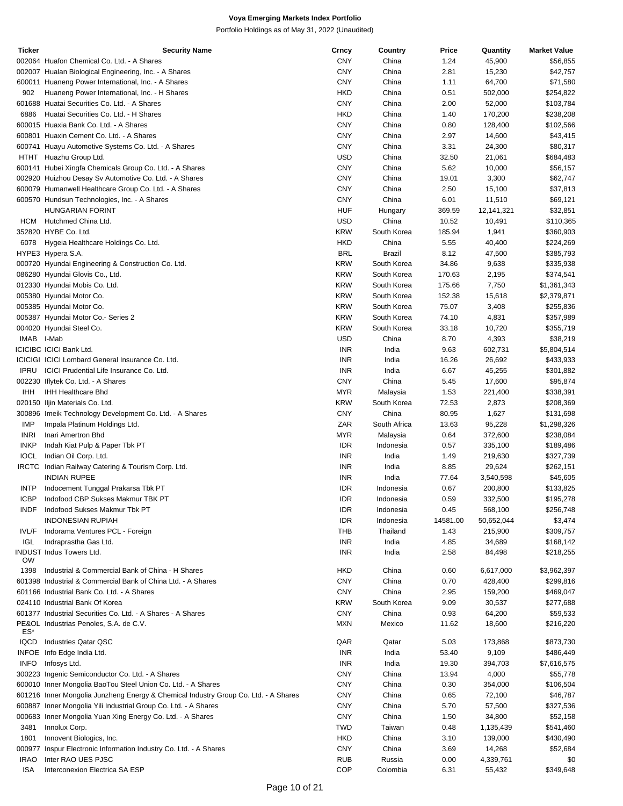| <b>Ticker</b> | <b>Security Name</b>                                                                | Crncy      | Country       | Price    | Quantity   | <b>Market Value</b> |
|---------------|-------------------------------------------------------------------------------------|------------|---------------|----------|------------|---------------------|
|               | 002064 Huafon Chemical Co. Ltd. - A Shares                                          | <b>CNY</b> | China         | 1.24     | 45,900     | \$56,855            |
|               | 002007 Hualan Biological Engineering, Inc. - A Shares                               | <b>CNY</b> | China         | 2.81     | 15,230     | \$42,757            |
|               | 600011 Huaneng Power International, Inc. - A Shares                                 | <b>CNY</b> | China         | 1.11     | 64,700     | \$71,580            |
| 902           | Huaneng Power International, Inc. - H Shares                                        | <b>HKD</b> | China         | 0.51     | 502,000    | \$254,822           |
|               | 601688 Huatai Securities Co. Ltd. - A Shares                                        | <b>CNY</b> | China         | 2.00     | 52,000     | \$103,784           |
| 6886          | Huatai Securities Co. Ltd. - H Shares                                               | <b>HKD</b> | China         | 1.40     | 170,200    | \$238,208           |
|               | 600015 Huaxia Bank Co. Ltd. - A Shares                                              | <b>CNY</b> | China         | 0.80     | 128,400    | \$102,566           |
|               | 600801 Huaxin Cement Co. Ltd. - A Shares                                            | <b>CNY</b> | China         | 2.97     | 14,600     | \$43,415            |
|               |                                                                                     | <b>CNY</b> |               |          |            |                     |
|               | 600741 Huayu Automotive Systems Co. Ltd. - A Shares                                 |            | China         | 3.31     | 24,300     | \$80,317            |
|               | HTHT Huazhu Group Ltd.                                                              | <b>USD</b> | China         | 32.50    | 21,061     | \$684,483           |
|               | 600141 Hubei Xingfa Chemicals Group Co. Ltd. - A Shares                             | <b>CNY</b> | China         | 5.62     | 10,000     | \$56,157            |
|               | 002920 Huizhou Desay Sv Automotive Co. Ltd. - A Shares                              | <b>CNY</b> | China         | 19.01    | 3,300      | \$62,747            |
|               | 600079 Humanwell Healthcare Group Co. Ltd. - A Shares                               | <b>CNY</b> | China         | 2.50     | 15,100     | \$37,813            |
|               | 600570 Hundsun Technologies, Inc. - A Shares                                        | <b>CNY</b> | China         | 6.01     | 11,510     | \$69,121            |
|               | <b>HUNGARIAN FORINT</b>                                                             | <b>HUF</b> | Hungary       | 369.59   | 12,141,321 | \$32,851            |
| HCM           | Hutchmed China Ltd.                                                                 | <b>USD</b> | China         | 10.52    | 10,491     | \$110,365           |
|               | 352820 HYBE Co. Ltd.                                                                | <b>KRW</b> | South Korea   | 185.94   | 1,941      | \$360,903           |
| 6078          | Hygeia Healthcare Holdings Co. Ltd.                                                 | <b>HKD</b> | China         | 5.55     | 40,400     | \$224,269           |
|               | HYPE3 Hypera S.A.                                                                   | <b>BRL</b> | <b>Brazil</b> | 8.12     | 47,500     | \$385,793           |
|               | 000720 Hyundai Engineering & Construction Co. Ltd.                                  | <b>KRW</b> | South Korea   | 34.86    | 9,638      | \$335,938           |
|               | 086280 Hyundai Glovis Co., Ltd.                                                     | <b>KRW</b> | South Korea   | 170.63   | 2,195      | \$374,541           |
|               |                                                                                     | <b>KRW</b> | South Korea   |          |            |                     |
|               | 012330 Hyundai Mobis Co. Ltd.                                                       |            |               | 175.66   | 7,750      | \$1,361,343         |
|               | 005380 Hyundai Motor Co.                                                            | <b>KRW</b> | South Korea   | 152.38   | 15,618     | \$2,379,871         |
|               | 005385 Hyundai Motor Co.                                                            | <b>KRW</b> | South Korea   | 75.07    | 3,408      | \$255,836           |
|               | 005387 Hyundai Motor Co.- Series 2                                                  | <b>KRW</b> | South Korea   | 74.10    | 4,831      | \$357,989           |
|               | 004020 Hyundai Steel Co.                                                            | <b>KRW</b> | South Korea   | 33.18    | 10,720     | \$355,719           |
| <b>IMAB</b>   | I-Mab                                                                               | <b>USD</b> | China         | 8.70     | 4,393      | \$38,219            |
|               | <b>ICICIBC ICICI Bank Ltd.</b>                                                      | <b>INR</b> | India         | 9.63     | 602,731    | \$5,804,514         |
|               | ICICIGI ICICI Lombard General Insurance Co. Ltd.                                    | <b>INR</b> | India         | 16.26    | 26,692     | \$433,933           |
| <b>IPRU</b>   | ICICI Prudential Life Insurance Co. Ltd.                                            | <b>INR</b> | India         | 6.67     | 45,255     | \$301,882           |
|               | 002230 Iflytek Co. Ltd. - A Shares                                                  | <b>CNY</b> | China         | 5.45     | 17,600     | \$95,874            |
| <b>IHH</b>    | IHH Healthcare Bhd                                                                  | <b>MYR</b> | Malaysia      | 1.53     | 221,400    | \$338,391           |
|               | 020150 Iljin Materials Co. Ltd.                                                     | <b>KRW</b> | South Korea   | 72.53    | 2,873      | \$208,369           |
|               | 300896 Imeik Technology Development Co. Ltd. - A Shares                             | <b>CNY</b> | China         | 80.95    | 1,627      | \$131,698           |
| IMP           | Impala Platinum Holdings Ltd.                                                       | ZAR        | South Africa  | 13.63    | 95,228     | \$1,298,326         |
| <b>INRI</b>   |                                                                                     | <b>MYR</b> |               |          |            |                     |
|               | Inari Amertron Bhd                                                                  |            | Malaysia      | 0.64     | 372,600    | \$238,084           |
| <b>INKP</b>   | Indah Kiat Pulp & Paper Tbk PT                                                      | <b>IDR</b> | Indonesia     | 0.57     | 335,100    | \$189,486           |
| <b>IOCL</b>   | Indian Oil Corp. Ltd.                                                               | <b>INR</b> | India         | 1.49     | 219,630    | \$327,739           |
|               | IRCTC Indian Railway Catering & Tourism Corp. Ltd.                                  | <b>INR</b> | India         | 8.85     | 29,624     | \$262,151           |
|               | <b>INDIAN RUPEE</b>                                                                 | <b>INR</b> | India         | 77.64    | 3,540,598  | \$45,605            |
| INTP          | Indocement Tunggal Prakarsa Tbk PT                                                  | <b>IDR</b> | Indonesia     | 0.67     | 200,800    | \$133,825           |
| <b>ICBP</b>   | Indofood CBP Sukses Makmur TBK PT                                                   | <b>IDR</b> | Indonesia     | 0.59     | 332,500    | \$195,278           |
| INDF          | Indofood Sukses Makmur Tbk PT                                                       | <b>IDR</b> | Indonesia     | 0.45     | 568,100    | \$256,748           |
|               | <b>INDONESIAN RUPIAH</b>                                                            | <b>IDR</b> | Indonesia     | 14581.00 | 50,652,044 | \$3,474             |
| IVL/F         | Indorama Ventures PCL - Foreign                                                     | THB        | Thailand      | 1.43     | 215,900    | \$309,757           |
| IGL           | Indraprastha Gas Ltd.                                                               | <b>INR</b> | India         | 4.85     | 34,689     | \$168,142           |
|               | <b>INDUST Indus Towers Ltd.</b>                                                     | <b>INR</b> | India         | 2.58     | 84,498     | \$218,255           |
| <b>OW</b>     |                                                                                     |            |               |          |            |                     |
| 1398          | Industrial & Commercial Bank of China - H Shares                                    | <b>HKD</b> | China         | 0.60     | 6,617,000  | \$3,962,397         |
|               | 601398 Industrial & Commercial Bank of China Ltd. - A Shares                        | <b>CNY</b> | China         | 0.70     | 428,400    | \$299,816           |
|               | 601166 Industrial Bank Co. Ltd. - A Shares                                          | <b>CNY</b> | China         | 2.95     | 159,200    | \$469,047           |
|               | 024110 Industrial Bank Of Korea                                                     | <b>KRW</b> | South Korea   | 9.09     | 30,537     | \$277,688           |
|               |                                                                                     | <b>CNY</b> | China         |          |            |                     |
|               | 601377 Industrial Securities Co. Ltd. - A Shares - A Shares                         |            |               | 0.93     | 64,200     | \$59,533            |
| ES*           | PE&OL Industrias Penoles, S.A. de C.V.                                              | <b>MXN</b> | Mexico        | 11.62    | 18,600     | \$216,220           |
| <b>IQCD</b>   | <b>Industries Qatar QSC</b>                                                         | QAR        | Qatar         | 5.03     | 173,868    | \$873,730           |
|               | INFOE Info Edge India Ltd.                                                          | <b>INR</b> | India         | 53.40    | 9,109      | \$486,449           |
|               |                                                                                     |            |               |          |            |                     |
| <b>INFO</b>   | Infosys Ltd.                                                                        | <b>INR</b> | India         | 19.30    | 394,703    | \$7,616,575         |
|               | 300223 Ingenic Semiconductor Co. Ltd. - A Shares                                    | <b>CNY</b> | China         | 13.94    | 4,000      | \$55,778            |
|               | 600010 Inner Mongolia BaoTou Steel Union Co. Ltd. - A Shares                        | <b>CNY</b> | China         | 0.30     | 354,000    | \$106,504           |
|               | 601216 Inner Mongolia Junzheng Energy & Chemical Industry Group Co. Ltd. - A Shares | <b>CNY</b> | China         | 0.65     | 72,100     | \$46,787            |
|               | 600887 Inner Mongolia Yili Industrial Group Co. Ltd. - A Shares                     | <b>CNY</b> | China         | 5.70     | 57,500     | \$327,536           |
|               | 000683 Inner Mongolia Yuan Xing Energy Co. Ltd. - A Shares                          | <b>CNY</b> | China         | 1.50     | 34,800     | \$52,158            |
| 3481          | Innolux Corp.                                                                       | <b>TWD</b> | Taiwan        | 0.48     | 1,135,439  | \$541,460           |
| 1801          | Innovent Biologics, Inc.                                                            | <b>HKD</b> | China         | 3.10     | 139,000    | \$430,490           |
|               | 000977 Inspur Electronic Information Industry Co. Ltd. - A Shares                   | <b>CNY</b> | China         | 3.69     | 14,268     | \$52,684            |
| <b>IRAO</b>   | Inter RAO UES PJSC                                                                  | <b>RUB</b> | Russia        | 0.00     | 4,339,761  | \$0                 |
| ISA           | Interconexion Electrica SA ESP                                                      | <b>COP</b> | Colombia      | 6.31     | 55,432     | \$349,648           |
|               |                                                                                     |            |               |          |            |                     |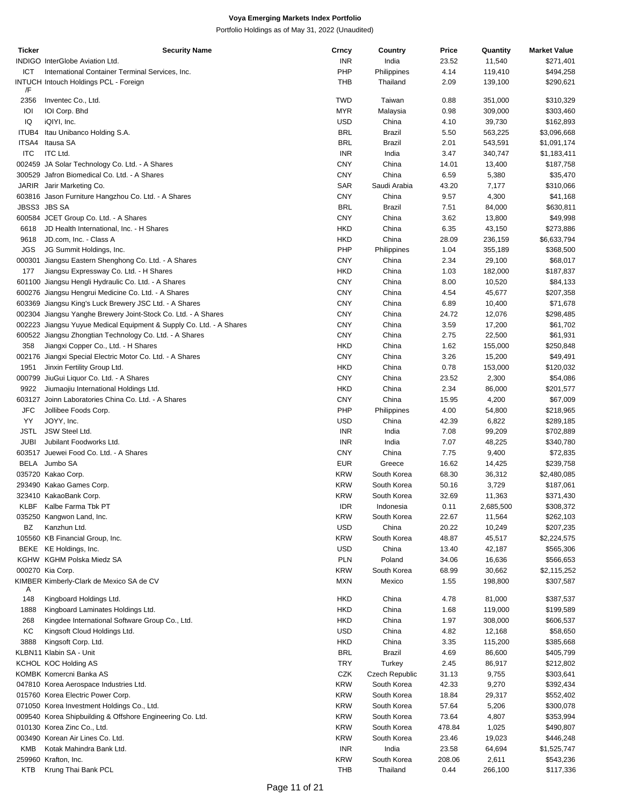| Ticker       | <b>Security Name</b>                                                | Crncy      | Country        | Price  | Quantity  | <b>Market Value</b> |
|--------------|---------------------------------------------------------------------|------------|----------------|--------|-----------|---------------------|
|              | INDIGO InterGlobe Aviation Ltd.                                     | <b>INR</b> | India          | 23.52  | 11,540    | \$271,401           |
| ICT          | International Container Terminal Services, Inc.                     | PHP        | Philippines    | 4.14   | 119,410   | \$494,258           |
|              | <b>INTUCH Intouch Holdings PCL - Foreign</b>                        | <b>THB</b> | Thailand       | 2.09   | 139,100   | \$290,621           |
| /F           |                                                                     |            |                |        |           |                     |
| 2356         | Inventec Co., Ltd.                                                  | <b>TWD</b> | Taiwan         | 0.88   | 351,000   | \$310,329           |
| IOI          | IOI Corp. Bhd                                                       | <b>MYR</b> | Malaysia       | 0.98   | 309,000   | \$303,460           |
|              |                                                                     |            |                |        |           |                     |
| IQ           | iQIYI, Inc.                                                         | <b>USD</b> | China          | 4.10   | 39,730    | \$162,893           |
| ITUB4        | Itau Unibanco Holding S.A.                                          | <b>BRL</b> | Brazil         | 5.50   | 563,225   | \$3,096,668         |
| ITSA4        | Itausa SA                                                           | <b>BRL</b> | Brazil         | 2.01   | 543,591   | \$1,091,174         |
| <b>ITC</b>   | <b>ITC Ltd.</b>                                                     | <b>INR</b> | India          | 3.47   | 340,747   | \$1,183,411         |
|              | 002459 JA Solar Technology Co. Ltd. - A Shares                      | <b>CNY</b> | China          | 14.01  | 13,400    | \$187,758           |
|              | 300529 Jafron Biomedical Co. Ltd. - A Shares                        | <b>CNY</b> | China          | 6.59   | 5,380     | \$35,470            |
|              | JARIR Jarir Marketing Co.                                           | SAR        | Saudi Arabia   | 43.20  | 7,177     | \$310,066           |
|              | 603816 Jason Furniture Hangzhou Co. Ltd. - A Shares                 | <b>CNY</b> | China          |        |           |                     |
|              |                                                                     |            |                | 9.57   | 4,300     | \$41,168            |
| JBSS3 JBS SA |                                                                     | <b>BRL</b> | Brazil         | 7.51   | 84,000    | \$630,811           |
|              | 600584 JCET Group Co. Ltd. - A Shares                               | CNY        | China          | 3.62   | 13,800    | \$49,998            |
| 6618         | JD Health International, Inc. - H Shares                            | <b>HKD</b> | China          | 6.35   | 43,150    | \$273,886           |
| 9618         | JD.com, Inc. - Class A                                              | HKD        | China          | 28.09  | 236,159   | \$6,633,794         |
| JGS          | JG Summit Holdings, Inc.                                            | PHP        | Philippines    | 1.04   | 355,189   | \$368,500           |
|              | 000301 Jiangsu Eastern Shenghong Co. Ltd. - A Shares                | <b>CNY</b> | China          | 2.34   | 29,100    | \$68,017            |
|              |                                                                     |            |                |        |           |                     |
| 177          | Jiangsu Expressway Co. Ltd. - H Shares                              | <b>HKD</b> | China          | 1.03   | 182,000   | \$187,837           |
|              | 601100 Jiangsu Hengli Hydraulic Co. Ltd. - A Shares                 | <b>CNY</b> | China          | 8.00   | 10,520    | \$84,133            |
|              | 600276 Jiangsu Hengrui Medicine Co. Ltd. - A Shares                 | <b>CNY</b> | China          | 4.54   | 45,677    | \$207,358           |
|              | 603369 Jiangsu King's Luck Brewery JSC Ltd. - A Shares              | <b>CNY</b> | China          | 6.89   | 10,400    | \$71,678            |
|              | 002304 Jiangsu Yanghe Brewery Joint-Stock Co. Ltd. - A Shares       | CNY        | China          | 24.72  | 12,076    | \$298,485           |
|              | 002223 Jiangsu Yuyue Medical Equipment & Supply Co. Ltd. - A Shares | <b>CNY</b> | China          | 3.59   | 17,200    | \$61,702            |
|              |                                                                     |            |                |        |           |                     |
|              | 600522 Jiangsu Zhongtian Technology Co. Ltd. - A Shares             | <b>CNY</b> | China          | 2.75   | 22,500    | \$61,931            |
| 358          | Jiangxi Copper Co., Ltd. - H Shares                                 | <b>HKD</b> | China          | 1.62   | 155,000   | \$250,848           |
|              | 002176 Jiangxi Special Electric Motor Co. Ltd. - A Shares           | <b>CNY</b> | China          | 3.26   | 15,200    | \$49,491            |
| 1951         | Jinxin Fertility Group Ltd.                                         | <b>HKD</b> | China          | 0.78   | 153,000   | \$120,032           |
|              | 000799 JiuGui Liquor Co. Ltd. - A Shares                            | <b>CNY</b> | China          | 23.52  | 2,300     | \$54,086            |
| 9922         | Jiumaojiu International Holdings Ltd.                               | <b>HKD</b> | China          | 2.34   | 86,000    | \$201,577           |
|              | 603127 Joinn Laboratories China Co. Ltd. - A Shares                 | CNY        | China          |        | 4,200     | \$67,009            |
|              |                                                                     |            |                | 15.95  |           |                     |
| <b>JFC</b>   | Jollibee Foods Corp.                                                | PHP        | Philippines    | 4.00   | 54,800    | \$218,965           |
| YY           | JOYY, Inc.                                                          | <b>USD</b> | China          | 42.39  | 6,822     | \$289,185           |
| <b>JSTL</b>  | JSW Steel Ltd.                                                      | <b>INR</b> | India          | 7.08   | 99,209    | \$702,889           |
| <b>JUBI</b>  | Jubilant Foodworks Ltd.                                             | <b>INR</b> | India          | 7.07   | 48,225    | \$340,780           |
|              | 603517 Juewei Food Co. Ltd. - A Shares                              | <b>CNY</b> | China          | 7.75   | 9,400     | \$72,835            |
|              | BELA Jumbo SA                                                       | <b>EUR</b> | Greece         | 16.62  | 14,425    | \$239,758           |
|              |                                                                     |            |                |        |           |                     |
|              | 035720 Kakao Corp.                                                  | <b>KRW</b> | South Korea    | 68.30  | 36,312    | \$2,480,085         |
|              | 293490 Kakao Games Corp.                                            | <b>KRW</b> | South Korea    | 50.16  | 3,729     | \$187,061           |
|              | 323410 KakaoBank Corp.                                              | <b>KRW</b> | South Korea    | 32.69  | 11,363    | \$371,430           |
| KLBF         | Kalbe Farma Tbk PT                                                  | <b>IDR</b> | Indonesia      | 0.11   | 2,685,500 | \$308,372           |
|              | 035250 Kangwon Land, Inc.                                           | <b>KRW</b> | South Korea    | 22.67  | 11,564    | \$262,103           |
| BZ           | Kanzhun Ltd.                                                        | <b>USD</b> | China          | 20.22  | 10,249    | \$207,235           |
|              | 105560 KB Financial Group, Inc.                                     | <b>KRW</b> | South Korea    | 48.87  | 45,517    |                     |
|              |                                                                     |            |                |        |           | \$2,224,575         |
|              | BEKE KE Holdings, Inc.                                              | USD        | China          | 13.40  | 42,187    | \$565,306           |
|              | KGHW KGHM Polska Miedz SA                                           | <b>PLN</b> | Poland         | 34.06  | 16,636    | \$566,653           |
|              | 000270 Kia Corp.                                                    | <b>KRW</b> | South Korea    | 68.99  | 30,662    | \$2,115,252         |
|              | KIMBER Kimberly-Clark de Mexico SA de CV                            | <b>MXN</b> | Mexico         | 1.55   | 198,800   | \$307,587           |
| Α            |                                                                     |            |                |        |           |                     |
| 148          | Kingboard Holdings Ltd.                                             | <b>HKD</b> | China          | 4.78   | 81,000    | \$387,537           |
| 1888         | Kingboard Laminates Holdings Ltd.                                   | <b>HKD</b> | China          | 1.68   | 119,000   | \$199,589           |
| 268          | Kingdee International Software Group Co., Ltd.                      | <b>HKD</b> | China          | 1.97   | 308,000   | \$606,537           |
|              |                                                                     |            |                |        |           |                     |
| KC           | Kingsoft Cloud Holdings Ltd.                                        | <b>USD</b> | China          | 4.82   | 12,168    | \$58,650            |
| 3888         | Kingsoft Corp. Ltd.                                                 | <b>HKD</b> | China          | 3.35   | 115,200   | \$385,668           |
|              | KLBN11 Klabin SA - Unit                                             | <b>BRL</b> | Brazil         | 4.69   | 86,600    | \$405,799           |
|              | KCHOL KOC Holding AS                                                | <b>TRY</b> | Turkey         | 2.45   | 86,917    | \$212,802           |
|              | KOMBK Komercni Banka AS                                             | CZK        | Czech Republic | 31.13  | 9,755     | \$303,641           |
|              | 047810 Korea Aerospace Industries Ltd.                              | <b>KRW</b> | South Korea    | 42.33  | 9,270     | \$392,434           |
|              |                                                                     |            |                |        |           |                     |
|              | 015760 Korea Electric Power Corp.                                   | <b>KRW</b> | South Korea    | 18.84  | 29,317    | \$552,402           |
|              | 071050 Korea Investment Holdings Co., Ltd.                          | <b>KRW</b> | South Korea    | 57.64  | 5,206     | \$300,078           |
|              | 009540 Korea Shipbuilding & Offshore Engineering Co. Ltd.           | <b>KRW</b> | South Korea    | 73.64  | 4,807     | \$353,994           |
|              | 010130 Korea Zinc Co., Ltd.                                         | <b>KRW</b> | South Korea    | 478.84 | 1,025     | \$490,807           |
|              | 003490 Korean Air Lines Co. Ltd.                                    | <b>KRW</b> | South Korea    | 23.46  | 19,023    | \$446,248           |
| KMB          | Kotak Mahindra Bank Ltd.                                            | <b>INR</b> | India          | 23.58  | 64,694    | \$1,525,747         |
|              |                                                                     |            |                |        |           |                     |
|              | 259960 Krafton, Inc.                                                | <b>KRW</b> | South Korea    | 208.06 | 2,611     | \$543,236           |
|              | KTB Krung Thai Bank PCL                                             | THB        | Thailand       | 0.44   | 266,100   | \$117,336           |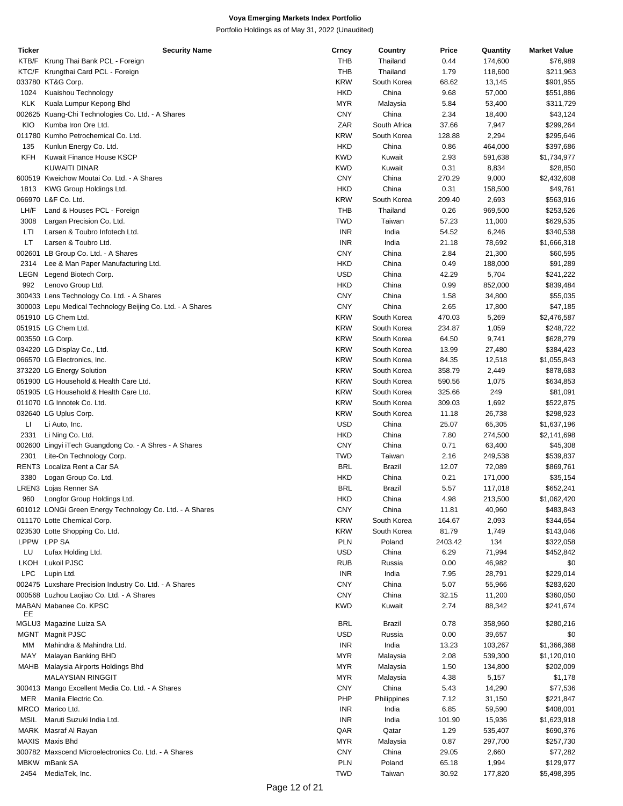| Ticker     | <b>Security Name</b>                                       | Crncy      | Country       | Price   | Quantity | <b>Market Value</b> |
|------------|------------------------------------------------------------|------------|---------------|---------|----------|---------------------|
|            | KTB/F Krung Thai Bank PCL - Foreign                        | <b>THB</b> | Thailand      | 0.44    | 174,600  | \$76,989            |
|            | KTC/F Krungthai Card PCL - Foreign                         | <b>THB</b> | Thailand      | 1.79    | 118,600  | \$211,963           |
|            |                                                            |            |               |         |          |                     |
|            | 033780 KT&G Corp.                                          | <b>KRW</b> | South Korea   | 68.62   | 13,145   | \$901,955           |
| 1024       | Kuaishou Technology                                        | <b>HKD</b> | China         | 9.68    | 57,000   | \$551,886           |
| <b>KLK</b> | Kuala Lumpur Kepong Bhd                                    | <b>MYR</b> | Malaysia      | 5.84    | 53,400   | \$311,729           |
|            | 002625 Kuang-Chi Technologies Co. Ltd. - A Shares          | <b>CNY</b> | China         | 2.34    | 18,400   | \$43,124            |
|            |                                                            |            |               |         |          |                     |
| KIO        | Kumba Iron Ore Ltd.                                        | ZAR        | South Africa  | 37.66   | 7,947    | \$299,264           |
|            | 011780 Kumho Petrochemical Co. Ltd.                        | <b>KRW</b> | South Korea   | 128.88  | 2,294    | \$295,646           |
| 135        | Kunlun Energy Co. Ltd.                                     | <b>HKD</b> | China         | 0.86    | 464,000  | \$397,686           |
| KFH        | Kuwait Finance House KSCP                                  | <b>KWD</b> | Kuwait        | 2.93    | 591,638  | \$1,734,977         |
|            |                                                            |            |               |         |          |                     |
|            | <b>KUWAITI DINAR</b>                                       | <b>KWD</b> | Kuwait        | 0.31    | 8,834    | \$28,850            |
|            | 600519 Kweichow Moutai Co. Ltd. - A Shares                 | <b>CNY</b> | China         | 270.29  | 9,000    | \$2,432,608         |
| 1813       | KWG Group Holdings Ltd.                                    | <b>HKD</b> | China         | 0.31    | 158,500  | \$49,761            |
|            | 066970 L&F Co. Ltd.                                        | <b>KRW</b> | South Korea   | 209.40  | 2,693    | \$563,916           |
|            |                                                            |            |               |         |          |                     |
| LH/F       | Land & Houses PCL - Foreign                                | <b>THB</b> | Thailand      | 0.26    | 969,500  | \$253,526           |
| 3008       | Largan Precision Co. Ltd.                                  | <b>TWD</b> | Taiwan        | 57.23   | 11,000   | \$629,535           |
| LTI        | Larsen & Toubro Infotech Ltd.                              | <b>INR</b> | India         | 54.52   | 6,246    | \$340,538           |
| LT         | Larsen & Toubro Ltd.                                       | <b>INR</b> | India         | 21.18   | 78,692   | \$1,666,318         |
|            |                                                            |            |               |         |          |                     |
|            | 002601 LB Group Co. Ltd. - A Shares                        | <b>CNY</b> | China         | 2.84    | 21,300   | \$60,595            |
| 2314       | Lee & Man Paper Manufacturing Ltd.                         | <b>HKD</b> | China         | 0.49    | 188,000  | \$91,289            |
| LEGN       | Legend Biotech Corp.                                       | <b>USD</b> | China         | 42.29   | 5,704    | \$241,222           |
| 992        | Lenovo Group Ltd.                                          | <b>HKD</b> | China         | 0.99    | 852,000  | \$839,484           |
|            |                                                            |            |               |         |          |                     |
|            | 300433 Lens Technology Co. Ltd. - A Shares                 | <b>CNY</b> | China         | 1.58    | 34,800   | \$55,035            |
|            | 300003 Lepu Medical Technology Beijing Co. Ltd. - A Shares | <b>CNY</b> | China         | 2.65    | 17,800   | \$47,185            |
|            | 051910 LG Chem Ltd.                                        | <b>KRW</b> | South Korea   | 470.03  | 5,269    | \$2,476,587         |
|            | 051915 LG Chem Ltd.                                        | <b>KRW</b> | South Korea   | 234.87  | 1,059    | \$248,722           |
|            |                                                            |            |               |         |          |                     |
|            | 003550 LG Corp.                                            | <b>KRW</b> | South Korea   | 64.50   | 9,741    | \$628,279           |
|            | 034220 LG Display Co., Ltd.                                | <b>KRW</b> | South Korea   | 13.99   | 27,480   | \$384,423           |
|            | 066570 LG Electronics, Inc.                                | <b>KRW</b> | South Korea   | 84.35   | 12,518   | \$1,055,843         |
|            | 373220 LG Energy Solution                                  | <b>KRW</b> | South Korea   | 358.79  | 2,449    | \$878,683           |
|            |                                                            |            |               |         |          |                     |
|            | 051900 LG Household & Health Care Ltd.                     | <b>KRW</b> | South Korea   | 590.56  | 1,075    | \$634,853           |
|            | 051905 LG Household & Health Care Ltd.                     | <b>KRW</b> | South Korea   | 325.66  | 249      | \$81,091            |
|            | 011070 LG Innotek Co. Ltd.                                 | <b>KRW</b> | South Korea   | 309.03  | 1,692    | \$522,875           |
|            | 032640 LG Uplus Corp.                                      | <b>KRW</b> | South Korea   | 11.18   | 26,738   | \$298,923           |
|            |                                                            |            |               |         |          |                     |
| Ц          | Li Auto, Inc.                                              | <b>USD</b> | China         | 25.07   | 65,305   | \$1,637,196         |
| 2331       | Li Ning Co. Ltd.                                           | <b>HKD</b> | China         | 7.80    | 274,500  | \$2,141,698         |
|            | 002600 Lingyi iTech Guangdong Co. - A Shres - A Shares     | <b>CNY</b> | China         | 0.71    | 63,400   | \$45,308            |
| 2301       | Lite-On Technology Corp.                                   | <b>TWD</b> | Taiwan        | 2.16    | 249,538  | \$539,837           |
|            |                                                            |            |               |         |          |                     |
|            | RENT3 Localiza Rent a Car SA                               | <b>BRL</b> | <b>Brazil</b> | 12.07   | 72,089   | \$869,761           |
| 3380       | Logan Group Co. Ltd.                                       | <b>HKD</b> | China         | 0.21    | 171,000  | \$35,154            |
|            | LREN3 Lojas Renner SA                                      | <b>BRL</b> | <b>Brazil</b> | 5.57    | 117,018  | \$652,241           |
| 960        | Longfor Group Holdings Ltd.                                | <b>HKD</b> | China         | 4.98    | 213,500  | \$1,062,420         |
|            |                                                            |            |               |         |          |                     |
|            | 601012 LONGi Green Energy Technology Co. Ltd. - A Shares   | <b>CNY</b> | China         | 11.81   | 40,960   | \$483,843           |
|            | 011170 Lotte Chemical Corp.                                | <b>KRW</b> | South Korea   | 164.67  | 2,093    | \$344,654           |
|            | 023530 Lotte Shopping Co. Ltd.                             | <b>KRW</b> | South Korea   | 81.79   | 1,749    | \$143,046           |
|            | LPPW LPP SA                                                | <b>PLN</b> | Poland        | 2403.42 | 134      | \$322,058           |
|            |                                                            |            |               |         |          |                     |
| LU         | Lufax Holding Ltd.                                         | <b>USD</b> | China         | 6.29    | 71,994   | \$452,842           |
|            | LKOH Lukoil PJSC                                           | <b>RUB</b> | Russia        | 0.00    | 46,982   | \$0                 |
| <b>LPC</b> | Lupin Ltd.                                                 | <b>INR</b> | India         | 7.95    | 28,791   | \$229,014           |
|            | 002475 Luxshare Precision Industry Co. Ltd. - A Shares     | <b>CNY</b> | China         | 5.07    | 55,966   | \$283,620           |
|            |                                                            |            |               |         |          |                     |
|            | 000568 Luzhou Laojiao Co. Ltd. - A Shares                  | <b>CNY</b> | China         | 32.15   | 11,200   | \$360,050           |
|            | MABAN Mabanee Co. KPSC                                     | <b>KWD</b> | Kuwait        | 2.74    | 88,342   | \$241,674           |
| EE         |                                                            |            |               |         |          |                     |
|            | MGLU3 Magazine Luiza SA                                    | <b>BRL</b> | <b>Brazil</b> | 0.78    | 358,960  | \$280,216           |
|            | MGNT Magnit PJSC                                           | <b>USD</b> | Russia        | 0.00    | 39,657   | \$0                 |
| МM         | Mahindra & Mahindra Ltd.                                   | <b>INR</b> | India         | 13.23   | 103,267  | \$1,366,368         |
|            |                                                            |            |               |         |          |                     |
| MAY        | Malayan Banking BHD                                        | <b>MYR</b> | Malaysia      | 2.08    | 539,300  | \$1,120,010         |
|            | MAHB Malaysia Airports Holdings Bhd                        | <b>MYR</b> | Malaysia      | 1.50    | 134,800  | \$202,009           |
|            | <b>MALAYSIAN RINGGIT</b>                                   | <b>MYR</b> | Malaysia      | 4.38    | 5,157    | \$1,178             |
|            |                                                            |            |               |         |          |                     |
|            | 300413 Mango Excellent Media Co. Ltd. - A Shares           | <b>CNY</b> | China         | 5.43    | 14,290   | \$77,536            |
| MER        | Manila Electric Co.                                        | PHP        | Philippines   | 7.12    | 31,150   | \$221,847           |
|            | MRCO Marico Ltd.                                           | <b>INR</b> | India         | 6.85    | 59,590   | \$408,001           |
|            | MSIL Maruti Suzuki India Ltd.                              | <b>INR</b> | India         | 101.90  | 15,936   | \$1,623,918         |
|            |                                                            |            |               |         |          |                     |
|            | MARK Masraf Al Rayan                                       | QAR        | Qatar         | 1.29    | 535,407  | \$690,376           |
|            | MAXIS Maxis Bhd                                            | <b>MYR</b> | Malaysia      | 0.87    | 297,700  | \$257,730           |
|            | 300782 Maxscend Microelectronics Co. Ltd. - A Shares       | <b>CNY</b> | China         | 29.05   | 2,660    | \$77,282            |
|            | MBKW mBank SA                                              | <b>PLN</b> | Poland        | 65.18   | 1,994    | \$129,977           |
|            |                                                            |            |               |         |          |                     |
| 2454       | MediaTek, Inc.                                             | <b>TWD</b> | Taiwan        | 30.92   | 177,820  | \$5,498,395         |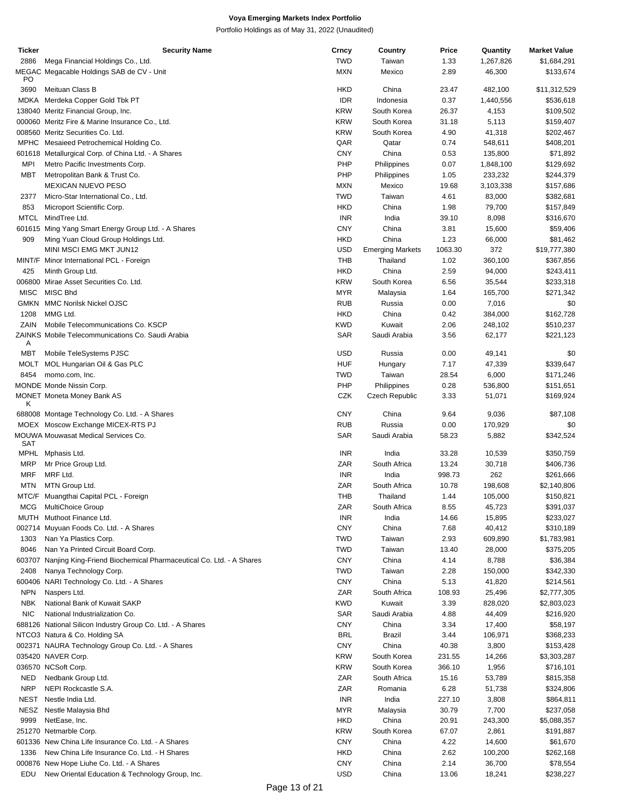| Ticker      | <b>Security Name</b>                                                      | Crncy                    | Country                 | Price   | Quantity  | <b>Market Value</b> |
|-------------|---------------------------------------------------------------------------|--------------------------|-------------------------|---------|-----------|---------------------|
| 2886        | Mega Financial Holdings Co., Ltd.                                         | <b>TWD</b>               | Taiwan                  | 1.33    | 1,267,826 | \$1,684,291         |
| PO          | MEGAC Megacable Holdings SAB de CV - Unit                                 | <b>MXN</b>               | Mexico                  | 2.89    | 46,300    | \$133,674           |
| 3690        | Meituan Class B                                                           | <b>HKD</b>               | China                   | 23.47   | 482,100   | \$11,312,529        |
| MDKA        | Merdeka Copper Gold Tbk PT                                                | <b>IDR</b>               | Indonesia               | 0.37    | 1,440,556 | \$536,618           |
|             | 138040 Meritz Financial Group, Inc.                                       | <b>KRW</b>               | South Korea             | 26.37   | 4,153     | \$109,502           |
|             | 000060 Meritz Fire & Marine Insurance Co., Ltd.                           | <b>KRW</b>               | South Korea             | 31.18   | 5,113     | \$159,407           |
|             | 008560 Meritz Securities Co. Ltd.                                         | <b>KRW</b>               | South Korea             | 4.90    | 41,318    | \$202,467           |
|             | MPHC Mesaieed Petrochemical Holding Co.                                   | QAR                      | Qatar                   | 0.74    | 548,611   | \$408,201           |
|             | 601618 Metallurgical Corp. of China Ltd. - A Shares                       | <b>CNY</b>               | China                   | 0.53    | 135,800   | \$71,892            |
| <b>MPI</b>  | Metro Pacific Investments Corp.                                           | PHP                      | Philippines             | 0.07    | 1,848,100 | \$129,692           |
| <b>MBT</b>  | Metropolitan Bank & Trust Co.                                             | PHP                      |                         | 1.05    | 233,232   | \$244,379           |
|             | <b>MEXICAN NUEVO PESO</b>                                                 |                          | Philippines             |         |           |                     |
|             |                                                                           | <b>MXN</b><br><b>TWD</b> | Mexico                  | 19.68   | 3,103,338 | \$157,686           |
| 2377        | Micro-Star International Co., Ltd.                                        |                          | Taiwan                  | 4.61    | 83,000    | \$382,681           |
| 853         | Microport Scientific Corp.                                                | <b>HKD</b>               | China                   | 1.98    | 79,700    | \$157,849           |
| <b>MTCL</b> | MindTree Ltd.                                                             | <b>INR</b>               | India                   | 39.10   | 8,098     | \$316,670           |
|             | 601615 Ming Yang Smart Energy Group Ltd. - A Shares                       | <b>CNY</b>               | China                   | 3.81    | 15,600    | \$59,406            |
| 909         | Ming Yuan Cloud Group Holdings Ltd.                                       | <b>HKD</b>               | China                   | 1.23    | 66,000    | \$81,462            |
|             | MINI MSCI EMG MKT JUN12                                                   | <b>USD</b>               | <b>Emerging Markets</b> | 1063.30 | 372       | \$19,777,380        |
|             | MINT/F Minor International PCL - Foreign                                  | <b>THB</b>               | Thailand                | 1.02    | 360,100   | \$367,856           |
| 425         | Minth Group Ltd.                                                          | <b>HKD</b>               | China                   | 2.59    | 94,000    | \$243,411           |
|             | 006800 Mirae Asset Securities Co. Ltd.                                    | <b>KRW</b>               | South Korea             | 6.56    | 35,544    | \$233,318           |
| <b>MISC</b> | MISC Bhd                                                                  | <b>MYR</b>               | Malaysia                | 1.64    | 165,700   | \$271,342           |
| <b>GMKN</b> | <b>MMC Norilsk Nickel OJSC</b>                                            | <b>RUB</b>               | Russia                  | 0.00    | 7,016     | \$0                 |
| 1208        | MMG Ltd.                                                                  | <b>HKD</b>               | China                   | 0.42    | 384,000   | \$162,728           |
| ZAIN        | Mobile Telecommunications Co. KSCP                                        | <b>KWD</b>               | Kuwait                  | 2.06    | 248,102   | \$510,237           |
| Α           | ZAINKS Mobile Telecommunications Co. Saudi Arabia                         | <b>SAR</b>               | Saudi Arabia            | 3.56    | 62,177    | \$221,123           |
| <b>MBT</b>  | Mobile TeleSystems PJSC                                                   | <b>USD</b>               | Russia                  | 0.00    | 49,141    | \$0                 |
| MOLT        | MOL Hungarian Oil & Gas PLC                                               | <b>HUF</b>               | Hungary                 | 7.17    | 47,339    | \$339,647           |
| 8454        | momo.com, Inc.                                                            | <b>TWD</b>               | Taiwan                  | 28.54   | 6,000     | \$171,246           |
|             | MONDE Monde Nissin Corp.                                                  | PHP                      | Philippines             | 0.28    | 536,800   | \$151,651           |
|             | <b>MONET Moneta Money Bank AS</b>                                         | CZK                      | Czech Republic          | 3.33    | 51,071    | \$169,924           |
| κ           |                                                                           |                          |                         |         |           |                     |
|             | 688008 Montage Technology Co. Ltd. - A Shares                             | <b>CNY</b>               | China                   | 9.64    | 9,036     | \$87,108            |
|             | MOEX Moscow Exchange MICEX-RTS PJ                                         | <b>RUB</b>               | Russia                  | 0.00    | 170,929   | \$0                 |
| <b>SAT</b>  | <b>MOUWA Mouwasat Medical Services Co.</b>                                | <b>SAR</b>               | Saudi Arabia            | 58.23   | 5,882     | \$342,524           |
| MPHL        | Mphasis Ltd.                                                              | <b>INR</b>               | India                   | 33.28   | 10,539    | \$350,759           |
| <b>MRP</b>  | Mr Price Group Ltd.                                                       | ZAR                      | South Africa            | 13.24   | 30,718    | \$406,736           |
| <b>MRF</b>  | MRF Ltd.                                                                  | <b>INR</b>               | India                   | 998.73  | 262       | \$261,666           |
| <b>MTN</b>  | MTN Group Ltd.                                                            | ZAR                      | South Africa            | 10.78   | 198,608   | \$2,140,806         |
|             | MTC/F Muangthai Capital PCL - Foreign                                     | <b>THB</b>               | Thailand                | 1.44    | 105,000   | \$150,821           |
| MCG         | <b>MultiChoice Group</b>                                                  | ZAR                      | South Africa            | 8.55    | 45,723    | \$391,037           |
| MUTH        | Muthoot Finance Ltd.                                                      | <b>INR</b>               | India                   | 14.66   | 15,895    | \$233,027           |
|             |                                                                           |                          |                         |         |           |                     |
|             | 002714 Muyuan Foods Co. Ltd. - A Shares                                   | <b>CNY</b>               | China                   | 7.68    | 40,412    | \$310,189           |
| 1303        | Nan Ya Plastics Corp.                                                     | <b>TWD</b>               | Taiwan                  | 2.93    | 609,890   | \$1,783,981         |
| 8046        | Nan Ya Printed Circuit Board Corp.                                        | <b>TWD</b>               | Taiwan                  | 13.40   | 28,000    | \$375,205           |
|             | 603707 Nanjing King-Friend Biochemical Pharmaceutical Co. Ltd. - A Shares | <b>CNY</b>               | China                   | 4.14    | 8,788     | \$36,384            |
| 2408        | Nanya Technology Corp.                                                    | <b>TWD</b>               | Taiwan                  | 2.28    | 150,000   | \$342,330           |
|             | 600406 NARI Technology Co. Ltd. - A Shares                                | <b>CNY</b>               | China                   | 5.13    | 41,820    | \$214,561           |
| <b>NPN</b>  | Naspers Ltd.                                                              | ZAR                      | South Africa            | 108.93  | 25,496    | \$2,777,305         |
| <b>NBK</b>  | National Bank of Kuwait SAKP                                              | <b>KWD</b>               | Kuwait                  | 3.39    | 828,020   | \$2,803,023         |
| <b>NIC</b>  | National Industrialization Co.                                            | <b>SAR</b>               | Saudi Arabia            | 4.88    | 44,409    | \$216,920           |
|             | 688126 National Silicon Industry Group Co. Ltd. - A Shares                | <b>CNY</b>               | China                   | 3.34    | 17,400    | \$58,197            |
|             | NTCO3 Natura & Co. Holding SA                                             | <b>BRL</b>               | <b>Brazil</b>           | 3.44    | 106,971   | \$368,233           |
|             | 002371 NAURA Technology Group Co. Ltd. - A Shares                         | <b>CNY</b>               | China                   | 40.38   | 3,800     | \$153,428           |
|             | 035420 NAVER Corp.                                                        | <b>KRW</b>               | South Korea             | 231.55  | 14,266    | \$3,303,287         |
|             | 036570 NCSoft Corp.                                                       | <b>KRW</b>               | South Korea             | 366.10  | 1,956     | \$716,101           |
| <b>NED</b>  | Nedbank Group Ltd.                                                        | ZAR                      | South Africa            | 15.16   | 53,789    | \$815,358           |
| <b>NRP</b>  | NEPI Rockcastle S.A.                                                      | ZAR                      | Romania                 | 6.28    | 51,738    | \$324,806           |
| NEST        | Nestle India Ltd.                                                         | <b>INR</b>               | India                   | 227.10  | 3,808     | \$864,811           |
| NESZ        | Nestle Malaysia Bhd                                                       | <b>MYR</b>               | Malaysia                | 30.79   | 7,700     | \$237,058           |
| 9999        | NetEase, Inc.                                                             | <b>HKD</b>               | China                   | 20.91   | 243,300   | \$5,088,357         |
|             |                                                                           |                          |                         |         |           |                     |
|             | 251270 Netmarble Corp.                                                    | <b>KRW</b>               | South Korea             | 67.07   | 2,861     | \$191,887           |
|             | 601336 New China Life Insurance Co. Ltd. - A Shares                       | <b>CNY</b>               | China                   | 4.22    | 14,600    | \$61,670            |
| 1336        | New China Life Insurance Co. Ltd. - H Shares                              | <b>HKD</b>               | China                   | 2.62    | 100,200   | \$262,168           |
|             | 000876 New Hope Liuhe Co. Ltd. - A Shares                                 | <b>CNY</b>               | China                   | 2.14    | 36,700    | \$78,554            |
| EDU         | New Oriental Education & Technology Group, Inc.                           | <b>USD</b>               | China                   | 13.06   | 18,241    | \$238,227           |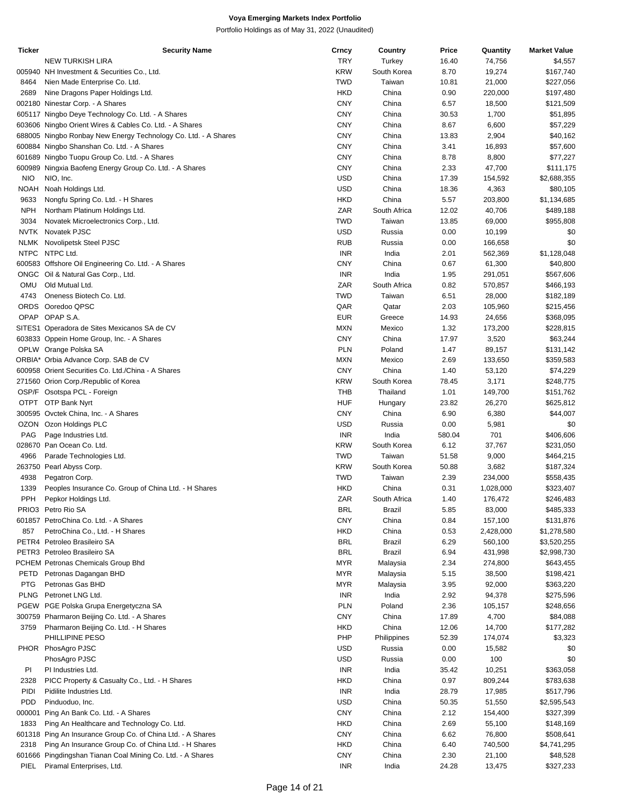| Ticker     | <b>Security Name</b>                                               | Crncy             | Country              | Price        | Quantity          | <b>Market Value</b>      |
|------------|--------------------------------------------------------------------|-------------------|----------------------|--------------|-------------------|--------------------------|
|            | <b>NEW TURKISH LIRA</b>                                            | <b>TRY</b>        | Turkey               | 16.40        | 74,756            | \$4,557                  |
|            | 005940 NH Investment & Securities Co., Ltd.                        | <b>KRW</b>        | South Korea          | 8.70         | 19,274            | \$167,740                |
| 8464       | Nien Made Enterprise Co. Ltd.                                      | <b>TWD</b>        | Taiwan               | 10.81        | 21,000            | \$227,056                |
| 2689       | Nine Dragons Paper Holdings Ltd.                                   | <b>HKD</b>        | China                | 0.90         | 220,000           | \$197,480                |
|            | 002180 Ninestar Corp. - A Shares                                   | <b>CNY</b>        | China                | 6.57         | 18,500            | \$121,509                |
|            | 605117 Ningbo Deye Technology Co. Ltd. - A Shares                  | <b>CNY</b>        | China                | 30.53        | 1,700             | \$51,895                 |
|            | 603606 Ningbo Orient Wires & Cables Co. Ltd. - A Shares            | <b>CNY</b>        | China                | 8.67         | 6,600             | \$57,229                 |
|            | 688005 Ningbo Ronbay New Energy Technology Co. Ltd. - A Shares     | <b>CNY</b>        | China                | 13.83        | 2,904             | \$40,162                 |
|            | 600884 Ningbo Shanshan Co. Ltd. - A Shares                         | <b>CNY</b>        | China                | 3.41         | 16,893            | \$57,600                 |
|            | 601689 Ningbo Tuopu Group Co. Ltd. - A Shares                      | <b>CNY</b>        | China                | 8.78         | 8,800             | \$77,227                 |
|            | 600989 Ningxia Baofeng Energy Group Co. Ltd. - A Shares            | <b>CNY</b>        | China                | 2.33         | 47,700            | \$111,175                |
| <b>NIO</b> | NIO, Inc.                                                          | <b>USD</b>        | China                | 17.39        | 154,592           | \$2,688,355              |
| NOAH       | Noah Holdings Ltd.                                                 | <b>USD</b>        | China                | 18.36        | 4,363             | \$80,105                 |
| 9633       | Nongfu Spring Co. Ltd. - H Shares                                  | <b>HKD</b>        | China                | 5.57         | 203,800           | \$1,134,685              |
| <b>NPH</b> | Northam Platinum Holdings Ltd.                                     | ZAR               | South Africa         | 12.02        | 40,706            | \$489,188                |
| 3034       | Novatek Microelectronics Corp., Ltd.                               | <b>TWD</b>        | Taiwan               | 13.85        | 69,000            | \$955,808                |
|            | NVTK Novatek PJSC                                                  | <b>USD</b>        | Russia               | 0.00         | 10,199            | \$0                      |
|            | NLMK Novolipetsk Steel PJSC                                        | <b>RUB</b>        | Russia               | 0.00         | 166,658           | \$0                      |
|            | NTPC NTPC Ltd.                                                     | <b>INR</b>        | India                | 2.01         | 562,369           | \$1,128,048              |
|            | 600583 Offshore Oil Engineering Co. Ltd. - A Shares                | <b>CNY</b>        | China                | 0.67         | 61,300            | \$40,800                 |
|            | ONGC Oil & Natural Gas Corp., Ltd.                                 | <b>INR</b>        | India                | 1.95         | 291,051           | \$567,606                |
| OMU        | Old Mutual Ltd.                                                    | ZAR               | South Africa         | 0.82         | 570,857           | \$466,193                |
| 4743       | Oneness Biotech Co. Ltd.                                           | <b>TWD</b>        | Taiwan               | 6.51         | 28,000            | \$182,189                |
|            | ORDS Ooredoo QPSC                                                  | QAR               | Qatar                | 2.03         | 105,960           | \$215,456                |
|            | OPAP OPAP S.A.                                                     | <b>EUR</b>        | Greece               | 14.93        | 24,656            | \$368,095                |
|            | SITES1 Operadora de Sites Mexicanos SA de CV                       | <b>MXN</b>        | Mexico               | 1.32         | 173,200           | \$228,815                |
|            | 603833 Oppein Home Group, Inc. - A Shares                          | <b>CNY</b>        | China                | 17.97        | 3,520             | \$63,244                 |
|            | OPLW Orange Polska SA                                              | <b>PLN</b>        | Poland               | 1.47         | 89,157            | \$131,142                |
|            | ORBIA* Orbia Advance Corp. SAB de CV                               | <b>MXN</b>        | Mexico               | 2.69         | 133,650           | \$359,583                |
|            | 600958 Orient Securities Co. Ltd./China - A Shares                 | <b>CNY</b>        | China                | 1.40         | 53,120            | \$74,229                 |
|            | 271560 Orion Corp./Republic of Korea                               | <b>KRW</b>        | South Korea          | 78.45        | 3,171             | \$248,775                |
|            | OSP/F Osotspa PCL - Foreign                                        | THB               | Thailand             | 1.01         | 149,700           | \$151,762                |
|            | OTPT OTP Bank Nyrt                                                 | <b>HUF</b>        | Hungary              | 23.82        | 26,270            | \$625,812                |
|            | 300595 Ovctek China, Inc. - A Shares                               | <b>CNY</b>        | China                | 6.90         | 6,380             | \$44,007                 |
|            | OZON Ozon Holdings PLC                                             | <b>USD</b>        | Russia               | 0.00         | 5,981             | \$0                      |
| PAG        | Page Industries Ltd.                                               | <b>INR</b>        | India                | 580.04       | 701               | \$406,606                |
|            | 028670 Pan Ocean Co. Ltd.                                          | <b>KRW</b>        | South Korea          | 6.12         | 37,767            | \$231,050                |
| 4966       | Parade Technologies Ltd.                                           | <b>TWD</b>        | Taiwan               | 51.58        | 9,000             | \$464,215                |
|            | 263750 Pearl Abyss Corp.                                           | <b>KRW</b>        | South Korea          | 50.88        | 3,682             | \$187,324                |
| 4938       | Pegatron Corp.                                                     | <b>TWD</b>        | Taiwan               | 2.39         | 234,000           | \$558,435                |
| 1339       | Peoples Insurance Co. Group of China Ltd. - H Shares               | <b>HKD</b>        | China                | 0.31         | 1,028,000         | \$323,407                |
| PPH        | Pepkor Holdings Ltd.                                               | ZAR               | South Africa         | 1.40         | 176,472           | \$246,483                |
|            | PRIO3 Petro Rio SA                                                 | <b>BRL</b>        | Brazil               | 5.85         | 83,000            | \$485,333                |
|            | 601857 PetroChina Co. Ltd. - A Shares                              | <b>CNY</b>        | China                | 0.84         | 157,100           | \$131,876                |
| 857        | PetroChina Co., Ltd. - H Shares                                    | <b>HKD</b>        | China                | 0.53         | 2,428,000         | \$1,278,580              |
|            | PETR4 Petroleo Brasileiro SA                                       | <b>BRL</b>        | Brazil               | 6.29         | 560,100           | \$3,520,255              |
|            | PETR3 Petroleo Brasileiro SA<br>PCHEM Petronas Chemicals Group Bhd | <b>BRL</b><br>MYR | Brazil               | 6.94         | 431,998           | \$2,998,730<br>\$643,455 |
| PETD       | Petronas Dagangan BHD                                              | MYR               | Malaysia<br>Malaysia | 2.34<br>5.15 | 274,800<br>38,500 | \$198,421                |
| <b>PTG</b> | Petronas Gas BHD                                                   | <b>MYR</b>        | Malaysia             | 3.95         | 92,000            | \$363,220                |
|            | PLNG Petronet LNG Ltd.                                             | <b>INR</b>        | India                | 2.92         | 94,378            | \$275,596                |
|            | PGEW PGE Polska Grupa Energetyczna SA                              | PLN               | Poland               | 2.36         | 105,157           | \$248,656                |
|            | 300759 Pharmaron Beijing Co. Ltd. - A Shares                       | <b>CNY</b>        | China                | 17.89        | 4,700             | \$84,088                 |
| 3759       | Pharmaron Beijing Co. Ltd. - H Shares                              | <b>HKD</b>        | China                | 12.06        | 14,700            | \$177,282                |
|            | PHILLIPINE PESO                                                    | PHP               | Philippines          | 52.39        | 174,074           | \$3,323                  |
|            | PHOR PhosAgro PJSC                                                 | <b>USD</b>        | Russia               | 0.00         | 15,582            | \$0                      |
|            | PhosAgro PJSC                                                      | <b>USD</b>        | Russia               | 0.00         | 100               | \$0                      |
| PI         | PI Industries Ltd.                                                 | <b>INR</b>        | India                | 35.42        | 10,251            | \$363,058                |
| 2328       | PICC Property & Casualty Co., Ltd. - H Shares                      | <b>HKD</b>        | China                | 0.97         | 809,244           | \$783,638                |
| PIDI       | Pidilite Industries Ltd.                                           | <b>INR</b>        | India                | 28.79        | 17,985            | \$517,796                |
| <b>PDD</b> | Pinduoduo, Inc.                                                    | <b>USD</b>        | China                | 50.35        | 51,550            | \$2,595,543              |
|            | 000001 Ping An Bank Co. Ltd. - A Shares                            | <b>CNY</b>        | China                | 2.12         | 154,400           | \$327,399                |
| 1833       | Ping An Healthcare and Technology Co. Ltd.                         | <b>HKD</b>        | China                | 2.69         | 55,100            | \$148,169                |
|            | 601318 Ping An Insurance Group Co. of China Ltd. - A Shares        | <b>CNY</b>        | China                | 6.62         | 76,800            | \$508,641                |
| 2318       | Ping An Insurance Group Co. of China Ltd. - H Shares               | <b>HKD</b>        | China                | 6.40         | 740,500           | \$4,741,295              |
|            | 601666 Pingdingshan Tianan Coal Mining Co. Ltd. - A Shares         | <b>CNY</b>        | China                | 2.30         | 21,100            | \$48,528                 |
| PIEL       | Piramal Enterprises, Ltd.                                          | <b>INR</b>        | India                | 24.28        | 13,475            | \$327,233                |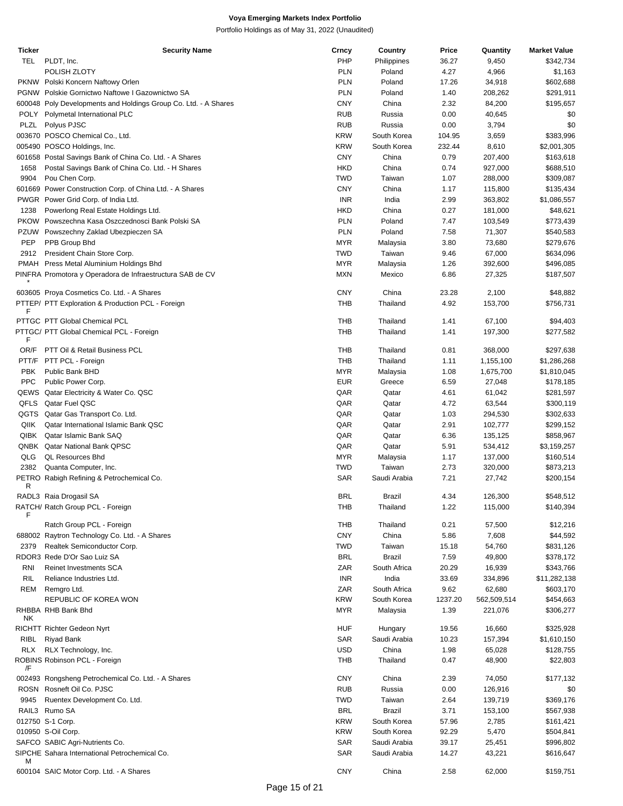| Ticker     | <b>Security Name</b>                                            | Crncy      | Country       | Price   | Quantity    | <b>Market Value</b> |
|------------|-----------------------------------------------------------------|------------|---------------|---------|-------------|---------------------|
| TEL        | PLDT, Inc.                                                      | PHP        | Philippines   | 36.27   | 9,450       | \$342,734           |
|            | POLISH ZLOTY                                                    | <b>PLN</b> | Poland        | 4.27    | 4,966       | \$1,163             |
|            |                                                                 |            |               |         |             |                     |
|            | PKNW Polski Koncern Naftowy Orlen                               | <b>PLN</b> | Poland        | 17.26   | 34,918      | \$602,688           |
|            | PGNW Polskie Gornictwo Naftowe I Gazownictwo SA                 | <b>PLN</b> | Poland        | 1.40    | 208,262     | \$291,911           |
|            | 600048 Poly Developments and Holdings Group Co. Ltd. - A Shares | <b>CNY</b> | China         | 2.32    | 84,200      | \$195,657           |
| POLY       | Polymetal International PLC                                     | <b>RUB</b> | Russia        | 0.00    | 40,645      | \$0                 |
|            |                                                                 |            |               |         |             |                     |
| PLZL       | Polyus PJSC                                                     | <b>RUB</b> | Russia        | 0.00    | 3,794       | \$0                 |
|            | 003670 POSCO Chemical Co., Ltd.                                 | <b>KRW</b> | South Korea   | 104.95  | 3,659       | \$383,996           |
|            | 005490 POSCO Holdings, Inc.                                     | <b>KRW</b> | South Korea   | 232.44  | 8,610       | \$2,001,305         |
|            | 601658 Postal Savings Bank of China Co. Ltd. - A Shares         | <b>CNY</b> | China         | 0.79    | 207,400     | \$163,618           |
|            |                                                                 |            |               |         |             |                     |
| 1658       | Postal Savings Bank of China Co. Ltd. - H Shares                | <b>HKD</b> | China         | 0.74    | 927,000     | \$688,510           |
| 9904       | Pou Chen Corp.                                                  | <b>TWD</b> | Taiwan        | 1.07    | 288,000     | \$309,087           |
|            | 601669 Power Construction Corp. of China Ltd. - A Shares        | <b>CNY</b> | China         | 1.17    | 115,800     | \$135,434           |
|            | PWGR Power Grid Corp. of India Ltd.                             | <b>INR</b> | India         | 2.99    | 363,802     | \$1,086,557         |
|            |                                                                 |            |               |         |             |                     |
| 1238       | Powerlong Real Estate Holdings Ltd.                             | <b>HKD</b> | China         | 0.27    | 181,000     | \$48,621            |
|            | PKOW Powszechna Kasa Oszczednosci Bank Polski SA                | <b>PLN</b> | Poland        | 7.47    | 103,549     | \$773,439           |
|            | PZUW Powszechny Zaklad Ubezpieczen SA                           | <b>PLN</b> | Poland        | 7.58    | 71,307      | \$540,583           |
| PEP        | PPB Group Bhd                                                   | <b>MYR</b> | Malaysia      | 3.80    | 73,680      | \$279,676           |
|            |                                                                 |            |               |         |             |                     |
| 2912       | President Chain Store Corp.                                     | <b>TWD</b> | Taiwan        | 9.46    | 67,000      | \$634,096           |
|            | PMAH Press Metal Aluminium Holdings Bhd                         | <b>MYR</b> | Malaysia      | 1.26    | 392,600     | \$496,085           |
|            | PINFRA Promotora y Operadora de Infraestructura SAB de CV       | <b>MXN</b> | Mexico        | 6.86    | 27,325      | \$187,507           |
|            |                                                                 |            |               |         |             |                     |
|            | 603605 Proya Cosmetics Co. Ltd. - A Shares                      | <b>CNY</b> | China         | 23.28   | 2,100       | \$48,882            |
|            |                                                                 |            |               |         |             |                     |
|            | PTTEP/ PTT Exploration & Production PCL - Foreign               | <b>THB</b> | Thailand      | 4.92    | 153,700     | \$756,731           |
| F          |                                                                 |            |               |         |             |                     |
|            | PTTGC PTT Global Chemical PCL                                   | THB        | Thailand      | 1.41    | 67,100      | \$94,403            |
|            | PTTGC/ PTT Global Chemical PCL - Foreign                        | THB        | Thailand      | 1.41    | 197,300     | \$277,582           |
| F          |                                                                 |            |               |         |             |                     |
| OR/F       | PTT Oil & Retail Business PCL                                   | THB        | Thailand      | 0.81    | 368,000     | \$297,638           |
|            | PTT/F PTT PCL - Foreign                                         | THB        | Thailand      | 1.11    | 1,155,100   | \$1,286,268         |
|            |                                                                 |            |               |         |             |                     |
| PBK        | Public Bank BHD                                                 | <b>MYR</b> | Malaysia      | 1.08    | 1,675,700   | \$1,810,045         |
| <b>PPC</b> | Public Power Corp.                                              | <b>EUR</b> | Greece        | 6.59    | 27,048      | \$178,185           |
|            | QEWS Qatar Electricity & Water Co. QSC                          | QAR        | Qatar         | 4.61    | 61,042      | \$281,597           |
|            | QFLS Qatar Fuel QSC                                             | QAR        | Qatar         | 4.72    | 63,544      | \$300,119           |
|            |                                                                 |            |               |         |             |                     |
|            | QGTS Qatar Gas Transport Co. Ltd.                               | QAR        | Qatar         | 1.03    | 294,530     | \$302,633           |
| QIIK       | Qatar International Islamic Bank QSC                            | QAR        | Qatar         | 2.91    | 102,777     | \$299,152           |
| QIBK       | Qatar Islamic Bank SAQ                                          | QAR        | Qatar         | 6.36    | 135,125     | \$858,967           |
|            | QNBK Qatar National Bank QPSC                                   | QAR        | Qatar         | 5.91    | 534,412     | \$3,159,257         |
|            |                                                                 |            |               |         |             |                     |
| QLG        | <b>QL Resources Bhd</b>                                         | <b>MYR</b> | Malaysia      | 1.17    | 137,000     | \$160,514           |
| 2382       | Quanta Computer, Inc.                                           | <b>TWD</b> | Taiwan        | 2.73    | 320,000     | \$873,213           |
|            | PETRO Rabigh Refining & Petrochemical Co.                       | SAR        | Saudi Arabia  | 7.21    | 27,742      | \$200,154           |
| R          |                                                                 |            |               |         |             |                     |
|            | RADL3 Raia Drogasil SA                                          | <b>BRL</b> | <b>Brazil</b> | 4.34    | 126,300     | \$548,512           |
|            |                                                                 |            |               |         |             |                     |
| F          | RATCH/ Ratch Group PCL - Foreign                                | тнв        | Thailand      | 1.22    | 115,000     | \$140,394           |
|            |                                                                 |            |               |         |             |                     |
|            | Ratch Group PCL - Foreign                                       | <b>THB</b> | Thailand      | 0.21    | 57,500      | \$12,216            |
|            | 688002 Raytron Technology Co. Ltd. - A Shares                   | <b>CNY</b> | China         | 5.86    | 7,608       | \$44,592            |
| 2379       | Realtek Semiconductor Corp.                                     | <b>TWD</b> | Taiwan        | 15.18   | 54,760      | \$831,126           |
|            | RDOR3 Rede D'Or Sao Luiz SA                                     | <b>BRL</b> | Brazil        | 7.59    | 49,800      | \$378,172           |
|            |                                                                 |            |               |         |             |                     |
| <b>RNI</b> | <b>Reinet Investments SCA</b>                                   | ZAR        | South Africa  | 20.29   | 16,939      | \$343,766           |
| RIL        | Reliance Industries Ltd.                                        | <b>INR</b> | India         | 33.69   | 334,896     | \$11,282,138        |
| <b>REM</b> | Remgro Ltd.                                                     | ZAR        | South Africa  | 9.62    | 62,680      | \$603,170           |
|            | REPUBLIC OF KOREA WON                                           | <b>KRW</b> | South Korea   | 1237.20 | 562,509,514 | \$454,663           |
|            |                                                                 |            |               |         |             |                     |
|            | RHBBA RHB Bank Bhd                                              | <b>MYR</b> | Malaysia      | 1.39    | 221,076     | \$306,277           |
| NΚ         |                                                                 |            |               |         |             |                     |
|            | <b>RICHTT Richter Gedeon Nyrt</b>                               | HUF        | Hungary       | 19.56   | 16,660      | \$325,928           |
| RIBL       | <b>Riyad Bank</b>                                               | SAR        | Saudi Arabia  | 10.23   | 157,394     | \$1,610,150         |
| <b>RLX</b> | RLX Technology, Inc.                                            | <b>USD</b> | China         | 1.98    | 65,028      | \$128,755           |
|            | ROBINS Robinson PCL - Foreign                                   | THB        | Thailand      | 0.47    |             |                     |
| /F         |                                                                 |            |               |         | 48,900      | \$22,803            |
|            |                                                                 |            |               |         |             |                     |
|            | 002493 Rongsheng Petrochemical Co. Ltd. - A Shares              | <b>CNY</b> | China         | 2.39    | 74,050      | \$177,132           |
|            | ROSN Rosneft Oil Co. PJSC                                       | <b>RUB</b> | Russia        | 0.00    | 126,916     | \$0                 |
| 9945       | Ruentex Development Co. Ltd.                                    | TWD        | Taiwan        | 2.64    | 139,719     | \$369,176           |
|            | RAIL3 Rumo SA                                                   | <b>BRL</b> | Brazil        | 3.71    | 153,100     | \$567,938           |
|            |                                                                 |            |               |         |             |                     |
|            | 012750 S-1 Corp.                                                | <b>KRW</b> | South Korea   | 57.96   | 2,785       | \$161,421           |
|            | 010950 S-Oil Corp.                                              | <b>KRW</b> | South Korea   | 92.29   | 5,470       | \$504,841           |
|            | SAFCO SABIC Agri-Nutrients Co.                                  | <b>SAR</b> | Saudi Arabia  | 39.17   | 25,451      | \$996,802           |
|            | SIPCHE Sahara International Petrochemical Co.                   | SAR        | Saudi Arabia  | 14.27   | 43,221      | \$616,647           |
| м          |                                                                 |            |               |         |             |                     |
|            |                                                                 | <b>CNY</b> |               |         |             |                     |
|            | 600104 SAIC Motor Corp. Ltd. - A Shares                         |            | China         | 2.58    | 62,000      | \$159,751           |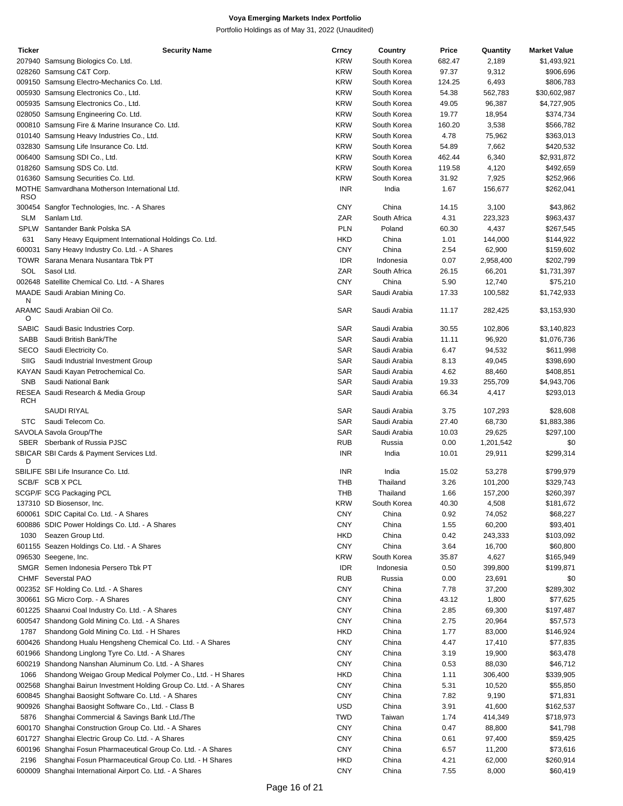| <b>Ticker</b> | <b>Security Name</b>                                                | Crncy      | Country      | Price  | Quantity  | <b>Market Value</b> |
|---------------|---------------------------------------------------------------------|------------|--------------|--------|-----------|---------------------|
|               | 207940 Samsung Biologics Co. Ltd.                                   | <b>KRW</b> | South Korea  | 682.47 | 2,189     | \$1,493,921         |
|               | 028260 Samsung C&T Corp.                                            | <b>KRW</b> | South Korea  | 97.37  | 9,312     | \$906,696           |
|               | 009150 Samsung Electro-Mechanics Co. Ltd.                           | <b>KRW</b> | South Korea  | 124.25 | 6,493     | \$806,783           |
|               | 005930 Samsung Electronics Co., Ltd.                                | <b>KRW</b> | South Korea  | 54.38  | 562,783   | \$30,602,987        |
|               | 005935 Samsung Electronics Co., Ltd.                                | <b>KRW</b> | South Korea  | 49.05  | 96,387    | \$4,727,905         |
|               | 028050 Samsung Engineering Co. Ltd.                                 | <b>KRW</b> | South Korea  | 19.77  | 18,954    | \$374,734           |
|               | 000810 Samsung Fire & Marine Insurance Co. Ltd.                     | <b>KRW</b> | South Korea  | 160.20 | 3,538     | \$566,782           |
|               | 010140 Samsung Heavy Industries Co., Ltd.                           | <b>KRW</b> | South Korea  | 4.78   | 75,962    | \$363,013           |
|               | 032830 Samsung Life Insurance Co. Ltd.                              | <b>KRW</b> | South Korea  | 54.89  | 7,662     | \$420,532           |
|               |                                                                     |            |              |        |           |                     |
|               | 006400 Samsung SDI Co., Ltd.                                        | <b>KRW</b> | South Korea  | 462.44 | 6,340     | \$2,931,872         |
|               | 018260 Samsung SDS Co. Ltd.                                         | <b>KRW</b> | South Korea  | 119.58 | 4,120     | \$492,659           |
|               | 016360 Samsung Securities Co. Ltd.                                  | <b>KRW</b> | South Korea  | 31.92  | 7,925     | \$252,966           |
| <b>RSO</b>    | MOTHE Samvardhana Motherson International Ltd.                      | <b>INR</b> | India        | 1.67   | 156,677   | \$262,041           |
|               | 300454 Sangfor Technologies, Inc. - A Shares                        | <b>CNY</b> | China        | 14.15  | 3,100     | \$43,862            |
| <b>SLM</b>    | Sanlam Ltd.                                                         | ZAR        | South Africa | 4.31   | 223,323   | \$963,437           |
| SPLW          | Santander Bank Polska SA                                            | <b>PLN</b> | Poland       | 60.30  | 4,437     | \$267,545           |
| 631           | Sany Heavy Equipment International Holdings Co. Ltd.                | <b>HKD</b> | China        | 1.01   | 144,000   | \$144,922           |
|               | 600031 Sany Heavy Industry Co. Ltd. - A Shares                      | <b>CNY</b> | China        | 2.54   | 62,900    | \$159,602           |
|               | TOWR Sarana Menara Nusantara Tbk PT                                 | <b>IDR</b> | Indonesia    | 0.07   | 2,958,400 | \$202,799           |
| SOL           | Sasol Ltd.                                                          | ZAR        | South Africa | 26.15  | 66,201    | \$1,731,397         |
|               | 002648 Satellite Chemical Co. Ltd. - A Shares                       | <b>CNY</b> | China        | 5.90   | 12,740    | \$75,210            |
|               | MAADE Saudi Arabian Mining Co.                                      | SAR        | Saudi Arabia | 17.33  | 100,582   | \$1,742,933         |
| N             | ARAMC Saudi Arabian Oil Co.                                         | SAR        | Saudi Arabia | 11.17  | 282,425   | \$3,153,930         |
| O             |                                                                     |            |              |        |           |                     |
|               | SABIC Saudi Basic Industries Corp.                                  | <b>SAR</b> | Saudi Arabia | 30.55  | 102,806   | \$3,140,823         |
| SABB          | Saudi British Bank/The                                              | <b>SAR</b> | Saudi Arabia | 11.11  | 96,920    | \$1,076,736         |
| SECO          | Saudi Electricity Co.                                               | SAR        | Saudi Arabia | 6.47   | 94,532    | \$611,998           |
| SIIG          | Saudi Industrial Investment Group                                   | <b>SAR</b> | Saudi Arabia | 8.13   | 49,045    | \$398,690           |
|               | KAYAN Saudi Kayan Petrochemical Co.                                 | <b>SAR</b> | Saudi Arabia | 4.62   | 88,460    | \$408,851           |
| <b>SNB</b>    | Saudi National Bank                                                 | <b>SAR</b> | Saudi Arabia | 19.33  | 255,709   | \$4,943,706         |
|               | RESEA Saudi Research & Media Group                                  | <b>SAR</b> | Saudi Arabia | 66.34  | 4,417     | \$293,013           |
| <b>RCH</b>    |                                                                     |            |              |        |           |                     |
|               | SAUDI RIYAL                                                         | SAR        | Saudi Arabia | 3.75   | 107,293   | \$28,608            |
| <b>STC</b>    | Saudi Telecom Co.                                                   | SAR        | Saudi Arabia | 27.40  | 68,730    | \$1,883,386         |
|               | SAVOLA Savola Group/The                                             | SAR        | Saudi Arabia | 10.03  | 29,625    | \$297,100           |
|               | SBER Sberbank of Russia PJSC                                        | <b>RUB</b> | Russia       | 0.00   | 1,201,542 | \$0                 |
| D             | SBICAR SBI Cards & Payment Services Ltd.                            | <b>INR</b> | India        | 10.01  | 29,911    | \$299,314           |
|               | SBILIFE SBI Life Insurance Co. Ltd.                                 | <b>INR</b> | India        | 15.02  | 53,278    | \$799,979           |
|               | SCB/F SCB X PCL                                                     | THB        | Thailand     | 3.26   | 101,200   | \$329,743           |
|               | SCGP/F SCG Packaging PCL                                            | <b>THB</b> | Thailand     | 1.66   | 157,200   | \$260,397           |
|               | 137310 SD Biosensor, Inc.                                           | <b>KRW</b> | South Korea  | 40.30  | 4,508     | \$181,672           |
|               | 600061 SDIC Capital Co. Ltd. - A Shares                             | <b>CNY</b> | China        | 0.92   | 74,052    | \$68,227            |
|               | 600886 SDIC Power Holdings Co. Ltd. - A Shares                      | <b>CNY</b> | China        | 1.55   | 60,200    | \$93,401            |
| 1030          | Seazen Group Ltd.                                                   | HKD        | China        | 0.42   | 243,333   | \$103,092           |
|               | 601155 Seazen Holdings Co. Ltd. - A Shares                          | <b>CNY</b> | China        | 3.64   | 16,700    | \$60,800            |
|               | 096530 Seegene, Inc.                                                | <b>KRW</b> | South Korea  | 35.87  | 4,627     | \$165,949           |
|               | SMGR Semen Indonesia Persero Tbk PT                                 |            |              |        |           |                     |
|               |                                                                     | <b>IDR</b> | Indonesia    | 0.50   | 399,800   | \$199,871           |
|               | CHMF Severstal PAO                                                  | <b>RUB</b> | Russia       | 0.00   | 23,691    | \$0                 |
|               | 002352 SF Holding Co. Ltd. - A Shares                               | <b>CNY</b> | China        | 7.78   | 37,200    | \$289,302           |
|               | 300661 SG Micro Corp. - A Shares                                    | <b>CNY</b> | China        | 43.12  | 1,800     | \$77,625            |
|               | 601225 Shaanxi Coal Industry Co. Ltd. - A Shares                    | <b>CNY</b> | China        | 2.85   | 69,300    | \$197,487           |
|               | 600547 Shandong Gold Mining Co. Ltd. - A Shares                     | <b>CNY</b> | China        | 2.75   | 20,964    | \$57,573            |
| 1787          | Shandong Gold Mining Co. Ltd. - H Shares                            | HKD        | China        | 1.77   | 83,000    | \$146,924           |
|               | 600426 Shandong Hualu Hengsheng Chemical Co. Ltd. - A Shares        | <b>CNY</b> | China        | 4.47   | 17,410    | \$77,835            |
|               | 601966 Shandong Linglong Tyre Co. Ltd. - A Shares                   | <b>CNY</b> | China        | 3.19   | 19,900    | \$63,478            |
|               | 600219 Shandong Nanshan Aluminum Co. Ltd. - A Shares                | <b>CNY</b> | China        | 0.53   | 88,030    | \$46,712            |
| 1066          | Shandong Weigao Group Medical Polymer Co., Ltd. - H Shares          | HKD        | China        | 1.11   | 306,400   | \$339,905           |
|               | 002568 Shanghai Bairun Investment Holding Group Co. Ltd. - A Shares | <b>CNY</b> | China        | 5.31   | 10,520    | \$55,850            |
|               |                                                                     |            |              |        |           |                     |
|               | 600845 Shanghai Baosight Software Co. Ltd. - A Shares               | <b>CNY</b> | China        | 7.82   | 9,190     | \$71,831            |
|               | 900926 Shanghai Baosight Software Co., Ltd. - Class B               | USD        | China        | 3.91   | 41,600    | \$162,537           |
| 5876          | Shanghai Commercial & Savings Bank Ltd./The                         | <b>TWD</b> | Taiwan       | 1.74   | 414,349   | \$718,973           |
|               | 600170 Shanghai Construction Group Co. Ltd. - A Shares              | <b>CNY</b> | China        | 0.47   | 88,800    | \$41,798            |
|               | 601727 Shanghai Electric Group Co. Ltd. - A Shares                  | <b>CNY</b> | China        | 0.61   | 97,400    | \$59,425            |
|               | 600196 Shanghai Fosun Pharmaceutical Group Co. Ltd. - A Shares      | <b>CNY</b> | China        | 6.57   | 11,200    | \$73,616            |
| 2196          | Shanghai Fosun Pharmaceutical Group Co. Ltd. - H Shares             | HKD        | China        | 4.21   | 62,000    | \$260,914           |
|               | 600009 Shanghai International Airport Co. Ltd. - A Shares           | <b>CNY</b> | China        | 7.55   | 8,000     | \$60,419            |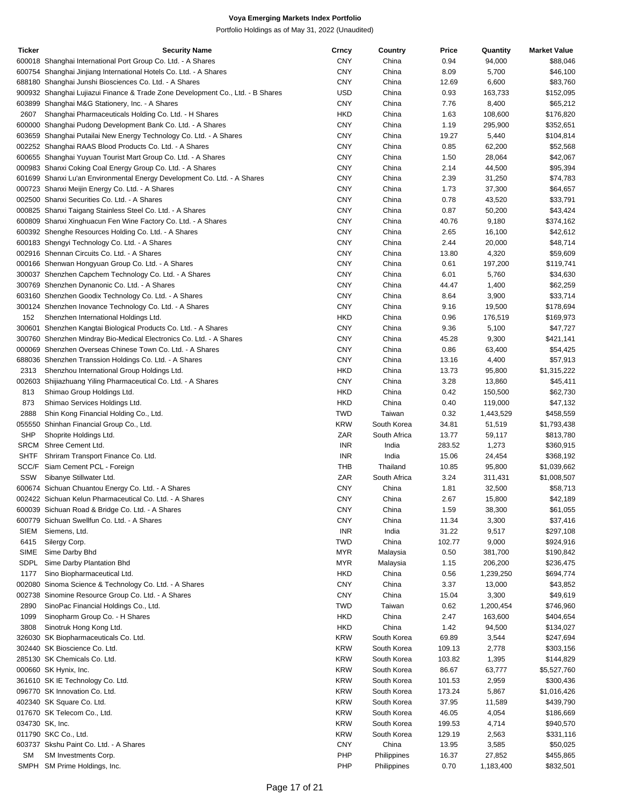| Ticker      | <b>Security Name</b>                                                           | Crncy      | Country      | Price  | Quantity  | <b>Market Value</b> |
|-------------|--------------------------------------------------------------------------------|------------|--------------|--------|-----------|---------------------|
|             | 600018 Shanghai International Port Group Co. Ltd. - A Shares                   | <b>CNY</b> | China        | 0.94   | 94,000    | \$88,046            |
|             | 600754 Shanghai Jinjiang International Hotels Co. Ltd. - A Shares              | <b>CNY</b> | China        | 8.09   | 5,700     | \$46,100            |
|             | 688180 Shanghai Junshi Biosciences Co. Ltd. - A Shares                         | <b>CNY</b> | China        | 12.69  | 6,600     | \$83,760            |
|             | 900932 Shanghai Lujiazui Finance & Trade Zone Development Co., Ltd. - B Shares | <b>USD</b> | China        | 0.93   | 163,733   | \$152,095           |
|             | 603899 Shanghai M&G Stationery, Inc. - A Shares                                | <b>CNY</b> | China        | 7.76   | 8,400     | \$65,212            |
| 2607        | Shanghai Pharmaceuticals Holding Co. Ltd. - H Shares                           | <b>HKD</b> | China        | 1.63   | 108,600   | \$176,820           |
|             | 600000 Shanghai Pudong Development Bank Co. Ltd. - A Shares                    | <b>CNY</b> | China        | 1.19   | 295,900   | \$352,651           |
|             |                                                                                | <b>CNY</b> |              |        |           |                     |
|             | 603659 Shanghai Putailai New Energy Technology Co. Ltd. - A Shares             |            | China        | 19.27  | 5,440     | \$104,814           |
|             | 002252 Shanghai RAAS Blood Products Co. Ltd. - A Shares                        | <b>CNY</b> | China        | 0.85   | 62,200    | \$52,568            |
|             | 600655 Shanghai Yuyuan Tourist Mart Group Co. Ltd. - A Shares                  | <b>CNY</b> | China        | 1.50   | 28,064    | \$42,067            |
|             | 000983 Shanxi Coking Coal Energy Group Co. Ltd. - A Shares                     | <b>CNY</b> | China        | 2.14   | 44,500    | \$95,394            |
|             | 601699 Shanxi Lu'an Environmental Energy Development Co. Ltd. - A Shares       | <b>CNY</b> | China        | 2.39   | 31,250    | \$74,783            |
|             | 000723 Shanxi Meijin Energy Co. Ltd. - A Shares                                | <b>CNY</b> | China        | 1.73   | 37,300    | \$64,657            |
|             | 002500 Shanxi Securities Co. Ltd. - A Shares                                   | <b>CNY</b> | China        | 0.78   | 43,520    | \$33,791            |
|             | 000825 Shanxi Taigang Stainless Steel Co. Ltd. - A Shares                      | <b>CNY</b> | China        | 0.87   | 50,200    | \$43,424            |
|             | 600809 Shanxi Xinghuacun Fen Wine Factory Co. Ltd. - A Shares                  | <b>CNY</b> | China        | 40.76  | 9,180     | \$374,162           |
|             | 600392 Shenghe Resources Holding Co. Ltd. - A Shares                           | <b>CNY</b> | China        | 2.65   | 16,100    | \$42,612            |
|             |                                                                                |            |              |        |           |                     |
|             | 600183 Shengyi Technology Co. Ltd. - A Shares                                  | <b>CNY</b> | China        | 2.44   | 20,000    | \$48,714            |
|             | 002916 Shennan Circuits Co. Ltd. - A Shares                                    | <b>CNY</b> | China        | 13.80  | 4,320     | \$59,609            |
|             | 000166 Shenwan Hongyuan Group Co. Ltd. - A Shares                              | <b>CNY</b> | China        | 0.61   | 197,200   | \$119,741           |
|             | 300037 Shenzhen Capchem Technology Co. Ltd. - A Shares                         | <b>CNY</b> | China        | 6.01   | 5,760     | \$34,630            |
|             | 300769 Shenzhen Dynanonic Co. Ltd. - A Shares                                  | <b>CNY</b> | China        | 44.47  | 1,400     | \$62,259            |
|             | 603160 Shenzhen Goodix Technology Co. Ltd. - A Shares                          | <b>CNY</b> | China        | 8.64   | 3,900     | \$33,714            |
|             | 300124 Shenzhen Inovance Technology Co. Ltd. - A Shares                        | <b>CNY</b> | China        | 9.16   | 19,500    | \$178,694           |
| 152         | Shenzhen International Holdings Ltd.                                           | <b>HKD</b> | China        | 0.96   | 176,519   | \$169,973           |
|             | 300601 Shenzhen Kangtai Biological Products Co. Ltd. - A Shares                | <b>CNY</b> | China        | 9.36   | 5,100     | \$47,727            |
|             |                                                                                | <b>CNY</b> |              |        |           | \$421,141           |
|             | 300760 Shenzhen Mindray Bio-Medical Electronics Co. Ltd. - A Shares            |            | China        | 45.28  | 9,300     |                     |
|             | 000069 Shenzhen Overseas Chinese Town Co. Ltd. - A Shares                      | <b>CNY</b> | China        | 0.86   | 63,400    | \$54,425            |
|             | 688036 Shenzhen Transsion Holdings Co. Ltd. - A Shares                         | <b>CNY</b> | China        | 13.16  | 4,400     | \$57,913            |
| 2313        | Shenzhou International Group Holdings Ltd.                                     | <b>HKD</b> | China        | 13.73  | 95,800    | \$1,315,222         |
|             | 002603 Shijiazhuang Yiling Pharmaceutical Co. Ltd. - A Shares                  | <b>CNY</b> | China        | 3.28   | 13,860    | \$45,411            |
| 813         | Shimao Group Holdings Ltd.                                                     | <b>HKD</b> | China        | 0.42   | 150,500   | \$62,730            |
| 873         | Shimao Services Holdings Ltd.                                                  | <b>HKD</b> | China        | 0.40   | 119,000   | \$47,132            |
| 2888        | Shin Kong Financial Holding Co., Ltd.                                          | <b>TWD</b> | Taiwan       | 0.32   | 1,443,529 | \$458,559           |
|             | 055550 Shinhan Financial Group Co., Ltd.                                       | <b>KRW</b> | South Korea  | 34.81  | 51,519    | \$1,793,438         |
| <b>SHP</b>  |                                                                                | ZAR        | South Africa | 13.77  |           |                     |
|             | Shoprite Holdings Ltd.                                                         |            |              |        | 59,117    | \$813,780           |
|             | SRCM Shree Cement Ltd.                                                         | <b>INR</b> | India        | 283.52 | 1,273     | \$360,915           |
| <b>SHTF</b> | Shriram Transport Finance Co. Ltd.                                             | <b>INR</b> | India        | 15.06  | 24,454    | \$368,192           |
|             | SCC/F Siam Cement PCL - Foreign                                                | <b>THB</b> | Thailand     | 10.85  | 95,800    | \$1,039,662         |
| SSW         | Sibanye Stillwater Ltd.                                                        | ZAR        | South Africa | 3.24   | 311,431   | \$1,008,507         |
|             | 600674 Sichuan Chuantou Energy Co. Ltd. - A Shares                             | <b>CNY</b> | China        | 1.81   | 32,500    | \$58,713            |
|             | 002422 Sichuan Kelun Pharmaceutical Co. Ltd. - A Shares                        | <b>CNY</b> | China        | 2.67   | 15,800    | \$42,189            |
|             | 600039 Sichuan Road & Bridge Co. Ltd. - A Shares                               | <b>CNY</b> | China        | 1.59   | 38,300    | \$61,055            |
|             | 600779 Sichuan Swellfun Co. Ltd. - A Shares                                    | <b>CNY</b> | China        | 11.34  | 3,300     | \$37,416            |
| <b>SIEM</b> | Siemens, Ltd.                                                                  | <b>INR</b> | India        | 31.22  | 9,517     | \$297,108           |
| 6415        |                                                                                | <b>TWD</b> | China        | 102.77 |           |                     |
|             | Silergy Corp.                                                                  |            |              |        | 9,000     | \$924,916           |
| <b>SIME</b> | Sime Darby Bhd                                                                 | <b>MYR</b> | Malaysia     | 0.50   | 381,700   | \$190,842           |
| SDPL        | Sime Darby Plantation Bhd                                                      | <b>MYR</b> | Malaysia     | 1.15   | 206,200   | \$236,475           |
| 1177        | Sino Biopharmaceutical Ltd.                                                    | <b>HKD</b> | China        | 0.56   | 1,239,250 | \$694,774           |
|             | 002080 Sinoma Science & Technology Co. Ltd. - A Shares                         | <b>CNY</b> | China        | 3.37   | 13,000    | \$43,852            |
|             | 002738 Sinomine Resource Group Co. Ltd. - A Shares                             | <b>CNY</b> | China        | 15.04  | 3,300     | \$49,619            |
| 2890        | SinoPac Financial Holdings Co., Ltd.                                           | <b>TWD</b> | Taiwan       | 0.62   | 1,200,454 | \$746,960           |
| 1099        | Sinopharm Group Co. - H Shares                                                 | <b>HKD</b> | China        | 2.47   | 163,600   | \$404,654           |
| 3808        | Sinotruk Hong Kong Ltd.                                                        | <b>HKD</b> | China        | 1.42   | 94,500    | \$134,027           |
|             | 326030 SK Biopharmaceuticals Co. Ltd.                                          | <b>KRW</b> | South Korea  | 69.89  | 3,544     | \$247,694           |
|             |                                                                                |            |              |        |           |                     |
|             | 302440 SK Bioscience Co. Ltd.                                                  | <b>KRW</b> | South Korea  | 109.13 | 2,778     | \$303,156           |
|             | 285130 SK Chemicals Co. Ltd.                                                   | <b>KRW</b> | South Korea  | 103.82 | 1,395     | \$144,829           |
|             | 000660 SK Hynix, Inc.                                                          | <b>KRW</b> | South Korea  | 86.67  | 63,777    | \$5,527,760         |
|             | 361610 SK IE Technology Co. Ltd.                                               | <b>KRW</b> | South Korea  | 101.53 | 2,959     | \$300,436           |
|             | 096770 SK Innovation Co. Ltd.                                                  | <b>KRW</b> | South Korea  | 173.24 | 5,867     | \$1,016,426         |
|             | 402340 SK Square Co. Ltd.                                                      | <b>KRW</b> | South Korea  | 37.95  | 11,589    | \$439,790           |
|             | 017670 SK Telecom Co., Ltd.                                                    | <b>KRW</b> | South Korea  | 46.05  | 4,054     | \$186,669           |
|             | 034730 SK, Inc.                                                                | <b>KRW</b> | South Korea  | 199.53 | 4,714     | \$940,570           |
|             | 011790 SKC Co., Ltd.                                                           | <b>KRW</b> | South Korea  | 129.19 | 2,563     | \$331,116           |
|             | 603737 Skshu Paint Co. Ltd. - A Shares                                         | <b>CNY</b> | China        | 13.95  | 3,585     | \$50,025            |
| <b>SM</b>   | SM Investments Corp.                                                           | PHP        | Philippines  | 16.37  | 27,852    | \$455,865           |
|             |                                                                                |            |              |        |           |                     |
|             | SMPH SM Prime Holdings, Inc.                                                   | PHP        | Philippines  | 0.70   | 1,183,400 | \$832,501           |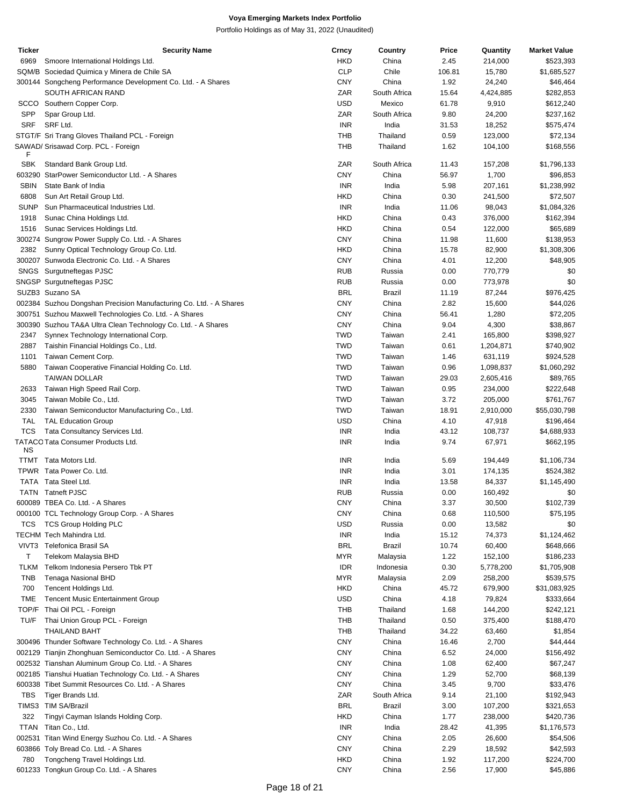| <b>Ticker</b> | <b>Security Name</b>                                               | Crncy      | Country       | Price  | Quantity  | <b>Market Value</b> |
|---------------|--------------------------------------------------------------------|------------|---------------|--------|-----------|---------------------|
| 6969          | Smoore International Holdings Ltd.                                 | HKD        | China         | 2.45   | 214,000   | \$523,393           |
|               | SQM/B Sociedad Quimica y Minera de Chile SA                        | <b>CLP</b> | Chile         | 106.81 | 15,780    | \$1,685,527         |
|               | 300144 Songcheng Performance Development Co. Ltd. - A Shares       | CNY        | China         | 1.92   | 24,240    | \$46,464            |
|               | SOUTH AFRICAN RAND                                                 | ZAR        | South Africa  | 15.64  | 4,424,885 | \$282,853           |
| scco          | Southern Copper Corp.                                              | USD        | Mexico        | 61.78  | 9,910     | \$612,240           |
| <b>SPP</b>    | Spar Group Ltd.                                                    | ZAR        | South Africa  | 9.80   | 24,200    | \$237,162           |
| <b>SRF</b>    | SRF Ltd.                                                           | <b>INR</b> | India         | 31.53  | 18,252    | \$575,474           |
|               | STGT/F Sri Trang Gloves Thailand PCL - Foreign                     | THB        | Thailand      | 0.59   | 123,000   | \$72,134            |
|               | SAWAD/ Srisawad Corp. PCL - Foreign                                | <b>THB</b> | Thailand      | 1.62   | 104,100   | \$168,556           |
| F             |                                                                    |            |               |        |           |                     |
| <b>SBK</b>    | Standard Bank Group Ltd.                                           | ZAR        | South Africa  | 11.43  | 157,208   | \$1,796,133         |
|               | 603290 StarPower Semiconductor Ltd. - A Shares                     | <b>CNY</b> | China         | 56.97  | 1,700     | \$96,853            |
| <b>SBIN</b>   | State Bank of India                                                | <b>INR</b> | India         | 5.98   | 207,161   | \$1,238,992         |
| 6808          | Sun Art Retail Group Ltd.                                          | HKD        | China         | 0.30   | 241,500   | \$72,507            |
| <b>SUNP</b>   | Sun Pharmaceutical Industries Ltd.                                 | <b>INR</b> | India         | 11.06  | 98,043    | \$1,084,326         |
| 1918          | Sunac China Holdings Ltd.                                          | HKD        | China         | 0.43   | 376,000   | \$162,394           |
| 1516          | Sunac Services Holdings Ltd.                                       | HKD        | China         | 0.54   | 122,000   | \$65,689            |
|               | 300274 Sungrow Power Supply Co. Ltd. - A Shares                    | CNY        | China         | 11.98  | 11,600    | \$138,953           |
| 2382          | Sunny Optical Technology Group Co. Ltd.                            | HKD        | China         | 15.78  | 82,900    | \$1,308,306         |
|               | 300207 Sunwoda Electronic Co. Ltd. - A Shares                      | <b>CNY</b> | China         | 4.01   | 12,200    | \$48,905            |
|               | SNGS Surgutneftegas PJSC                                           | <b>RUB</b> | Russia        | 0.00   | 770,779   | \$0                 |
|               | SNGSP Surgutneftegas PJSC                                          | <b>RUB</b> | Russia        | 0.00   | 773,978   | \$0                 |
|               | SUZB3 Suzano SA                                                    | <b>BRL</b> | <b>Brazil</b> |        |           | \$976,425           |
|               |                                                                    |            |               | 11.19  | 87,244    |                     |
|               | 002384 Suzhou Dongshan Precision Manufacturing Co. Ltd. - A Shares | CNY        | China         | 2.82   | 15,600    | \$44,026            |
|               | 300751 Suzhou Maxwell Technologies Co. Ltd. - A Shares             | CNY        | China         | 56.41  | 1,280     | \$72,205            |
|               | 300390 Suzhou TA&A Ultra Clean Technology Co. Ltd. - A Shares      | CNY        | China         | 9.04   | 4,300     | \$38,867            |
| 2347          | Synnex Technology International Corp.                              | <b>TWD</b> | Taiwan        | 2.41   | 165,800   | \$398,927           |
| 2887          | Taishin Financial Holdings Co., Ltd.                               | <b>TWD</b> | Taiwan        | 0.61   | 1,204,871 | \$740,902           |
| 1101          | Taiwan Cement Corp.                                                | <b>TWD</b> | Taiwan        | 1.46   | 631,119   | \$924,528           |
| 5880          | Taiwan Cooperative Financial Holding Co. Ltd.                      | <b>TWD</b> | Taiwan        | 0.96   | 1,098,837 | \$1,060,292         |
|               | <b>TAIWAN DOLLAR</b>                                               | <b>TWD</b> | Taiwan        | 29.03  | 2,605,416 | \$89,765            |
| 2633          | Taiwan High Speed Rail Corp.                                       | <b>TWD</b> | Taiwan        | 0.95   | 234,000   | \$222,648           |
| 3045          | Taiwan Mobile Co., Ltd.                                            | <b>TWD</b> | Taiwan        | 3.72   | 205,000   | \$761,767           |
| 2330          | Taiwan Semiconductor Manufacturing Co., Ltd.                       | <b>TWD</b> | Taiwan        | 18.91  | 2,910,000 | \$55,030,798        |
| <b>TAL</b>    | <b>TAL Education Group</b>                                         | USD        | China         | 4.10   | 47,918    | \$196,464           |
| <b>TCS</b>    | Tata Consultancy Services Ltd.                                     | <b>INR</b> | India         | 43.12  | 108,737   | \$4,688,933         |
|               | TATACO Tata Consumer Products Ltd.                                 | <b>INR</b> | India         | 9.74   | 67,971    | \$662,195           |
| ΝS            |                                                                    |            |               |        |           |                     |
| TTMT          | Tata Motors Ltd.                                                   | <b>INR</b> | India         | 5.69   | 194,449   | \$1,106,734         |
|               | TPWR Tata Power Co. Ltd.                                           | <b>INR</b> | India         | 3.01   | 174,135   | \$524,382           |
|               | TATA Tata Steel Ltd.                                               | <b>INR</b> | India         | 13.58  | 84,337    | \$1,145,490         |
|               | <b>TATN</b> Tatneft PJSC                                           | <b>RUB</b> | Russia        | 0.00   | 160,492   | \$0                 |
|               | 600089 TBEA Co. Ltd. - A Shares                                    | <b>CNY</b> | China         | 3.37   | 30,500    | \$102,739           |
|               | 000100 TCL Technology Group Corp. - A Shares                       | CNY        | China         | 0.68   | 110,500   | \$75,195            |
|               | TCS TCS Group Holding PLC                                          | USD        | Russia        | 0.00   | 13,582    | \$0                 |
|               | TECHM Tech Mahindra Ltd.                                           | <b>INR</b> | India         | 15.12  | 74,373    | \$1,124,462         |
| VIVT3         | Telefonica Brasil SA                                               | <b>BRL</b> | Brazil        | 10.74  | 60,400    | \$648,666           |
| Τ             | Telekom Malaysia BHD                                               | <b>MYR</b> | Malaysia      | 1.22   | 152,100   | \$186,233           |
| <b>TLKM</b>   | Telkom Indonesia Persero Tbk PT                                    | <b>IDR</b> | Indonesia     | 0.30   | 5,778,200 | \$1,705,908         |
| <b>TNB</b>    | Tenaga Nasional BHD                                                | <b>MYR</b> | Malaysia      | 2.09   | 258,200   | \$539,575           |
| 700           | Tencent Holdings Ltd.                                              | HKD        | China         | 45.72  | 679,900   | \$31,083,925        |
| TME           | <b>Tencent Music Entertainment Group</b>                           | <b>USD</b> | China         | 4.18   | 79,824    | \$333,664           |
|               | TOP/F Thai Oil PCL - Foreign                                       | THB        | Thailand      | 1.68   | 144,200   | \$242,121           |
| TU/F          | Thai Union Group PCL - Foreign                                     | <b>THB</b> | Thailand      | 0.50   | 375,400   | \$188,470           |
|               | <b>THAILAND BAHT</b>                                               | THB        | Thailand      | 34.22  | 63,460    | \$1,854             |
|               | 300496 Thunder Software Technology Co. Ltd. - A Shares             | CNY        | China         | 16.46  | 2,700     | \$44,444            |
|               | 002129 Tianjin Zhonghuan Semiconductor Co. Ltd. - A Shares         | CNY        | China         | 6.52   | 24,000    | \$156,492           |
|               | 002532 Tianshan Aluminum Group Co. Ltd. - A Shares                 | <b>CNY</b> | China         | 1.08   | 62,400    | \$67,247            |
|               | 002185 Tianshui Huatian Technology Co. Ltd. - A Shares             | CNY        | China         | 1.29   | 52,700    | \$68,139            |
|               | 600338 Tibet Summit Resources Co. Ltd. - A Shares                  | CNY        | China         | 3.45   | 9,700     | \$33,476            |
| TBS           | Tiger Brands Ltd.                                                  | ZAR        | South Africa  | 9.14   | 21,100    | \$192,943           |
|               | TIMS3 TIM SA/Brazil                                                | <b>BRL</b> |               | 3.00   | 107,200   |                     |
|               |                                                                    |            | Brazil        |        |           | \$321,653           |
| 322           | Tingyi Cayman Islands Holding Corp.                                | HKD        | China         | 1.77   | 238,000   | \$420,736           |
|               | TTAN Titan Co., Ltd.                                               | <b>INR</b> | India         | 28.42  | 41,395    | \$1,176,573         |
|               | 002531 Titan Wind Energy Suzhou Co. Ltd. - A Shares                | CNY        | China         | 2.05   | 26,600    | \$54,506            |
|               | 603866 Toly Bread Co. Ltd. - A Shares                              | CNY        | China         | 2.29   | 18,592    | \$42,593            |
| 780           | Tongcheng Travel Holdings Ltd.                                     | HKD        | China         | 1.92   | 117,200   | \$224,700           |
|               | 601233 Tongkun Group Co. Ltd. - A Shares                           | <b>CNY</b> | China         | 2.56   | 17,900    | \$45,886            |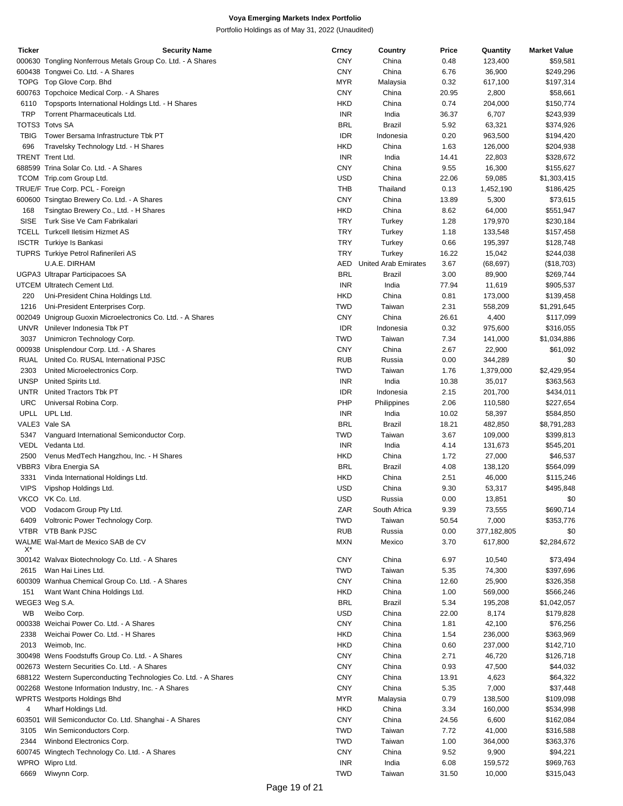| Ticker      | <b>Security Name</b>                                            | Crncy      | Country                     | Price | Quantity    | <b>Market Value</b> |
|-------------|-----------------------------------------------------------------|------------|-----------------------------|-------|-------------|---------------------|
|             | 000630 Tongling Nonferrous Metals Group Co. Ltd. - A Shares     | <b>CNY</b> | China                       | 0.48  | 123,400     | \$59,581            |
|             | 600438 Tongwei Co. Ltd. - A Shares                              | <b>CNY</b> | China                       | 6.76  | 36,900      | \$249,296           |
|             | TOPG Top Glove Corp. Bhd                                        | <b>MYR</b> | Malaysia                    | 0.32  | 617,100     | \$197,314           |
|             | 600763 Topchoice Medical Corp. - A Shares                       | <b>CNY</b> | China                       | 20.95 | 2,800       | \$58,661            |
| 6110        | Topsports International Holdings Ltd. - H Shares                | <b>HKD</b> | China                       | 0.74  | 204,000     | \$150,774           |
| <b>TRP</b>  | Torrent Pharmaceuticals Ltd.                                    | <b>INR</b> | India                       | 36.37 | 6,707       | \$243,939           |
|             | TOTS3 Totvs SA                                                  | <b>BRL</b> | Brazil                      | 5.92  | 63,321      | \$374,926           |
| <b>TBIG</b> | Tower Bersama Infrastructure Tbk PT                             | <b>IDR</b> | Indonesia                   | 0.20  | 963,500     | \$194,420           |
| 696         | Travelsky Technology Ltd. - H Shares                            | <b>HKD</b> | China                       | 1.63  | 126,000     | \$204,938           |
|             | <b>TRENT Trent Ltd.</b>                                         | <b>INR</b> | India                       | 14.41 | 22,803      | \$328,672           |
|             | 688599 Trina Solar Co. Ltd. - A Shares                          | <b>CNY</b> | China                       |       |             |                     |
|             |                                                                 |            |                             | 9.55  | 16,300      | \$155,627           |
|             | TCOM Trip.com Group Ltd.                                        | <b>USD</b> | China                       | 22.06 | 59,085      | \$1,303,415         |
|             | TRUE/F True Corp. PCL - Foreign                                 | THB        | Thailand                    | 0.13  | 1,452,190   | \$186,425           |
|             | 600600 Tsingtao Brewery Co. Ltd. - A Shares                     | <b>CNY</b> | China                       | 13.89 | 5,300       | \$73,615            |
| 168         | Tsingtao Brewery Co., Ltd. - H Shares                           | <b>HKD</b> | China                       | 8.62  | 64,000      | \$551,947           |
| <b>SISE</b> | Turk Sise Ve Cam Fabrikalari                                    | <b>TRY</b> | Turkey                      | 1.28  | 179,970     | \$230,184           |
|             | <b>TCELL Turkcell Iletisim Hizmet AS</b>                        | <b>TRY</b> | Turkey                      | 1.18  | 133,548     | \$157,458           |
|             | <b>ISCTR</b> Turkiye Is Bankasi                                 | <b>TRY</b> | Turkey                      | 0.66  | 195,397     | \$128,748           |
|             | TUPRS Turkiye Petrol Rafinerileri AS                            | <b>TRY</b> | Turkey                      | 16.22 | 15,042      | \$244,038           |
|             | U.A.E. DIRHAM                                                   | AED        | <b>United Arab Emirates</b> | 3.67  | (68, 697)   | (\$18,703)          |
|             | UGPA3 Ultrapar Participacoes SA                                 | <b>BRL</b> | Brazil                      | 3.00  | 89,900      | \$269,744           |
|             | UTCEM Ultratech Cement Ltd.                                     | <b>INR</b> | India                       | 77.94 | 11,619      | \$905,537           |
| 220         | Uni-President China Holdings Ltd.                               | <b>HKD</b> | China                       | 0.81  | 173,000     | \$139,458           |
| 1216        | Uni-President Enterprises Corp.                                 | <b>TWD</b> | Taiwan                      | 2.31  | 558,209     | \$1,291,645         |
|             | 002049 Unigroup Guoxin Microelectronics Co. Ltd. - A Shares     | <b>CNY</b> | China                       | 26.61 | 4,400       | \$117,099           |
|             | UNVR Unilever Indonesia Tbk PT                                  | <b>IDR</b> | Indonesia                   | 0.32  | 975,600     | \$316,055           |
| 3037        | Unimicron Technology Corp.                                      | <b>TWD</b> | Taiwan                      | 7.34  | 141,000     | \$1,034,886         |
|             | 000938 Unisplendour Corp. Ltd. - A Shares                       | <b>CNY</b> | China                       | 2.67  | 22,900      | \$61,092            |
|             | RUAL United Co. RUSAL International PJSC                        | <b>RUB</b> | Russia                      | 0.00  | 344,289     | \$0                 |
| 2303        | United Microelectronics Corp.                                   | <b>TWD</b> | Taiwan                      | 1.76  | 1,379,000   | \$2,429,954         |
| <b>UNSP</b> | United Spirits Ltd.                                             | <b>INR</b> | India                       | 10.38 | 35,017      | \$363,563           |
| <b>UNTR</b> |                                                                 | <b>IDR</b> |                             |       |             |                     |
|             | United Tractors Tbk PT                                          |            | Indonesia                   | 2.15  | 201,700     | \$434,011           |
| URC         | Universal Robina Corp.                                          | PHP        | Philippines                 | 2.06  | 110,580     | \$227,654           |
|             | UPLL UPL Ltd.                                                   | <b>INR</b> | India                       | 10.02 | 58,397      | \$584,850           |
|             | VALE3 Vale SA                                                   | <b>BRL</b> | Brazil                      | 18.21 | 482,850     | \$8,791,283         |
| 5347        | Vanguard International Semiconductor Corp.                      | <b>TWD</b> | Taiwan                      | 3.67  | 109,000     | \$399,813           |
|             | VEDL Vedanta Ltd.                                               | <b>INR</b> | India                       | 4.14  | 131,673     | \$545,201           |
| 2500        | Venus MedTech Hangzhou, Inc. - H Shares                         | <b>HKD</b> | China                       | 1.72  | 27,000      | \$46,537            |
|             | VBBR3 Vibra Energia SA                                          | <b>BRL</b> | Brazil                      | 4.08  | 138,120     | \$564,099           |
| 3331        | Vinda International Holdings Ltd.                               | <b>HKD</b> | China                       | 2.51  | 46,000      | \$115,246           |
| <b>VIPS</b> | Vipshop Holdings Ltd.                                           | <b>USD</b> | China                       | 9.30  | 53,317      | \$495,848           |
|             | VKCO VK Co. Ltd.                                                | <b>USD</b> | Russia                      | 0.00  | 13,851      | \$0                 |
| VOD.        | Vodacom Group Pty Ltd.                                          | ZAR        | South Africa                | 9.39  | 73,555      | \$690,714           |
| 6409        | Voltronic Power Technology Corp.                                | <b>TWD</b> | Taiwan                      | 50.54 | 7,000       | \$353,776           |
|             | VTBR VTB Bank PJSC                                              | <b>RUB</b> | Russia                      | 0.00  | 377,182,805 | \$0                 |
|             | WALME Wal-Mart de Mexico SAB de CV                              | <b>MXN</b> | Mexico                      | 3.70  | 617,800     | \$2,284,672         |
| X*          |                                                                 |            |                             |       |             |                     |
|             | 300142 Walvax Biotechnology Co. Ltd. - A Shares                 | <b>CNY</b> | China                       | 6.97  | 10,540      | \$73,494            |
| 2615        | Wan Hai Lines Ltd.                                              | <b>TWD</b> | Taiwan                      | 5.35  | 74,300      | \$397,696           |
|             | 600309 Wanhua Chemical Group Co. Ltd. - A Shares                | <b>CNY</b> | China                       | 12.60 | 25,900      | \$326,358           |
| 151         | Want Want China Holdings Ltd.                                   | <b>HKD</b> | China                       | 1.00  | 569,000     | \$566,246           |
|             | WEGE3 Weg S.A.                                                  | <b>BRL</b> | Brazil                      | 5.34  | 195,208     | \$1,042,057         |
| WB          | Weibo Corp.                                                     | <b>USD</b> | China                       | 22.00 | 8,174       | \$179,828           |
|             | 000338 Weichai Power Co. Ltd. - A Shares                        | <b>CNY</b> | China                       | 1.81  | 42,100      | \$76,256            |
| 2338        | Weichai Power Co. Ltd. - H Shares                               | <b>HKD</b> | China                       | 1.54  | 236,000     | \$363,969           |
| 2013        | Weimob, Inc.                                                    | <b>HKD</b> | China                       | 0.60  | 237,000     | \$142,710           |
|             | 300498 Wens Foodstuffs Group Co. Ltd. - A Shares                | <b>CNY</b> | China                       | 2.71  | 46,720      | \$126,718           |
|             |                                                                 |            |                             |       |             |                     |
|             | 002673 Western Securities Co. Ltd. - A Shares                   | <b>CNY</b> | China                       | 0.93  | 47,500      | \$44,032            |
|             | 688122 Western Superconducting Technologies Co. Ltd. - A Shares | <b>CNY</b> | China                       | 13.91 | 4,623       | \$64,322            |
|             | 002268 Westone Information Industry, Inc. - A Shares            | <b>CNY</b> | China                       | 5.35  | 7,000       | \$37,448            |
|             | <b>WPRTS Westports Holdings Bhd</b>                             | <b>MYR</b> | Malaysia                    | 0.79  | 138,500     | \$109,098           |
| 4           | Wharf Holdings Ltd.                                             | <b>HKD</b> | China                       | 3.34  | 160,000     | \$534,998           |
|             | 603501 Will Semiconductor Co. Ltd. Shanghai - A Shares          | <b>CNY</b> | China                       | 24.56 | 6,600       | \$162,084           |
| 3105        | Win Semiconductors Corp.                                        | <b>TWD</b> | Taiwan                      | 7.72  | 41,000      | \$316,588           |
| 2344        | Winbond Electronics Corp.                                       | <b>TWD</b> | Taiwan                      | 1.00  | 364,000     | \$363,376           |
|             | 600745 Wingtech Technology Co. Ltd. - A Shares                  | <b>CNY</b> | China                       | 9.52  | 9,900       | \$94,221            |
|             | WPRO Wipro Ltd.                                                 | <b>INR</b> | India                       | 6.08  | 159,572     | \$969,763           |
| 6669        | Wiwynn Corp.                                                    | <b>TWD</b> | Taiwan                      | 31.50 | 10,000      | \$315,043           |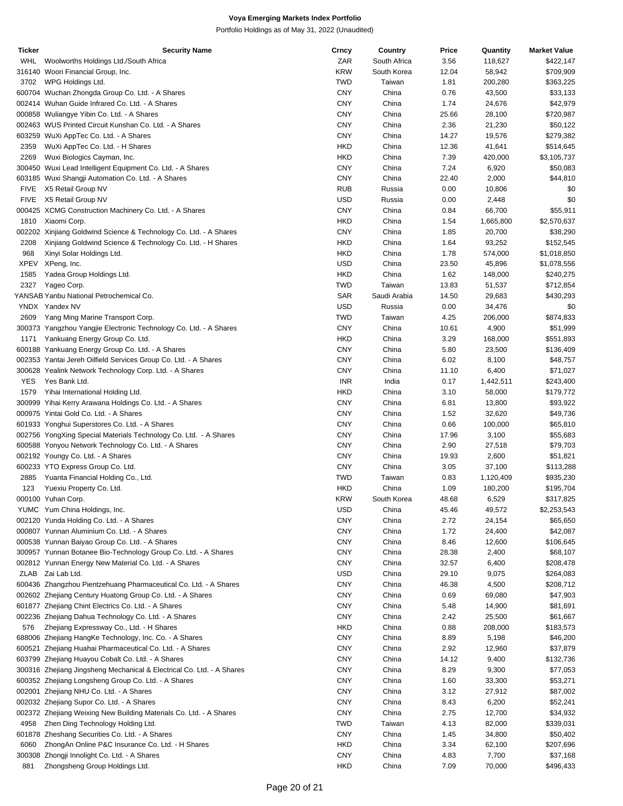| <b>Ticker</b> | <b>Security Name</b>                                                  | <b>Crncy</b> | Country      | Price | Quantity  | <b>Market Value</b> |
|---------------|-----------------------------------------------------------------------|--------------|--------------|-------|-----------|---------------------|
| WHL           | Woolworths Holdings Ltd./South Africa                                 | ZAR          | South Africa | 3.56  | 118,627   | \$422,147           |
|               | 316140 Woori Financial Group, Inc.                                    | <b>KRW</b>   | South Korea  | 12.04 | 58,942    | \$709,909           |
| 3702          | WPG Holdings Ltd.                                                     | <b>TWD</b>   | Taiwan       | 1.81  | 200,280   | \$363,225           |
|               | 600704 Wuchan Zhongda Group Co. Ltd. - A Shares                       | <b>CNY</b>   | China        | 0.76  | 43,500    | \$33,133            |
|               | 002414 Wuhan Guide Infrared Co. Ltd. - A Shares                       | <b>CNY</b>   | China        | 1.74  | 24,676    | \$42,979            |
|               | 000858 Wuliangye Yibin Co. Ltd. - A Shares                            | <b>CNY</b>   | China        | 25.66 | 28,100    | \$720,987           |
|               | 002463 WUS Printed Circuit Kunshan Co. Ltd. - A Shares                | <b>CNY</b>   | China        | 2.36  | 21,230    | \$50,122            |
|               | 603259 WuXi AppTec Co. Ltd. - A Shares                                | <b>CNY</b>   | China        | 14.27 | 19,576    | \$279,382           |
|               |                                                                       |              |              |       |           |                     |
| 2359          | WuXi AppTec Co. Ltd. - H Shares                                       | <b>HKD</b>   | China        | 12.36 | 41,641    | \$514,645           |
| 2269          | Wuxi Biologics Cayman, Inc.                                           | <b>HKD</b>   | China        | 7.39  | 420,000   | \$3,105,737         |
|               | 300450 Wuxi Lead Intelligent Equipment Co. Ltd. - A Shares            | <b>CNY</b>   | China        | 7.24  | 6,920     | \$50,083            |
|               | 603185 Wuxi Shangji Automation Co. Ltd. - A Shares                    | <b>CNY</b>   | China        | 22.40 | 2,000     | \$44,810            |
| <b>FIVE</b>   | X5 Retail Group NV                                                    | <b>RUB</b>   | Russia       | 0.00  | 10,806    | \$0                 |
| <b>FIVE</b>   | X5 Retail Group NV                                                    | <b>USD</b>   | Russia       | 0.00  | 2,448     | \$0                 |
|               | 000425 XCMG Construction Machinery Co. Ltd. - A Shares                | <b>CNY</b>   | China        | 0.84  | 66,700    | \$55,911            |
| 1810          | Xiaomi Corp.                                                          | <b>HKD</b>   | China        | 1.54  | 1,665,800 | \$2,570,637         |
|               | 002202 Xinjiang Goldwind Science & Technology Co. Ltd. - A Shares     | <b>CNY</b>   | China        | 1.85  | 20,700    | \$38,290            |
| 2208          | Xinjiang Goldwind Science & Technology Co. Ltd. - H Shares            | <b>HKD</b>   | China        | 1.64  | 93,252    | \$152,545           |
| 968           | Xinyi Solar Holdings Ltd.                                             | <b>HKD</b>   | China        | 1.78  | 574,000   | \$1,018,850         |
| <b>XPEV</b>   | XPeng, Inc.                                                           | <b>USD</b>   | China        | 23.50 | 45,896    | \$1,078,556         |
| 1585          | Yadea Group Holdings Ltd.                                             | <b>HKD</b>   | China        | 1.62  | 148,000   | \$240,275           |
|               |                                                                       |              |              |       |           |                     |
| 2327          | Yageo Corp.                                                           | <b>TWD</b>   | Taiwan       | 13.83 | 51,537    | \$712,854           |
|               | YANSAB Yanbu National Petrochemical Co.                               | <b>SAR</b>   | Saudi Arabia | 14.50 | 29,683    | \$430,293           |
|               | YNDX Yandex NV                                                        | <b>USD</b>   | Russia       | 0.00  | 34,476    | \$0                 |
| 2609          | Yang Ming Marine Transport Corp.                                      | <b>TWD</b>   | Taiwan       | 4.25  | 206,000   | \$874,833           |
|               | 300373 Yangzhou Yangjie Electronic Technology Co. Ltd. - A Shares     | <b>CNY</b>   | China        | 10.61 | 4,900     | \$51,999            |
| 1171          | Yankuang Energy Group Co. Ltd.                                        | <b>HKD</b>   | China        | 3.29  | 168,000   | \$551,893           |
|               | 600188 Yankuang Energy Group Co. Ltd. - A Shares                      | <b>CNY</b>   | China        | 5.80  | 23,500    | \$136,409           |
|               | 002353 Yantai Jereh Oilfield Services Group Co. Ltd. - A Shares       | <b>CNY</b>   | China        | 6.02  | 8,100     | \$48,757            |
|               | 300628 Yealink Network Technology Corp. Ltd. - A Shares               | <b>CNY</b>   | China        | 11.10 | 6,400     | \$71,027            |
| <b>YES</b>    | Yes Bank Ltd.                                                         | <b>INR</b>   | India        | 0.17  | 1,442,511 | \$243,400           |
| 1579          | Yihai International Holding Ltd.                                      | <b>HKD</b>   | China        | 3.10  | 58,000    | \$179,772           |
|               | 300999 Yihai Kerry Arawana Holdings Co. Ltd. - A Shares               | <b>CNY</b>   | China        | 6.81  | 13,800    | \$93,922            |
|               | 000975 Yintai Gold Co. Ltd. - A Shares                                | <b>CNY</b>   | China        | 1.52  | 32,620    | \$49,736            |
|               |                                                                       |              |              |       |           |                     |
|               | 601933 Yonghui Superstores Co. Ltd. - A Shares                        | <b>CNY</b>   | China        | 0.66  | 100,000   | \$65,810            |
|               | 002756 YongXing Special Materials Technology Co. Ltd. - A Shares      | <b>CNY</b>   | China        | 17.96 | 3,100     | \$55,683            |
|               | 600588 Yonyou Network Technology Co. Ltd. - A Shares                  | <b>CNY</b>   | China        | 2.90  | 27,518    | \$79,703            |
|               | 002192 Youngy Co. Ltd. - A Shares                                     | <b>CNY</b>   | China        | 19.93 | 2,600     | \$51,821            |
|               | 600233 YTO Express Group Co. Ltd.                                     | <b>CNY</b>   | China        | 3.05  | 37,100    | \$113,288           |
| 2885          | Yuanta Financial Holding Co., Ltd.                                    | <b>TWD</b>   | Taiwan       | 0.83  | 1,120,409 | \$935,230           |
| 123           | Yuexiu Property Co. Ltd.                                              | <b>HKD</b>   | China        | 1.09  | 180,200   | \$195,704           |
|               | 000100 Yuhan Corp.                                                    | <b>KRW</b>   | South Korea  | 48.68 | 6,529     | \$317,825           |
|               | YUMC Yum China Holdings, Inc.                                         | <b>USD</b>   | China        | 45.46 | 49,572    | \$2,253,543         |
|               | 002120 Yunda Holding Co. Ltd. - A Shares                              | <b>CNY</b>   | China        | 2.72  | 24,154    | \$65,650            |
|               | 000807 Yunnan Aluminium Co. Ltd. - A Shares                           | <b>CNY</b>   | China        | 1.72  | 24,400    | \$42,087            |
|               | 000538 Yunnan Baiyao Group Co. Ltd. - A Shares                        | <b>CNY</b>   | China        | 8.46  | 12,600    | \$106,645           |
|               |                                                                       |              |              |       |           |                     |
|               | 300957 Yunnan Botanee Bio-Technology Group Co. Ltd. - A Shares        | <b>CNY</b>   | China        | 28.38 | 2,400     | \$68,107            |
|               | 002812 Yunnan Energy New Material Co. Ltd. - A Shares                 | <b>CNY</b>   | China        | 32.57 | 6,400     | \$208,478           |
|               | ZLAB Zai Lab Ltd.                                                     | <b>USD</b>   | China        | 29.10 | 9,075     | \$264,083           |
|               | 600436 Zhangzhou Pientzehuang Pharmaceutical Co. Ltd. - A Shares      | <b>CNY</b>   | China        | 46.38 | 4,500     | \$208,712           |
|               | 002602 Zhejiang Century Huatong Group Co. Ltd. - A Shares             | <b>CNY</b>   | China        | 0.69  | 69,080    | \$47,903            |
|               | 601877 Zhejiang Chint Electrics Co. Ltd. - A Shares                   | <b>CNY</b>   | China        | 5.48  | 14,900    | \$81,691            |
|               | 002236 Zhejiang Dahua Technology Co. Ltd. - A Shares                  | <b>CNY</b>   | China        | 2.42  | 25,500    | \$61,667            |
| 576           | Zhejiang Expressway Co., Ltd. - H Shares                              | <b>HKD</b>   | China        | 0.88  | 208,000   | \$183,573           |
|               | 688006 Zhejiang HangKe Technology, Inc. Co. - A Shares                | <b>CNY</b>   | China        | 8.89  | 5,198     | \$46,200            |
|               | 600521 Zhejiang Huahai Pharmaceutical Co. Ltd. - A Shares             | <b>CNY</b>   | China        | 2.92  | 12,960    | \$37,879            |
|               | 603799 Zhejiang Huayou Cobalt Co. Ltd. - A Shares                     | <b>CNY</b>   | China        | 14.12 | 9,400     | \$132,736           |
|               | 300316 Zhejiang Jingsheng Mechanical & Electrical Co. Ltd. - A Shares | <b>CNY</b>   | China        | 8.29  | 9,300     | \$77,053            |
|               |                                                                       | <b>CNY</b>   | China        | 1.60  |           |                     |
|               | 600352 Zhejiang Longsheng Group Co. Ltd. - A Shares                   |              |              |       | 33,300    | \$53,271            |
|               | 002001 Zhejiang NHU Co. Ltd. - A Shares                               | <b>CNY</b>   | China        | 3.12  | 27,912    | \$87,002            |
|               | 002032 Zhejiang Supor Co. Ltd. - A Shares                             | <b>CNY</b>   | China        | 8.43  | 6,200     | \$52,241            |
|               | 002372 Zhejiang Weixing New Building Materials Co. Ltd. - A Shares    | <b>CNY</b>   | China        | 2.75  | 12,700    | \$34,932            |
| 4958          | Zhen Ding Technology Holding Ltd.                                     | <b>TWD</b>   | Taiwan       | 4.13  | 82,000    | \$339,031           |
|               | 601878 Zheshang Securities Co. Ltd. - A Shares                        | <b>CNY</b>   | China        | 1.45  | 34,800    | \$50,402            |
| 6060          | ZhongAn Online P&C Insurance Co. Ltd. - H Shares                      | <b>HKD</b>   | China        | 3.34  | 62,100    | \$207,696           |
|               | 300308 Zhongji Innolight Co. Ltd. - A Shares                          | <b>CNY</b>   | China        | 4.83  | 7,700     | \$37,168            |
| 881           | Zhongsheng Group Holdings Ltd.                                        | <b>HKD</b>   | China        | 7.09  | 70,000    | \$496,433           |